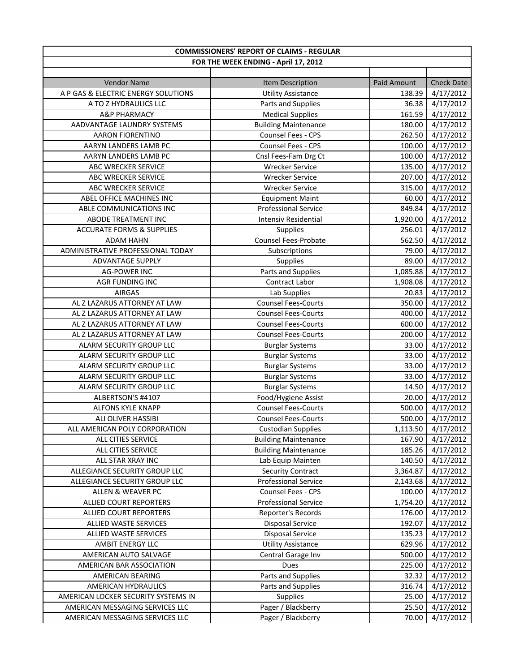| <b>COMMISSIONERS' REPORT OF CLAIMS - REGULAR</b> |                             |             |                   |
|--------------------------------------------------|-----------------------------|-------------|-------------------|
| FOR THE WEEK ENDING - April 17, 2012             |                             |             |                   |
|                                                  |                             |             |                   |
| <b>Vendor Name</b>                               | Item Description            | Paid Amount | <b>Check Date</b> |
| A P GAS & ELECTRIC ENERGY SOLUTIONS              | <b>Utility Assistance</b>   | 138.39      | 4/17/2012         |
| A TO Z HYDRAULICS LLC                            | Parts and Supplies          | 36.38       | 4/17/2012         |
| <b>A&amp;P PHARMACY</b>                          | <b>Medical Supplies</b>     | 161.59      | 4/17/2012         |
| AADVANTAGE LAUNDRY SYSTEMS                       | <b>Building Maintenance</b> | 180.00      | 4/17/2012         |
| <b>AARON FIORENTINO</b>                          | Counsel Fees - CPS          | 262.50      | 4/17/2012         |
| AARYN LANDERS LAMB PC                            | Counsel Fees - CPS          | 100.00      | 4/17/2012         |
| AARYN LANDERS LAMB PC                            | Cnsl Fees-Fam Drg Ct        | 100.00      | 4/17/2012         |
| ABC WRECKER SERVICE                              | <b>Wrecker Service</b>      | 135.00      | 4/17/2012         |
| ABC WRECKER SERVICE                              | <b>Wrecker Service</b>      | 207.00      | 4/17/2012         |
| ABC WRECKER SERVICE                              | <b>Wrecker Service</b>      | 315.00      | 4/17/2012         |
| ABEL OFFICE MACHINES INC                         | <b>Equipment Maint</b>      | 60.00       | 4/17/2012         |
| ABLE COMMUNICATIONS INC                          | <b>Professional Service</b> | 849.84      | 4/17/2012         |
| ABODE TREATMENT INC                              | <b>Intensiv Residential</b> | 1,920.00    | 4/17/2012         |
| <b>ACCURATE FORMS &amp; SUPPLIES</b>             | Supplies                    | 256.01      | 4/17/2012         |
| <b>ADAM HAHN</b>                                 | <b>Counsel Fees-Probate</b> | 562.50      | 4/17/2012         |
| ADMINISTRATIVE PROFESSIONAL TODAY                | Subscriptions               | 79.00       | 4/17/2012         |
| ADVANTAGE SUPPLY                                 | Supplies                    | 89.00       | 4/17/2012         |
| <b>AG-POWER INC</b>                              | Parts and Supplies          | 1,085.88    | 4/17/2012         |
| AGR FUNDING INC                                  | Contract Labor              | 1,908.08    | 4/17/2012         |
| <b>AIRGAS</b>                                    | Lab Supplies                | 20.83       | 4/17/2012         |
| AL Z LAZARUS ATTORNEY AT LAW                     | <b>Counsel Fees-Courts</b>  | 350.00      | 4/17/2012         |
| AL Z LAZARUS ATTORNEY AT LAW                     | <b>Counsel Fees-Courts</b>  | 400.00      | 4/17/2012         |
| AL Z LAZARUS ATTORNEY AT LAW                     | <b>Counsel Fees-Courts</b>  | 600.00      | 4/17/2012         |
| AL Z LAZARUS ATTORNEY AT LAW                     | <b>Counsel Fees-Courts</b>  | 200.00      | 4/17/2012         |
| ALARM SECURITY GROUP LLC                         | <b>Burglar Systems</b>      | 33.00       | 4/17/2012         |
| ALARM SECURITY GROUP LLC                         | <b>Burglar Systems</b>      | 33.00       | 4/17/2012         |
| ALARM SECURITY GROUP LLC                         | <b>Burglar Systems</b>      | 33.00       | 4/17/2012         |
| ALARM SECURITY GROUP LLC                         | <b>Burglar Systems</b>      | 33.00       | 4/17/2012         |
| ALARM SECURITY GROUP LLC                         | <b>Burglar Systems</b>      | 14.50       | 4/17/2012         |
| ALBERTSON'S #4107                                | Food/Hygiene Assist         | 20.00       | 4/17/2012         |
| <b>ALFONS KYLE KNAPP</b>                         | <b>Counsel Fees-Courts</b>  | 500.00      | 4/17/2012         |
| ALI OLIVER HASSIBI                               | <b>Counsel Fees-Courts</b>  | 500.00      | 4/17/2012         |
| ALL AMERICAN POLY CORPORATION                    | <b>Custodian Supplies</b>   | 1,113.50    | 4/17/2012         |
| ALL CITIES SERVICE                               | <b>Building Maintenance</b> | 167.90      | 4/17/2012         |
| ALL CITIES SERVICE                               | <b>Building Maintenance</b> | 185.26      | 4/17/2012         |
| ALL STAR XRAY INC                                | Lab Equip Mainten           | 140.50      | 4/17/2012         |
| ALLEGIANCE SECURITY GROUP LLC                    | <b>Security Contract</b>    | 3,364.87    | 4/17/2012         |
| ALLEGIANCE SECURITY GROUP LLC                    | <b>Professional Service</b> | 2,143.68    | 4/17/2012         |
| ALLEN & WEAVER PC                                | Counsel Fees - CPS          | 100.00      | 4/17/2012         |
| <b>ALLIED COURT REPORTERS</b>                    | <b>Professional Service</b> | 1,754.20    | 4/17/2012         |
| ALLIED COURT REPORTERS                           | Reporter's Records          | 176.00      | 4/17/2012         |
| ALLIED WASTE SERVICES                            | <b>Disposal Service</b>     | 192.07      | 4/17/2012         |
| ALLIED WASTE SERVICES                            | <b>Disposal Service</b>     | 135.23      | 4/17/2012         |
| AMBIT ENERGY LLC                                 | <b>Utility Assistance</b>   | 629.96      | 4/17/2012         |
| AMERICAN AUTO SALVAGE                            | Central Garage Inv          | 500.00      | 4/17/2012         |
| AMERICAN BAR ASSOCIATION                         | Dues                        | 225.00      | 4/17/2012         |
| AMERICAN BEARING                                 | Parts and Supplies          | 32.32       | 4/17/2012         |
| AMERICAN HYDRAULICS                              | Parts and Supplies          | 316.74      | 4/17/2012         |
| AMERICAN LOCKER SECURITY SYSTEMS IN              | Supplies                    | 25.00       | 4/17/2012         |
| AMERICAN MESSAGING SERVICES LLC                  | Pager / Blackberry          | 25.50       | 4/17/2012         |
| AMERICAN MESSAGING SERVICES LLC                  | Pager / Blackberry          | 70.00       | 4/17/2012         |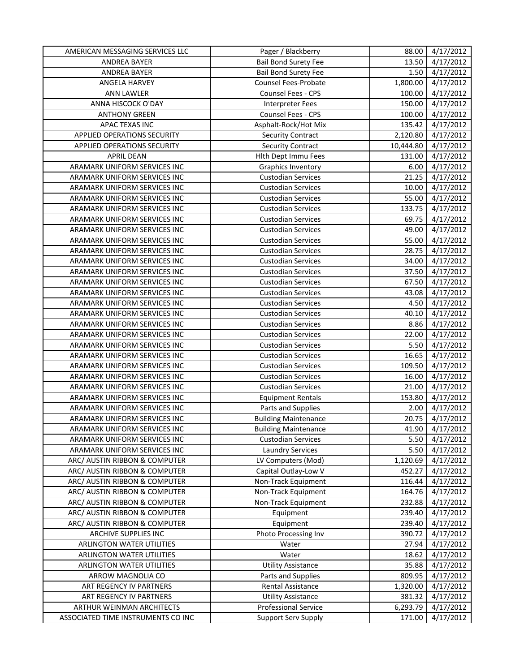| AMERICAN MESSAGING SERVICES LLC    | Pager / Blackberry          | 88.00     | 4/17/2012 |
|------------------------------------|-----------------------------|-----------|-----------|
| ANDREA BAYER                       | <b>Bail Bond Surety Fee</b> | 13.50     | 4/17/2012 |
| ANDREA BAYER                       | <b>Bail Bond Surety Fee</b> | 1.50      | 4/17/2012 |
| ANGELA HARVEY                      | Counsel Fees-Probate        | 1,800.00  | 4/17/2012 |
| <b>ANN LAWLER</b>                  | Counsel Fees - CPS          | 100.00    | 4/17/2012 |
| ANNA HISCOCK O'DAY                 | <b>Interpreter Fees</b>     | 150.00    | 4/17/2012 |
| <b>ANTHONY GREEN</b>               | Counsel Fees - CPS          | 100.00    | 4/17/2012 |
| APAC TEXAS INC                     | Asphalt-Rock/Hot Mix        | 135.42    | 4/17/2012 |
| APPLIED OPERATIONS SECURITY        | <b>Security Contract</b>    | 2,120.80  | 4/17/2012 |
| APPLIED OPERATIONS SECURITY        | <b>Security Contract</b>    | 10,444.80 | 4/17/2012 |
| <b>APRIL DEAN</b>                  | Hith Dept Immu Fees         | 131.00    | 4/17/2012 |
| ARAMARK UNIFORM SERVICES INC       | Graphics Inventory          | 6.00      | 4/17/2012 |
| ARAMARK UNIFORM SERVICES INC       | <b>Custodian Services</b>   | 21.25     | 4/17/2012 |
| ARAMARK UNIFORM SERVICES INC       | <b>Custodian Services</b>   | 10.00     | 4/17/2012 |
| ARAMARK UNIFORM SERVICES INC       | <b>Custodian Services</b>   | 55.00     | 4/17/2012 |
| ARAMARK UNIFORM SERVICES INC       | <b>Custodian Services</b>   | 133.75    | 4/17/2012 |
| ARAMARK UNIFORM SERVICES INC       | <b>Custodian Services</b>   | 69.75     | 4/17/2012 |
| ARAMARK UNIFORM SERVICES INC       | <b>Custodian Services</b>   | 49.00     | 4/17/2012 |
| ARAMARK UNIFORM SERVICES INC       | <b>Custodian Services</b>   | 55.00     | 4/17/2012 |
| ARAMARK UNIFORM SERVICES INC       | <b>Custodian Services</b>   | 28.75     | 4/17/2012 |
| ARAMARK UNIFORM SERVICES INC       | <b>Custodian Services</b>   | 34.00     | 4/17/2012 |
| ARAMARK UNIFORM SERVICES INC       | <b>Custodian Services</b>   | 37.50     | 4/17/2012 |
| ARAMARK UNIFORM SERVICES INC       | <b>Custodian Services</b>   | 67.50     | 4/17/2012 |
| ARAMARK UNIFORM SERVICES INC       | <b>Custodian Services</b>   | 43.08     | 4/17/2012 |
| ARAMARK UNIFORM SERVICES INC       | <b>Custodian Services</b>   | 4.50      | 4/17/2012 |
| ARAMARK UNIFORM SERVICES INC       | <b>Custodian Services</b>   | 40.10     | 4/17/2012 |
| ARAMARK UNIFORM SERVICES INC       | <b>Custodian Services</b>   | 8.86      | 4/17/2012 |
| ARAMARK UNIFORM SERVICES INC       | <b>Custodian Services</b>   | 22.00     | 4/17/2012 |
| ARAMARK UNIFORM SERVICES INC       | <b>Custodian Services</b>   | 5.50      | 4/17/2012 |
| ARAMARK UNIFORM SERVICES INC       | <b>Custodian Services</b>   | 16.65     | 4/17/2012 |
| ARAMARK UNIFORM SERVICES INC       | <b>Custodian Services</b>   | 109.50    | 4/17/2012 |
| ARAMARK UNIFORM SERVICES INC       | <b>Custodian Services</b>   | 16.00     | 4/17/2012 |
| ARAMARK UNIFORM SERVICES INC       | <b>Custodian Services</b>   | 21.00     | 4/17/2012 |
| ARAMARK UNIFORM SERVICES INC       | <b>Equipment Rentals</b>    | 153.80    | 4/17/2012 |
| ARAMARK UNIFORM SERVICES INC       | Parts and Supplies          | 2.00      | 4/17/2012 |
| ARAMARK UNIFORM SERVICES INC       | <b>Building Maintenance</b> | 20.75     | 4/17/2012 |
| ARAMARK UNIFORM SERVICES INC       | <b>Building Maintenance</b> | 41.90     | 4/17/2012 |
| ARAMARK UNIFORM SERVICES INC       | <b>Custodian Services</b>   | 5.50      | 4/17/2012 |
| ARAMARK UNIFORM SERVICES INC       | <b>Laundry Services</b>     | 5.50      | 4/17/2012 |
| ARC/ AUSTIN RIBBON & COMPUTER      | LV Computers (Mod)          | 1,120.69  | 4/17/2012 |
| ARC/ AUSTIN RIBBON & COMPUTER      | Capital Outlay-Low V        | 452.27    | 4/17/2012 |
| ARC/ AUSTIN RIBBON & COMPUTER      | Non-Track Equipment         | 116.44    | 4/17/2012 |
| ARC/ AUSTIN RIBBON & COMPUTER      | Non-Track Equipment         | 164.76    | 4/17/2012 |
| ARC/ AUSTIN RIBBON & COMPUTER      | Non-Track Equipment         | 232.88    | 4/17/2012 |
| ARC/ AUSTIN RIBBON & COMPUTER      | Equipment                   | 239.40    | 4/17/2012 |
| ARC/ AUSTIN RIBBON & COMPUTER      | Equipment                   | 239.40    | 4/17/2012 |
| ARCHIVE SUPPLIES INC               | Photo Processing Inv        | 390.72    | 4/17/2012 |
| ARLINGTON WATER UTILITIES          | Water                       | 27.94     | 4/17/2012 |
| ARLINGTON WATER UTILITIES          | Water                       | 18.62     | 4/17/2012 |
| ARLINGTON WATER UTILITIES          | <b>Utility Assistance</b>   | 35.88     | 4/17/2012 |
| ARROW MAGNOLIA CO                  | Parts and Supplies          | 809.95    | 4/17/2012 |
| ART REGENCY IV PARTNERS            | Rental Assistance           | 1,320.00  | 4/17/2012 |
| ART REGENCY IV PARTNERS            | <b>Utility Assistance</b>   | 381.32    | 4/17/2012 |
| ARTHUR WEINMAN ARCHITECTS          | <b>Professional Service</b> | 6,293.79  | 4/17/2012 |
| ASSOCIATED TIME INSTRUMENTS CO INC | <b>Support Serv Supply</b>  | 171.00    | 4/17/2012 |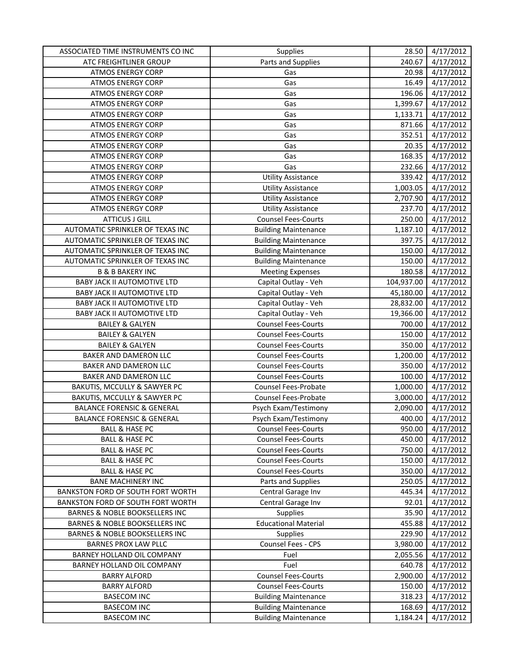| ASSOCIATED TIME INSTRUMENTS CO INC        | Supplies                    | 28.50      | 4/17/2012 |
|-------------------------------------------|-----------------------------|------------|-----------|
| ATC FREIGHTLINER GROUP                    | Parts and Supplies          | 240.67     | 4/17/2012 |
| <b>ATMOS ENERGY CORP</b>                  | Gas                         | 20.98      | 4/17/2012 |
| <b>ATMOS ENERGY CORP</b>                  | Gas                         | 16.49      | 4/17/2012 |
| <b>ATMOS ENERGY CORP</b>                  | Gas                         | 196.06     | 4/17/2012 |
| <b>ATMOS ENERGY CORP</b>                  | Gas                         | 1,399.67   | 4/17/2012 |
| <b>ATMOS ENERGY CORP</b>                  | Gas                         | 1,133.71   | 4/17/2012 |
| <b>ATMOS ENERGY CORP</b>                  | Gas                         | 871.66     | 4/17/2012 |
| <b>ATMOS ENERGY CORP</b>                  | Gas                         | 352.51     | 4/17/2012 |
| <b>ATMOS ENERGY CORP</b>                  | Gas                         | 20.35      | 4/17/2012 |
| <b>ATMOS ENERGY CORP</b>                  | Gas                         | 168.35     | 4/17/2012 |
| <b>ATMOS ENERGY CORP</b>                  | Gas                         | 232.66     | 4/17/2012 |
| <b>ATMOS ENERGY CORP</b>                  | <b>Utility Assistance</b>   | 339.42     | 4/17/2012 |
| <b>ATMOS ENERGY CORP</b>                  | <b>Utility Assistance</b>   | 1,003.05   | 4/17/2012 |
| <b>ATMOS ENERGY CORP</b>                  | <b>Utility Assistance</b>   | 2,707.90   | 4/17/2012 |
| <b>ATMOS ENERGY CORP</b>                  | <b>Utility Assistance</b>   | 237.70     | 4/17/2012 |
| <b>ATTICUS J GILL</b>                     | <b>Counsel Fees-Courts</b>  | 250.00     | 4/17/2012 |
| AUTOMATIC SPRINKLER OF TEXAS INC          | <b>Building Maintenance</b> | 1,187.10   | 4/17/2012 |
| AUTOMATIC SPRINKLER OF TEXAS INC          | <b>Building Maintenance</b> | 397.75     | 4/17/2012 |
| AUTOMATIC SPRINKLER OF TEXAS INC          | <b>Building Maintenance</b> | 150.00     | 4/17/2012 |
| AUTOMATIC SPRINKLER OF TEXAS INC          | <b>Building Maintenance</b> | 150.00     | 4/17/2012 |
| <b>B &amp; B BAKERY INC</b>               | <b>Meeting Expenses</b>     | 180.58     | 4/17/2012 |
| <b>BABY JACK II AUTOMOTIVE LTD</b>        | Capital Outlay - Veh        | 104,937.00 | 4/17/2012 |
| <b>BABY JACK II AUTOMOTIVE LTD</b>        | Capital Outlay - Veh        | 45,180.00  | 4/17/2012 |
| <b>BABY JACK II AUTOMOTIVE LTD</b>        | Capital Outlay - Veh        | 28,832.00  | 4/17/2012 |
| <b>BABY JACK II AUTOMOTIVE LTD</b>        | Capital Outlay - Veh        | 19,366.00  | 4/17/2012 |
| <b>BAILEY &amp; GALYEN</b>                | <b>Counsel Fees-Courts</b>  | 700.00     | 4/17/2012 |
| <b>BAILEY &amp; GALYEN</b>                | <b>Counsel Fees-Courts</b>  | 150.00     | 4/17/2012 |
| <b>BAILEY &amp; GALYEN</b>                | <b>Counsel Fees-Courts</b>  | 350.00     | 4/17/2012 |
| BAKER AND DAMERON LLC                     | <b>Counsel Fees-Courts</b>  | 1,200.00   | 4/17/2012 |
| BAKER AND DAMERON LLC                     | <b>Counsel Fees-Courts</b>  | 350.00     | 4/17/2012 |
| BAKER AND DAMERON LLC                     | <b>Counsel Fees-Courts</b>  | 100.00     | 4/17/2012 |
| BAKUTIS, MCCULLY & SAWYER PC              | <b>Counsel Fees-Probate</b> | 1,000.00   | 4/17/2012 |
| BAKUTIS, MCCULLY & SAWYER PC              | <b>Counsel Fees-Probate</b> | 3,000.00   | 4/17/2012 |
| <b>BALANCE FORENSIC &amp; GENERAL</b>     | Psych Exam/Testimony        | 2,090.00   | 4/17/2012 |
| <b>BALANCE FORENSIC &amp; GENERAL</b>     | Psych Exam/Testimony        | 400.00     | 4/17/2012 |
| BALL & HASE PC                            | <b>Counsel Fees-Courts</b>  | 950.00     | 4/17/2012 |
| <b>BALL &amp; HASE PC</b>                 | <b>Counsel Fees-Courts</b>  | 450.00     | 4/17/2012 |
| <b>BALL &amp; HASE PC</b>                 | <b>Counsel Fees-Courts</b>  | 750.00     | 4/17/2012 |
| <b>BALL &amp; HASE PC</b>                 | <b>Counsel Fees-Courts</b>  | 150.00     | 4/17/2012 |
| <b>BALL &amp; HASE PC</b>                 | <b>Counsel Fees-Courts</b>  | 350.00     | 4/17/2012 |
| <b>BANE MACHINERY INC</b>                 | Parts and Supplies          | 250.05     | 4/17/2012 |
| BANKSTON FORD OF SOUTH FORT WORTH         | Central Garage Inv          | 445.34     | 4/17/2012 |
| BANKSTON FORD OF SOUTH FORT WORTH         | Central Garage Inv          | 92.01      | 4/17/2012 |
| BARNES & NOBLE BOOKSELLERS INC            | <b>Supplies</b>             | 35.90      | 4/17/2012 |
| BARNES & NOBLE BOOKSELLERS INC            | <b>Educational Material</b> | 455.88     | 4/17/2012 |
| <b>BARNES &amp; NOBLE BOOKSELLERS INC</b> | <b>Supplies</b>             | 229.90     | 4/17/2012 |
| <b>BARNES PROX LAW PLLC</b>               | Counsel Fees - CPS          | 3,980.00   | 4/17/2012 |
| BARNEY HOLLAND OIL COMPANY                | Fuel                        | 2,055.56   | 4/17/2012 |
| BARNEY HOLLAND OIL COMPANY                | Fuel                        | 640.78     | 4/17/2012 |
| <b>BARRY ALFORD</b>                       | <b>Counsel Fees-Courts</b>  | 2,900.00   | 4/17/2012 |
| <b>BARRY ALFORD</b>                       | <b>Counsel Fees-Courts</b>  | 150.00     | 4/17/2012 |
| <b>BASECOM INC</b>                        | <b>Building Maintenance</b> | 318.23     | 4/17/2012 |
| <b>BASECOM INC</b>                        | <b>Building Maintenance</b> | 168.69     | 4/17/2012 |
| <b>BASECOM INC</b>                        | <b>Building Maintenance</b> | 1,184.24   | 4/17/2012 |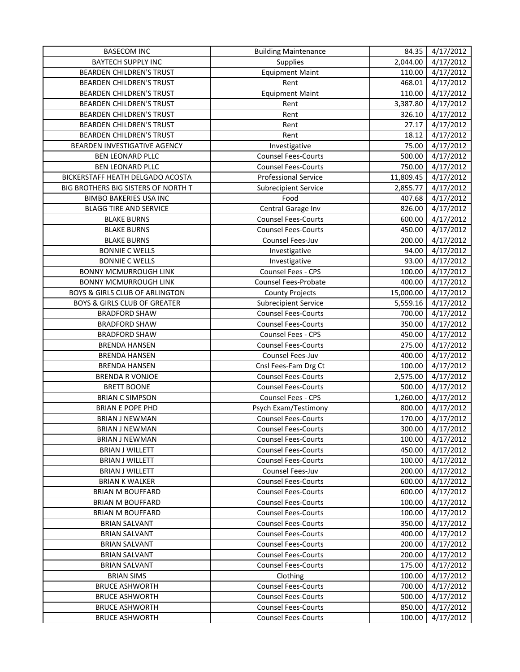| <b>BASECOM INC</b>                        | <b>Building Maintenance</b> | 84.35     | 4/17/2012 |
|-------------------------------------------|-----------------------------|-----------|-----------|
| <b>BAYTECH SUPPLY INC</b>                 | Supplies                    | 2,044.00  | 4/17/2012 |
| BEARDEN CHILDREN'S TRUST                  | <b>Equipment Maint</b>      | 110.00    | 4/17/2012 |
| BEARDEN CHILDREN'S TRUST                  | Rent                        | 468.01    | 4/17/2012 |
| BEARDEN CHILDREN'S TRUST                  | <b>Equipment Maint</b>      | 110.00    | 4/17/2012 |
| <b>BEARDEN CHILDREN'S TRUST</b>           | Rent                        | 3,387.80  | 4/17/2012 |
| <b>BEARDEN CHILDREN'S TRUST</b>           | Rent                        | 326.10    | 4/17/2012 |
| <b>BEARDEN CHILDREN'S TRUST</b>           | Rent                        | 27.17     | 4/17/2012 |
| <b>BEARDEN CHILDREN'S TRUST</b>           | Rent                        | 18.12     | 4/17/2012 |
| BEARDEN INVESTIGATIVE AGENCY              | Investigative               | 75.00     | 4/17/2012 |
| BEN LEONARD PLLC                          | <b>Counsel Fees-Courts</b>  | 500.00    | 4/17/2012 |
| <b>BEN LEONARD PLLC</b>                   | <b>Counsel Fees-Courts</b>  | 750.00    | 4/17/2012 |
| BICKERSTAFF HEATH DELGADO ACOSTA          | <b>Professional Service</b> | 11,809.45 | 4/17/2012 |
| BIG BROTHERS BIG SISTERS OF NORTH T       | <b>Subrecipient Service</b> | 2,855.77  | 4/17/2012 |
| <b>BIMBO BAKERIES USA INC</b>             | Food                        | 407.68    | 4/17/2012 |
| <b>BLAGG TIRE AND SERVICE</b>             | Central Garage Inv          | 826.00    | 4/17/2012 |
| <b>BLAKE BURNS</b>                        | Counsel Fees-Courts         | 600.00    | 4/17/2012 |
| <b>BLAKE BURNS</b>                        | <b>Counsel Fees-Courts</b>  | 450.00    | 4/17/2012 |
| <b>BLAKE BURNS</b>                        | Counsel Fees-Juv            | 200.00    | 4/17/2012 |
| <b>BONNIE C WELLS</b>                     | Investigative               | 94.00     | 4/17/2012 |
| <b>BONNIE C WELLS</b>                     | Investigative               | 93.00     | 4/17/2012 |
| <b>BONNY MCMURROUGH LINK</b>              | Counsel Fees - CPS          | 100.00    | 4/17/2012 |
| <b>BONNY MCMURROUGH LINK</b>              | Counsel Fees-Probate        | 400.00    | 4/17/2012 |
| <b>BOYS &amp; GIRLS CLUB OF ARLINGTON</b> | <b>County Projects</b>      | 15,000.00 | 4/17/2012 |
| <b>BOYS &amp; GIRLS CLUB OF GREATER</b>   | Subrecipient Service        | 5,559.16  | 4/17/2012 |
| <b>BRADFORD SHAW</b>                      | Counsel Fees-Courts         | 700.00    | 4/17/2012 |
| <b>BRADFORD SHAW</b>                      | <b>Counsel Fees-Courts</b>  | 350.00    | 4/17/2012 |
| <b>BRADFORD SHAW</b>                      | Counsel Fees - CPS          | 450.00    | 4/17/2012 |
| <b>BRENDA HANSEN</b>                      | <b>Counsel Fees-Courts</b>  | 275.00    | 4/17/2012 |
| <b>BRENDA HANSEN</b>                      | Counsel Fees-Juv            | 400.00    | 4/17/2012 |
| <b>BRENDA HANSEN</b>                      | Cnsl Fees-Fam Drg Ct        | 100.00    | 4/17/2012 |
| <b>BRENDA R VONJOE</b>                    | <b>Counsel Fees-Courts</b>  | 2,575.00  | 4/17/2012 |
| <b>BRETT BOONE</b>                        | <b>Counsel Fees-Courts</b>  | 500.00    | 4/17/2012 |
| <b>BRIAN C SIMPSON</b>                    | Counsel Fees - CPS          | 1,260.00  | 4/17/2012 |
| <b>BRIAN E POPE PHD</b>                   | Psych Exam/Testimony        | 800.00    | 4/17/2012 |
| <b>BRIAN J NEWMAN</b>                     | <b>Counsel Fees-Courts</b>  | 170.00    | 4/17/2012 |
| BRIAN J NEWMAN                            | <b>Counsel Fees-Courts</b>  | 300.00    | 4/17/2012 |
| <b>BRIAN J NEWMAN</b>                     | <b>Counsel Fees-Courts</b>  | 100.00    | 4/17/2012 |
| <b>BRIAN J WILLETT</b>                    | <b>Counsel Fees-Courts</b>  | 450.00    | 4/17/2012 |
| <b>BRIAN J WILLETT</b>                    | <b>Counsel Fees-Courts</b>  | 100.00    | 4/17/2012 |
| <b>BRIAN J WILLETT</b>                    | Counsel Fees-Juv            | 200.00    | 4/17/2012 |
| <b>BRIAN K WALKER</b>                     | <b>Counsel Fees-Courts</b>  | 600.00    | 4/17/2012 |
| <b>BRIAN M BOUFFARD</b>                   | <b>Counsel Fees-Courts</b>  | 600.00    | 4/17/2012 |
| <b>BRIAN M BOUFFARD</b>                   | <b>Counsel Fees-Courts</b>  | 100.00    | 4/17/2012 |
| <b>BRIAN M BOUFFARD</b>                   | <b>Counsel Fees-Courts</b>  | 100.00    | 4/17/2012 |
| <b>BRIAN SALVANT</b>                      | <b>Counsel Fees-Courts</b>  | 350.00    | 4/17/2012 |
| <b>BRIAN SALVANT</b>                      | <b>Counsel Fees-Courts</b>  | 400.00    | 4/17/2012 |
| <b>BRIAN SALVANT</b>                      | <b>Counsel Fees-Courts</b>  | 200.00    | 4/17/2012 |
| <b>BRIAN SALVANT</b>                      | <b>Counsel Fees-Courts</b>  | 200.00    | 4/17/2012 |
| <b>BRIAN SALVANT</b>                      | <b>Counsel Fees-Courts</b>  | 175.00    | 4/17/2012 |
| <b>BRIAN SIMS</b>                         | Clothing                    | 100.00    | 4/17/2012 |
| <b>BRUCE ASHWORTH</b>                     | <b>Counsel Fees-Courts</b>  | 700.00    | 4/17/2012 |
| <b>BRUCE ASHWORTH</b>                     | <b>Counsel Fees-Courts</b>  | 500.00    | 4/17/2012 |
| <b>BRUCE ASHWORTH</b>                     | <b>Counsel Fees-Courts</b>  | 850.00    | 4/17/2012 |
| <b>BRUCE ASHWORTH</b>                     | <b>Counsel Fees-Courts</b>  | 100.00    | 4/17/2012 |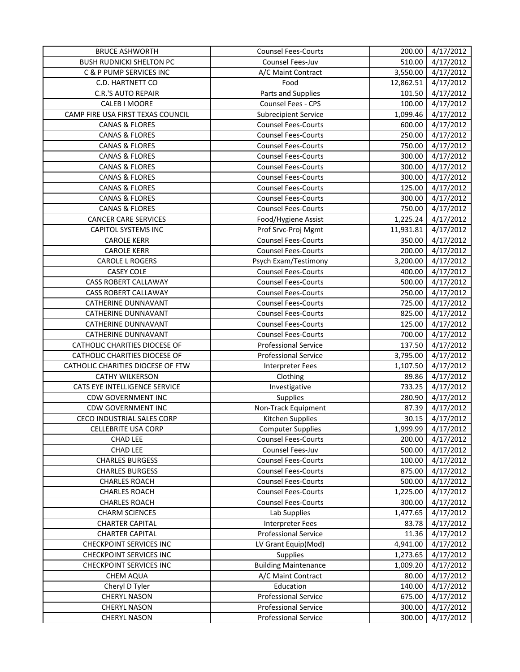| <b>BRUCE ASHWORTH</b>             | <b>Counsel Fees-Courts</b>  | 200.00    | 4/17/2012 |
|-----------------------------------|-----------------------------|-----------|-----------|
| <b>BUSH RUDNICKI SHELTON PC</b>   | Counsel Fees-Juv            | 510.00    | 4/17/2012 |
| C & P PUMP SERVICES INC           | A/C Maint Contract          | 3,550.00  | 4/17/2012 |
| C.D. HARTNETT CO                  | Food                        | 12,862.51 | 4/17/2012 |
| C.R.'S AUTO REPAIR                | Parts and Supplies          | 101.50    | 4/17/2012 |
| CALEB I MOORE                     | Counsel Fees - CPS          | 100.00    | 4/17/2012 |
| CAMP FIRE USA FIRST TEXAS COUNCIL | <b>Subrecipient Service</b> | 1,099.46  | 4/17/2012 |
| <b>CANAS &amp; FLORES</b>         | <b>Counsel Fees-Courts</b>  | 600.00    | 4/17/2012 |
| <b>CANAS &amp; FLORES</b>         | <b>Counsel Fees-Courts</b>  | 250.00    | 4/17/2012 |
| <b>CANAS &amp; FLORES</b>         | <b>Counsel Fees-Courts</b>  | 750.00    | 4/17/2012 |
| <b>CANAS &amp; FLORES</b>         | <b>Counsel Fees-Courts</b>  | 300.00    | 4/17/2012 |
| <b>CANAS &amp; FLORES</b>         | <b>Counsel Fees-Courts</b>  | 300.00    | 4/17/2012 |
| <b>CANAS &amp; FLORES</b>         | <b>Counsel Fees-Courts</b>  | 300.00    | 4/17/2012 |
| <b>CANAS &amp; FLORES</b>         | <b>Counsel Fees-Courts</b>  | 125.00    | 4/17/2012 |
| <b>CANAS &amp; FLORES</b>         | <b>Counsel Fees-Courts</b>  | 300.00    | 4/17/2012 |
| <b>CANAS &amp; FLORES</b>         | <b>Counsel Fees-Courts</b>  | 750.00    | 4/17/2012 |
| <b>CANCER CARE SERVICES</b>       | Food/Hygiene Assist         | 1,225.24  | 4/17/2012 |
| <b>CAPITOL SYSTEMS INC</b>        | Prof Srvc-Proj Mgmt         | 11,931.81 | 4/17/2012 |
| <b>CAROLE KERR</b>                | <b>Counsel Fees-Courts</b>  | 350.00    | 4/17/2012 |
| <b>CAROLE KERR</b>                | <b>Counsel Fees-Courts</b>  | 200.00    | 4/17/2012 |
| <b>CAROLE L ROGERS</b>            | Psych Exam/Testimony        | 3,200.00  | 4/17/2012 |
| <b>CASEY COLE</b>                 | Counsel Fees-Courts         | 400.00    | 4/17/2012 |
| CASS ROBERT CALLAWAY              | <b>Counsel Fees-Courts</b>  | 500.00    | 4/17/2012 |
| <b>CASS ROBERT CALLAWAY</b>       | <b>Counsel Fees-Courts</b>  | 250.00    | 4/17/2012 |
| <b>CATHERINE DUNNAVANT</b>        | <b>Counsel Fees-Courts</b>  | 725.00    | 4/17/2012 |
| <b>CATHERINE DUNNAVANT</b>        | <b>Counsel Fees-Courts</b>  | 825.00    | 4/17/2012 |
| <b>CATHERINE DUNNAVANT</b>        | <b>Counsel Fees-Courts</b>  | 125.00    | 4/17/2012 |
| <b>CATHERINE DUNNAVANT</b>        | <b>Counsel Fees-Courts</b>  | 700.00    | 4/17/2012 |
| CATHOLIC CHARITIES DIOCESE OF     | <b>Professional Service</b> | 137.50    | 4/17/2012 |
| CATHOLIC CHARITIES DIOCESE OF     | <b>Professional Service</b> | 3,795.00  | 4/17/2012 |
| CATHOLIC CHARITIES DIOCESE OF FTW | Interpreter Fees            | 1,107.50  | 4/17/2012 |
| <b>CATHY WILKERSON</b>            | Clothing                    | 89.86     | 4/17/2012 |
| CATS EYE INTELLIGENCE SERVICE     | Investigative               | 733.25    | 4/17/2012 |
| <b>CDW GOVERNMENT INC</b>         | Supplies                    | 280.90    | 4/17/2012 |
| <b>CDW GOVERNMENT INC</b>         | Non-Track Equipment         | 87.39     | 4/17/2012 |
| <b>CECO INDUSTRIAL SALES CORP</b> | Kitchen Supplies            | 30.15     | 4/17/2012 |
| CELLEBRITE USA CORP               | <b>Computer Supplies</b>    | 1,999.99  | 4/17/2012 |
| <b>CHAD LEE</b>                   | <b>Counsel Fees-Courts</b>  | 200.00    | 4/17/2012 |
| <b>CHAD LEE</b>                   | Counsel Fees-Juv            | 500.00    | 4/17/2012 |
| <b>CHARLES BURGESS</b>            | <b>Counsel Fees-Courts</b>  | 100.00    | 4/17/2012 |
| <b>CHARLES BURGESS</b>            | <b>Counsel Fees-Courts</b>  | 875.00    | 4/17/2012 |
| <b>CHARLES ROACH</b>              | <b>Counsel Fees-Courts</b>  | 500.00    | 4/17/2012 |
| <b>CHARLES ROACH</b>              | <b>Counsel Fees-Courts</b>  | 1,225.00  | 4/17/2012 |
| <b>CHARLES ROACH</b>              | <b>Counsel Fees-Courts</b>  | 300.00    | 4/17/2012 |
| <b>CHARM SCIENCES</b>             | Lab Supplies                | 1,477.65  | 4/17/2012 |
| <b>CHARTER CAPITAL</b>            | Interpreter Fees            | 83.78     | 4/17/2012 |
| <b>CHARTER CAPITAL</b>            | <b>Professional Service</b> | 11.36     | 4/17/2012 |
| <b>CHECKPOINT SERVICES INC</b>    | LV Grant Equip(Mod)         | 4,941.00  | 4/17/2012 |
| <b>CHECKPOINT SERVICES INC</b>    | <b>Supplies</b>             | 1,273.65  | 4/17/2012 |
| <b>CHECKPOINT SERVICES INC</b>    | <b>Building Maintenance</b> | 1,009.20  | 4/17/2012 |
| <b>CHEM AQUA</b>                  | A/C Maint Contract          | 80.00     | 4/17/2012 |
| Cheryl D Tyler                    | Education                   | 140.00    | 4/17/2012 |
| <b>CHERYL NASON</b>               | <b>Professional Service</b> | 675.00    | 4/17/2012 |
| <b>CHERYL NASON</b>               | <b>Professional Service</b> | 300.00    | 4/17/2012 |
| <b>CHERYL NASON</b>               | <b>Professional Service</b> | 300.00    | 4/17/2012 |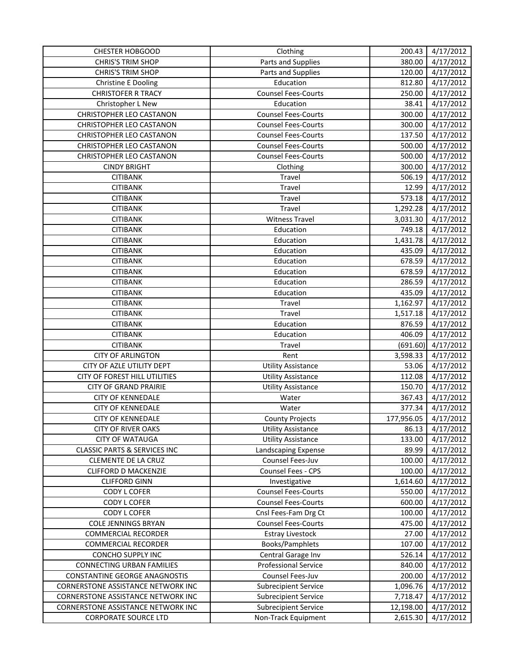| <b>CHESTER HOBGOOD</b>                  | Clothing                    | 200.43     | 4/17/2012 |
|-----------------------------------------|-----------------------------|------------|-----------|
| <b>CHRIS'S TRIM SHOP</b>                | Parts and Supplies          | 380.00     | 4/17/2012 |
| <b>CHRIS'S TRIM SHOP</b>                | Parts and Supplies          | 120.00     | 4/17/2012 |
| <b>Christine E Dooling</b>              | Education                   | 812.80     | 4/17/2012 |
| <b>CHRISTOFER R TRACY</b>               | <b>Counsel Fees-Courts</b>  | 250.00     | 4/17/2012 |
| Christopher L New                       | Education                   | 38.41      | 4/17/2012 |
| <b>CHRISTOPHER LEO CASTANON</b>         | <b>Counsel Fees-Courts</b>  | 300.00     | 4/17/2012 |
| CHRISTOPHER LEO CASTANON                | <b>Counsel Fees-Courts</b>  | 300.00     | 4/17/2012 |
| <b>CHRISTOPHER LEO CASTANON</b>         | <b>Counsel Fees-Courts</b>  | 137.50     | 4/17/2012 |
| CHRISTOPHER LEO CASTANON                | <b>Counsel Fees-Courts</b>  | 500.00     | 4/17/2012 |
| <b>CHRISTOPHER LEO CASTANON</b>         | <b>Counsel Fees-Courts</b>  | 500.00     | 4/17/2012 |
| <b>CINDY BRIGHT</b>                     | Clothing                    | 300.00     | 4/17/2012 |
| <b>CITIBANK</b>                         | Travel                      | 506.19     | 4/17/2012 |
| <b>CITIBANK</b>                         | Travel                      | 12.99      | 4/17/2012 |
| <b>CITIBANK</b>                         | Travel                      | 573.18     | 4/17/2012 |
| <b>CITIBANK</b>                         | Travel                      | 1,292.28   | 4/17/2012 |
| <b>CITIBANK</b>                         | <b>Witness Travel</b>       | 3,031.30   | 4/17/2012 |
| <b>CITIBANK</b>                         | Education                   | 749.18     | 4/17/2012 |
| <b>CITIBANK</b>                         | Education                   | 1,431.78   | 4/17/2012 |
| <b>CITIBANK</b>                         | Education                   | 435.09     | 4/17/2012 |
| <b>CITIBANK</b>                         | Education                   | 678.59     | 4/17/2012 |
| <b>CITIBANK</b>                         | Education                   | 678.59     | 4/17/2012 |
| <b>CITIBANK</b>                         | Education                   | 286.59     | 4/17/2012 |
| <b>CITIBANK</b>                         | Education                   | 435.09     | 4/17/2012 |
| <b>CITIBANK</b>                         | Travel                      | 1,162.97   | 4/17/2012 |
| <b>CITIBANK</b>                         | Travel                      | 1,517.18   | 4/17/2012 |
| <b>CITIBANK</b>                         | Education                   | 876.59     | 4/17/2012 |
| <b>CITIBANK</b>                         | Education                   | 406.09     | 4/17/2012 |
| <b>CITIBANK</b>                         | Travel                      | (691.60)   | 4/17/2012 |
| <b>CITY OF ARLINGTON</b>                | Rent                        | 3,598.33   | 4/17/2012 |
| CITY OF AZLE UTILITY DEPT               | <b>Utility Assistance</b>   | 53.06      | 4/17/2012 |
| CITY OF FOREST HILL UTILITIES           | <b>Utility Assistance</b>   | 112.08     | 4/17/2012 |
| <b>CITY OF GRAND PRAIRIE</b>            | <b>Utility Assistance</b>   | 150.70     | 4/17/2012 |
| <b>CITY OF KENNEDALE</b>                | Water                       | 367.43     | 4/17/2012 |
| <b>CITY OF KENNEDALE</b>                | Water                       | 377.34     | 4/17/2012 |
| <b>CITY OF KENNEDALE</b>                | <b>County Projects</b>      | 177,956.05 | 4/17/2012 |
| <b>CITY OF RIVER OAKS</b>               | <b>Utility Assistance</b>   | 86.13      | 4/17/2012 |
| <b>CITY OF WATAUGA</b>                  | <b>Utility Assistance</b>   | 133.00     | 4/17/2012 |
| <b>CLASSIC PARTS &amp; SERVICES INC</b> | Landscaping Expense         | 89.99      | 4/17/2012 |
| CLEMENTE DE LA CRUZ                     | Counsel Fees-Juv            | 100.00     | 4/17/2012 |
| <b>CLIFFORD D MACKENZIE</b>             | Counsel Fees - CPS          | 100.00     | 4/17/2012 |
| <b>CLIFFORD GINN</b>                    | Investigative               | 1,614.60   | 4/17/2012 |
| CODY L COFER                            | <b>Counsel Fees-Courts</b>  | 550.00     | 4/17/2012 |
| CODY L COFER                            | <b>Counsel Fees-Courts</b>  | 600.00     | 4/17/2012 |
| <b>CODY L COFER</b>                     | Cnsl Fees-Fam Drg Ct        | 100.00     | 4/17/2012 |
| <b>COLE JENNINGS BRYAN</b>              | <b>Counsel Fees-Courts</b>  | 475.00     | 4/17/2012 |
| <b>COMMERCIAL RECORDER</b>              | <b>Estray Livestock</b>     | 27.00      | 4/17/2012 |
| <b>COMMERCIAL RECORDER</b>              | Books/Pamphlets             | 107.00     | 4/17/2012 |
| <b>CONCHO SUPPLY INC</b>                | Central Garage Inv          | 526.14     | 4/17/2012 |
| <b>CONNECTING URBAN FAMILIES</b>        | <b>Professional Service</b> | 840.00     | 4/17/2012 |
| CONSTANTINE GEORGE ANAGNOSTIS           | Counsel Fees-Juv            | 200.00     | 4/17/2012 |
| CORNERSTONE ASSISTANCE NETWORK INC      | <b>Subrecipient Service</b> | 1,096.76   | 4/17/2012 |
| CORNERSTONE ASSISTANCE NETWORK INC      | <b>Subrecipient Service</b> | 7,718.47   | 4/17/2012 |
| CORNERSTONE ASSISTANCE NETWORK INC      | <b>Subrecipient Service</b> | 12,198.00  | 4/17/2012 |
| <b>CORPORATE SOURCE LTD</b>             | Non-Track Equipment         | 2,615.30   | 4/17/2012 |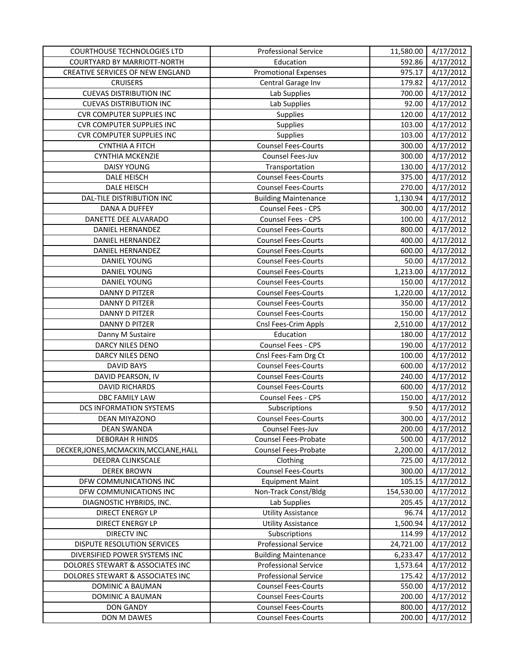| COURTHOUSE TECHNOLOGIES LTD            | <b>Professional Service</b> | 11,580.00  | 4/17/2012 |
|----------------------------------------|-----------------------------|------------|-----------|
| COURTYARD BY MARRIOTT-NORTH            | Education                   | 592.86     | 4/17/2012 |
| CREATIVE SERVICES OF NEW ENGLAND       | <b>Promotional Expenses</b> | 975.17     | 4/17/2012 |
| <b>CRUISERS</b>                        | Central Garage Inv          | 179.82     | 4/17/2012 |
| <b>CUEVAS DISTRIBUTION INC</b>         | Lab Supplies                | 700.00     | 4/17/2012 |
| <b>CUEVAS DISTRIBUTION INC</b>         | Lab Supplies                | 92.00      | 4/17/2012 |
| <b>CVR COMPUTER SUPPLIES INC</b>       | Supplies                    | 120.00     | 4/17/2012 |
| <b>CVR COMPUTER SUPPLIES INC</b>       | Supplies                    | 103.00     | 4/17/2012 |
| <b>CVR COMPUTER SUPPLIES INC</b>       | Supplies                    | 103.00     | 4/17/2012 |
| <b>CYNTHIA A FITCH</b>                 | <b>Counsel Fees-Courts</b>  | 300.00     | 4/17/2012 |
| <b>CYNTHIA MCKENZIE</b>                | Counsel Fees-Juv            | 300.00     | 4/17/2012 |
| DAISY YOUNG                            | Transportation              | 130.00     | 4/17/2012 |
| DALE HEISCH                            | <b>Counsel Fees-Courts</b>  | 375.00     | 4/17/2012 |
| DALE HEISCH                            | <b>Counsel Fees-Courts</b>  | 270.00     | 4/17/2012 |
| DAL-TILE DISTRIBUTION INC              | <b>Building Maintenance</b> | 1,130.94   | 4/17/2012 |
| DANA A DUFFEY                          | Counsel Fees - CPS          | 300.00     | 4/17/2012 |
| DANETTE DEE ALVARADO                   | Counsel Fees - CPS          | 100.00     | 4/17/2012 |
| DANIEL HERNANDEZ                       | <b>Counsel Fees-Courts</b>  | 800.00     | 4/17/2012 |
| DANIEL HERNANDEZ                       | <b>Counsel Fees-Courts</b>  | 400.00     | 4/17/2012 |
| DANIEL HERNANDEZ                       | <b>Counsel Fees-Courts</b>  | 600.00     | 4/17/2012 |
| DANIEL YOUNG                           | <b>Counsel Fees-Courts</b>  | 50.00      | 4/17/2012 |
| DANIEL YOUNG                           | <b>Counsel Fees-Courts</b>  | 1,213.00   | 4/17/2012 |
| DANIEL YOUNG                           | <b>Counsel Fees-Courts</b>  | 150.00     | 4/17/2012 |
| DANNY D PITZER                         | <b>Counsel Fees-Courts</b>  | 1,220.00   | 4/17/2012 |
| DANNY D PITZER                         | <b>Counsel Fees-Courts</b>  | 350.00     | 4/17/2012 |
| <b>DANNY D PITZER</b>                  | <b>Counsel Fees-Courts</b>  | 150.00     | 4/17/2012 |
| DANNY D PITZER                         | Cnsl Fees-Crim Appls        | 2,510.00   | 4/17/2012 |
| Danny M Sustaire                       | Education                   | 180.00     | 4/17/2012 |
| DARCY NILES DENO                       | Counsel Fees - CPS          | 190.00     | 4/17/2012 |
| DARCY NILES DENO                       | Cnsl Fees-Fam Drg Ct        | 100.00     | 4/17/2012 |
| <b>DAVID BAYS</b>                      | <b>Counsel Fees-Courts</b>  | 600.00     | 4/17/2012 |
| DAVID PEARSON, IV                      | <b>Counsel Fees-Courts</b>  | 240.00     | 4/17/2012 |
| <b>DAVID RICHARDS</b>                  | <b>Counsel Fees-Courts</b>  | 600.00     | 4/17/2012 |
| DBC FAMILY LAW                         | Counsel Fees - CPS          | 150.00     | 4/17/2012 |
| DCS INFORMATION SYSTEMS                | Subscriptions               | 9.50       | 4/17/2012 |
| <b>DEAN MIYAZONO</b>                   | <b>Counsel Fees-Courts</b>  | 300.00     | 4/17/2012 |
| DEAN SWANDA                            | Counsel Fees-Juv            | 200.00     | 4/17/2012 |
| <b>DEBORAH R HINDS</b>                 | Counsel Fees-Probate        | 500.00     | 4/17/2012 |
| DECKER, JONES, MCMACKIN, MCCLANE, HALL | Counsel Fees-Probate        | 2,200.00   | 4/17/2012 |
| DEEDRA CLINKSCALE                      | Clothing                    | 725.00     | 4/17/2012 |
| <b>DEREK BROWN</b>                     | <b>Counsel Fees-Courts</b>  | 300.00     | 4/17/2012 |
| DFW COMMUNICATIONS INC                 | <b>Equipment Maint</b>      | 105.15     | 4/17/2012 |
| DFW COMMUNICATIONS INC                 | Non-Track Const/Bldg        | 154,530.00 | 4/17/2012 |
| DIAGNOSTIC HYBRIDS, INC.               | Lab Supplies                | 205.45     | 4/17/2012 |
| <b>DIRECT ENERGY LP</b>                | <b>Utility Assistance</b>   | 96.74      | 4/17/2012 |
| <b>DIRECT ENERGY LP</b>                | <b>Utility Assistance</b>   | 1,500.94   | 4/17/2012 |
| <b>DIRECTV INC</b>                     | Subscriptions               | 114.99     | 4/17/2012 |
| DISPUTE RESOLUTION SERVICES            | <b>Professional Service</b> | 24,721.00  | 4/17/2012 |
| DIVERSIFIED POWER SYSTEMS INC          | <b>Building Maintenance</b> | 6,233.47   | 4/17/2012 |
| DOLORES STEWART & ASSOCIATES INC       | <b>Professional Service</b> | 1,573.64   | 4/17/2012 |
| DOLORES STEWART & ASSOCIATES INC       | <b>Professional Service</b> | 175.42     | 4/17/2012 |
| DOMINIC A BAUMAN                       | <b>Counsel Fees-Courts</b>  | 550.00     | 4/17/2012 |
| DOMINIC A BAUMAN                       | <b>Counsel Fees-Courts</b>  | 200.00     | 4/17/2012 |
| <b>DON GANDY</b>                       | <b>Counsel Fees-Courts</b>  | 800.00     | 4/17/2012 |
| DON M DAWES                            | <b>Counsel Fees-Courts</b>  | 200.00     | 4/17/2012 |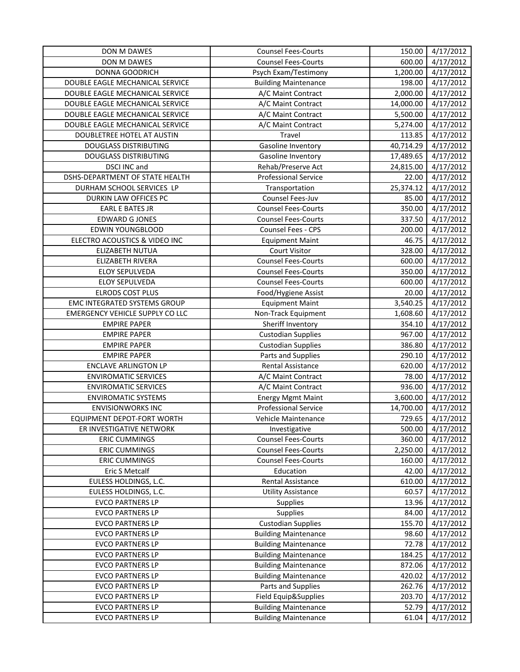| DON M DAWES                            | <b>Counsel Fees-Courts</b>  | 150.00    | 4/17/2012 |
|----------------------------------------|-----------------------------|-----------|-----------|
| DON M DAWES                            | <b>Counsel Fees-Courts</b>  | 600.00    | 4/17/2012 |
| <b>DONNA GOODRICH</b>                  | Psych Exam/Testimony        | 1,200.00  | 4/17/2012 |
| DOUBLE EAGLE MECHANICAL SERVICE        | <b>Building Maintenance</b> | 198.00    | 4/17/2012 |
| DOUBLE EAGLE MECHANICAL SERVICE        | A/C Maint Contract          | 2,000.00  | 4/17/2012 |
| DOUBLE EAGLE MECHANICAL SERVICE        | A/C Maint Contract          | 14,000.00 | 4/17/2012 |
| DOUBLE EAGLE MECHANICAL SERVICE        | A/C Maint Contract          | 5,500.00  | 4/17/2012 |
| DOUBLE EAGLE MECHANICAL SERVICE        | A/C Maint Contract          | 5,274.00  | 4/17/2012 |
| DOUBLETREE HOTEL AT AUSTIN             | Travel                      | 113.85    | 4/17/2012 |
| <b>DOUGLASS DISTRIBUTING</b>           | Gasoline Inventory          | 40,714.29 | 4/17/2012 |
| <b>DOUGLASS DISTRIBUTING</b>           | <b>Gasoline Inventory</b>   | 17,489.65 | 4/17/2012 |
| DSCI INC and                           | Rehab/Preserve Act          | 24,815.00 | 4/17/2012 |
| DSHS-DEPARTMENT OF STATE HEALTH        | <b>Professional Service</b> | 22.00     | 4/17/2012 |
| DURHAM SCHOOL SERVICES LP              | Transportation              | 25,374.12 | 4/17/2012 |
| DURKIN LAW OFFICES PC                  | Counsel Fees-Juv            | 85.00     | 4/17/2012 |
| <b>EARL E BATES JR</b>                 | <b>Counsel Fees-Courts</b>  | 350.00    | 4/17/2012 |
| <b>EDWARD G JONES</b>                  | <b>Counsel Fees-Courts</b>  | 337.50    | 4/17/2012 |
| <b>EDWIN YOUNGBLOOD</b>                | Counsel Fees - CPS          | 200.00    | 4/17/2012 |
| ELECTRO ACOUSTICS & VIDEO INC          | <b>Equipment Maint</b>      | 46.75     | 4/17/2012 |
| ELIZABETH NUTUA                        | Court Visitor               | 328.00    | 4/17/2012 |
| ELIZABETH RIVERA                       | <b>Counsel Fees-Courts</b>  | 600.00    | 4/17/2012 |
| <b>ELOY SEPULVEDA</b>                  | <b>Counsel Fees-Courts</b>  | 350.00    | 4/17/2012 |
| <b>ELOY SEPULVEDA</b>                  | <b>Counsel Fees-Courts</b>  | 600.00    | 4/17/2012 |
| <b>ELRODS COST PLUS</b>                | Food/Hygiene Assist         | 20.00     | 4/17/2012 |
| <b>EMC INTEGRATED SYSTEMS GROUP</b>    | <b>Equipment Maint</b>      | 3,540.25  | 4/17/2012 |
| <b>EMERGENCY VEHICLE SUPPLY CO LLC</b> | Non-Track Equipment         | 1,608.60  | 4/17/2012 |
| <b>EMPIRE PAPER</b>                    | Sheriff Inventory           | 354.10    | 4/17/2012 |
| <b>EMPIRE PAPER</b>                    | <b>Custodian Supplies</b>   | 967.00    | 4/17/2012 |
| <b>EMPIRE PAPER</b>                    | <b>Custodian Supplies</b>   | 386.80    | 4/17/2012 |
| <b>EMPIRE PAPER</b>                    | Parts and Supplies          | 290.10    | 4/17/2012 |
| <b>ENCLAVE ARLINGTON LP</b>            | Rental Assistance           | 620.00    | 4/17/2012 |
| <b>ENVIROMATIC SERVICES</b>            | A/C Maint Contract          | 78.00     | 4/17/2012 |
| <b>ENVIROMATIC SERVICES</b>            | A/C Maint Contract          | 936.00    | 4/17/2012 |
| <b>ENVIROMATIC SYSTEMS</b>             | Energy Mgmt Maint           | 3,600.00  | 4/17/2012 |
| <b>ENVISIONWORKS INC</b>               | <b>Professional Service</b> | 14,700.00 | 4/17/2012 |
| EQUIPMENT DEPOT-FORT WORTH             | Vehicle Maintenance         | 729.65    | 4/17/2012 |
| ER INVESTIGATIVE NETWORK               | Investigative               | 500.00    | 4/17/2012 |
| <b>ERIC CUMMINGS</b>                   | <b>Counsel Fees-Courts</b>  | 360.00    | 4/17/2012 |
| <b>ERIC CUMMINGS</b>                   | <b>Counsel Fees-Courts</b>  | 2,250.00  | 4/17/2012 |
| <b>ERIC CUMMINGS</b>                   | <b>Counsel Fees-Courts</b>  | 160.00    | 4/17/2012 |
| Eric S Metcalf                         | Education                   | 42.00     | 4/17/2012 |
| EULESS HOLDINGS, L.C.                  | Rental Assistance           | 610.00    | 4/17/2012 |
| EULESS HOLDINGS, L.C.                  | <b>Utility Assistance</b>   | 60.57     | 4/17/2012 |
| <b>EVCO PARTNERS LP</b>                | Supplies                    | 13.96     | 4/17/2012 |
| <b>EVCO PARTNERS LP</b>                | Supplies                    | 84.00     | 4/17/2012 |
| <b>EVCO PARTNERS LP</b>                | <b>Custodian Supplies</b>   | 155.70    | 4/17/2012 |
| <b>EVCO PARTNERS LP</b>                | <b>Building Maintenance</b> | 98.60     | 4/17/2012 |
| <b>EVCO PARTNERS LP</b>                | <b>Building Maintenance</b> | 72.78     | 4/17/2012 |
| <b>EVCO PARTNERS LP</b>                | <b>Building Maintenance</b> | 184.25    | 4/17/2012 |
| <b>EVCO PARTNERS LP</b>                | <b>Building Maintenance</b> | 872.06    | 4/17/2012 |
| <b>EVCO PARTNERS LP</b>                | <b>Building Maintenance</b> | 420.02    | 4/17/2012 |
| <b>EVCO PARTNERS LP</b>                | Parts and Supplies          | 262.76    | 4/17/2012 |
| <b>EVCO PARTNERS LP</b>                | Field Equip&Supplies        | 203.70    | 4/17/2012 |
| <b>EVCO PARTNERS LP</b>                | <b>Building Maintenance</b> | 52.79     | 4/17/2012 |
| <b>EVCO PARTNERS LP</b>                | <b>Building Maintenance</b> | 61.04     | 4/17/2012 |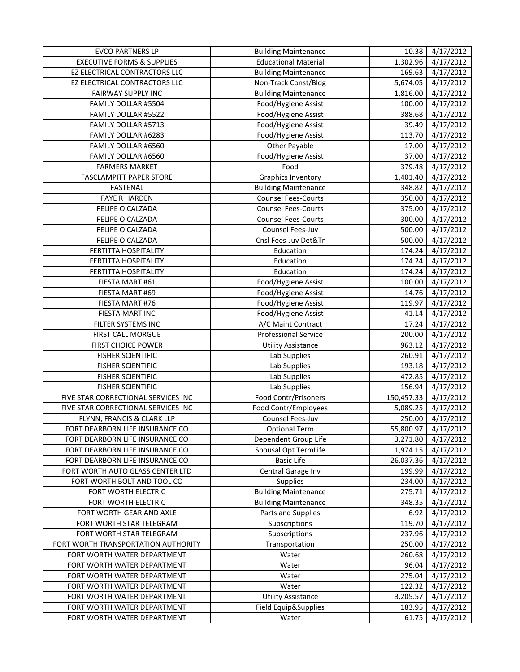| <b>EVCO PARTNERS LP</b>               | <b>Building Maintenance</b> | 10.38      | 4/17/2012              |
|---------------------------------------|-----------------------------|------------|------------------------|
| <b>EXECUTIVE FORMS &amp; SUPPLIES</b> | <b>Educational Material</b> | 1,302.96   | 4/17/2012              |
| EZ ELECTRICAL CONTRACTORS LLC         | <b>Building Maintenance</b> | 169.63     | 4/17/2012              |
| EZ ELECTRICAL CONTRACTORS LLC         | Non-Track Const/Bldg        | 5,674.05   | 4/17/2012              |
| <b>FAIRWAY SUPPLY INC</b>             | <b>Building Maintenance</b> | 1,816.00   | 4/17/2012              |
| FAMILY DOLLAR #5504                   | Food/Hygiene Assist         | 100.00     | 4/17/2012              |
| FAMILY DOLLAR #5522                   | Food/Hygiene Assist         | 388.68     | 4/17/2012              |
| FAMILY DOLLAR #5713                   | Food/Hygiene Assist         | 39.49      | 4/17/2012              |
| FAMILY DOLLAR #6283                   | Food/Hygiene Assist         | 113.70     | 4/17/2012              |
| FAMILY DOLLAR #6560                   | Other Payable               | 17.00      | 4/17/2012              |
| FAMILY DOLLAR #6560                   | Food/Hygiene Assist         | 37.00      | 4/17/2012              |
| <b>FARMERS MARKET</b>                 | Food                        | 379.48     | $\frac{1}{4}$ /17/2012 |
| <b>FASCLAMPITT PAPER STORE</b>        | <b>Graphics Inventory</b>   | 1,401.40   | 4/17/2012              |
| FASTENAL                              | <b>Building Maintenance</b> | 348.82     | 4/17/2012              |
| <b>FAYE R HARDEN</b>                  | <b>Counsel Fees-Courts</b>  | 350.00     | 4/17/2012              |
| FELIPE O CALZADA                      | <b>Counsel Fees-Courts</b>  | 375.00     | 4/17/2012              |
| FELIPE O CALZADA                      | <b>Counsel Fees-Courts</b>  | 300.00     | 4/17/2012              |
| FELIPE O CALZADA                      | Counsel Fees-Juv            | 500.00     | 4/17/2012              |
| FELIPE O CALZADA                      | Cnsl Fees-Juv Det&Tr        | 500.00     | 4/17/2012              |
| FERTITTA HOSPITALITY                  | Education                   | 174.24     | 4/17/2012              |
| FERTITTA HOSPITALITY                  | Education                   | 174.24     | 4/17/2012              |
| <b>FERTITTA HOSPITALITY</b>           | Education                   | 174.24     | 4/17/2012              |
| FIESTA MART #61                       | Food/Hygiene Assist         | 100.00     | 4/17/2012              |
| FIESTA MART #69                       | Food/Hygiene Assist         | 14.76      | 4/17/2012              |
| FIESTA MART #76                       | Food/Hygiene Assist         | 119.97     | 4/17/2012              |
| FIESTA MART INC                       | Food/Hygiene Assist         | 41.14      | 4/17/2012              |
| FILTER SYSTEMS INC                    | A/C Maint Contract          | 17.24      | 4/17/2012              |
| FIRST CALL MORGUE                     | <b>Professional Service</b> | 200.00     | 4/17/2012              |
| <b>FIRST CHOICE POWER</b>             | <b>Utility Assistance</b>   | 963.12     | 4/17/2012              |
| <b>FISHER SCIENTIFIC</b>              | Lab Supplies                | 260.91     | 4/17/2012              |
| <b>FISHER SCIENTIFIC</b>              | Lab Supplies                | 193.18     | 4/17/2012              |
| <b>FISHER SCIENTIFIC</b>              | Lab Supplies                | 472.85     | 4/17/2012              |
| <b>FISHER SCIENTIFIC</b>              | Lab Supplies                | 156.94     | 4/17/2012              |
| FIVE STAR CORRECTIONAL SERVICES INC   | Food Contr/Prisoners        | 150,457.33 | 4/17/2012              |
| FIVE STAR CORRECTIONAL SERVICES INC   | Food Contr/Employees        | 5,089.25   | 4/17/2012              |
| FLYNN, FRANCIS & CLARK LLP            | Counsel Fees-Juv            | 250.00     | 4/17/2012              |
| FORT DEARBORN LIFE INSURANCE CO       | <b>Optional Term</b>        | 55,800.97  | 4/17/2012              |
| FORT DEARBORN LIFE INSURANCE CO       | Dependent Group Life        | 3,271.80   | 4/17/2012              |
| FORT DEARBORN LIFE INSURANCE CO       | Spousal Opt TermLife        | 1,974.15   | 4/17/2012              |
| FORT DEARBORN LIFE INSURANCE CO       | <b>Basic Life</b>           | 26,037.36  | 4/17/2012              |
| FORT WORTH AUTO GLASS CENTER LTD      | Central Garage Inv          | 199.99     | 4/17/2012              |
| FORT WORTH BOLT AND TOOL CO           | <b>Supplies</b>             | 234.00     | 4/17/2012              |
| FORT WORTH ELECTRIC                   | <b>Building Maintenance</b> | 275.71     | 4/17/2012              |
| FORT WORTH ELECTRIC                   | <b>Building Maintenance</b> | 348.35     | 4/17/2012              |
| FORT WORTH GEAR AND AXLE              | Parts and Supplies          | 6.92       | 4/17/2012              |
| FORT WORTH STAR TELEGRAM              | Subscriptions               | 119.70     | 4/17/2012              |
| FORT WORTH STAR TELEGRAM              | Subscriptions               | 237.96     | 4/17/2012              |
| FORT WORTH TRANSPORTATION AUTHORITY   | Transportation              | 250.00     | 4/17/2012              |
| FORT WORTH WATER DEPARTMENT           | Water                       | 260.68     | 4/17/2012              |
| FORT WORTH WATER DEPARTMENT           | Water                       | 96.04      | 4/17/2012              |
| FORT WORTH WATER DEPARTMENT           | Water                       | 275.04     | 4/17/2012              |
| FORT WORTH WATER DEPARTMENT           | Water                       | 122.32     | 4/17/2012              |
| FORT WORTH WATER DEPARTMENT           | <b>Utility Assistance</b>   | 3,205.57   | 4/17/2012              |
| FORT WORTH WATER DEPARTMENT           | Field Equip&Supplies        | 183.95     | 4/17/2012              |
| FORT WORTH WATER DEPARTMENT           | Water                       | 61.75      | 4/17/2012              |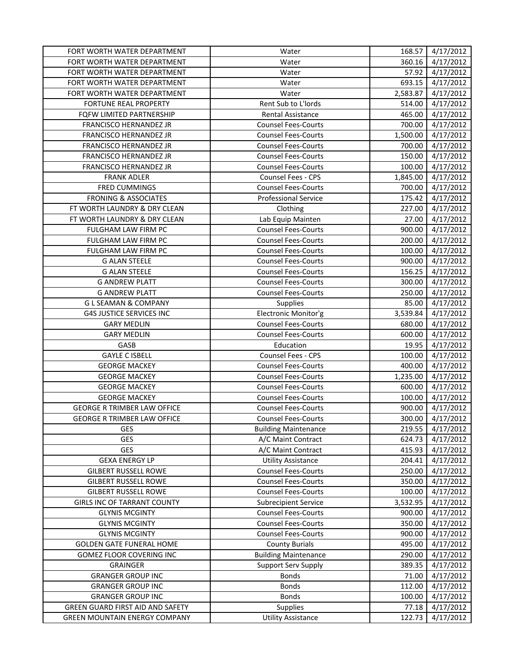| FORT WORTH WATER DEPARTMENT          | Water                       | 168.57   | 4/17/2012 |
|--------------------------------------|-----------------------------|----------|-----------|
| FORT WORTH WATER DEPARTMENT          | Water                       | 360.16   | 4/17/2012 |
| FORT WORTH WATER DEPARTMENT          | Water                       | 57.92    | 4/17/2012 |
| FORT WORTH WATER DEPARTMENT          | Water                       | 693.15   | 4/17/2012 |
| FORT WORTH WATER DEPARTMENT          | Water                       | 2,583.87 | 4/17/2012 |
| FORTUNE REAL PROPERTY                | Rent Sub to L'Iords         | 514.00   | 4/17/2012 |
| FQFW LIMITED PARTNERSHIP             | Rental Assistance           | 465.00   | 4/17/2012 |
| FRANCISCO HERNANDEZ JR               | <b>Counsel Fees-Courts</b>  | 700.00   | 4/17/2012 |
| FRANCISCO HERNANDEZ JR               | <b>Counsel Fees-Courts</b>  | 1,500.00 | 4/17/2012 |
| FRANCISCO HERNANDEZ JR               | <b>Counsel Fees-Courts</b>  | 700.00   | 4/17/2012 |
| FRANCISCO HERNANDEZ JR               | <b>Counsel Fees-Courts</b>  | 150.00   | 4/17/2012 |
| FRANCISCO HERNANDEZ JR               | <b>Counsel Fees-Courts</b>  | 100.00   | 4/17/2012 |
| <b>FRANK ADLER</b>                   | Counsel Fees - CPS          | 1,845.00 | 4/17/2012 |
| FRED CUMMINGS                        | <b>Counsel Fees-Courts</b>  | 700.00   | 4/17/2012 |
| <b>FRONING &amp; ASSOCIATES</b>      | <b>Professional Service</b> | 175.42   | 4/17/2012 |
| FT WORTH LAUNDRY & DRY CLEAN         | Clothing                    | 227.00   | 4/17/2012 |
| FT WORTH LAUNDRY & DRY CLEAN         | Lab Equip Mainten           | 27.00    | 4/17/2012 |
| FULGHAM LAW FIRM PC                  | <b>Counsel Fees-Courts</b>  | 900.00   | 4/17/2012 |
| FULGHAM LAW FIRM PC                  | <b>Counsel Fees-Courts</b>  | 200.00   | 4/17/2012 |
| FULGHAM LAW FIRM PC                  | <b>Counsel Fees-Courts</b>  | 100.00   | 4/17/2012 |
| <b>G ALAN STEELE</b>                 | <b>Counsel Fees-Courts</b>  | 900.00   | 4/17/2012 |
| <b>G ALAN STEELE</b>                 | <b>Counsel Fees-Courts</b>  | 156.25   | 4/17/2012 |
| <b>G ANDREW PLATT</b>                | <b>Counsel Fees-Courts</b>  | 300.00   | 4/17/2012 |
| <b>G ANDREW PLATT</b>                | <b>Counsel Fees-Courts</b>  | 250.00   | 4/17/2012 |
| <b>GLSEAMAN &amp; COMPANY</b>        | Supplies                    | 85.00    | 4/17/2012 |
| <b>G4S JUSTICE SERVICES INC</b>      | Electronic Monitor'g        | 3,539.84 | 4/17/2012 |
| <b>GARY MEDLIN</b>                   | <b>Counsel Fees-Courts</b>  | 680.00   | 4/17/2012 |
| <b>GARY MEDLIN</b>                   | <b>Counsel Fees-Courts</b>  | 600.00   | 4/17/2012 |
| GASB                                 | Education                   | 19.95    | 4/17/2012 |
| <b>GAYLE C ISBELL</b>                | Counsel Fees - CPS          | 100.00   | 4/17/2012 |
| <b>GEORGE MACKEY</b>                 | <b>Counsel Fees-Courts</b>  | 400.00   | 4/17/2012 |
| <b>GEORGE MACKEY</b>                 | <b>Counsel Fees-Courts</b>  | 1,235.00 | 4/17/2012 |
| <b>GEORGE MACKEY</b>                 | <b>Counsel Fees-Courts</b>  | 600.00   | 4/17/2012 |
| <b>GEORGE MACKEY</b>                 | <b>Counsel Fees-Courts</b>  | 100.00   | 4/17/2012 |
| <b>GEORGE R TRIMBER LAW OFFICE</b>   | <b>Counsel Fees-Courts</b>  | 900.00   | 4/17/2012 |
| <b>GEORGE R TRIMBER LAW OFFICE</b>   | <b>Counsel Fees-Courts</b>  | 300.00   | 4/17/2012 |
| GES                                  | <b>Building Maintenance</b> | 219.55   | 4/17/2012 |
| GES                                  | A/C Maint Contract          | 624.73   | 4/17/2012 |
| <b>GES</b>                           | A/C Maint Contract          | 415.93   | 4/17/2012 |
| <b>GEXA ENERGY LP</b>                | <b>Utility Assistance</b>   | 204.41   | 4/17/2012 |
| <b>GILBERT RUSSELL ROWE</b>          | <b>Counsel Fees-Courts</b>  | 250.00   | 4/17/2012 |
| <b>GILBERT RUSSELL ROWE</b>          | <b>Counsel Fees-Courts</b>  | 350.00   | 4/17/2012 |
| <b>GILBERT RUSSELL ROWE</b>          | <b>Counsel Fees-Courts</b>  | 100.00   | 4/17/2012 |
| <b>GIRLS INC OF TARRANT COUNTY</b>   | <b>Subrecipient Service</b> | 3,532.95 | 4/17/2012 |
| <b>GLYNIS MCGINTY</b>                | <b>Counsel Fees-Courts</b>  | 900.00   | 4/17/2012 |
| <b>GLYNIS MCGINTY</b>                | <b>Counsel Fees-Courts</b>  | 350.00   | 4/17/2012 |
| <b>GLYNIS MCGINTY</b>                | <b>Counsel Fees-Courts</b>  | 900.00   | 4/17/2012 |
| <b>GOLDEN GATE FUNERAL HOME</b>      | <b>County Burials</b>       | 495.00   | 4/17/2012 |
| GOMEZ FLOOR COVERING INC             | <b>Building Maintenance</b> | 290.00   | 4/17/2012 |
| <b>GRAINGER</b>                      | Support Serv Supply         | 389.35   | 4/17/2012 |
| <b>GRANGER GROUP INC</b>             | <b>Bonds</b>                | 71.00    | 4/17/2012 |
| <b>GRANGER GROUP INC</b>             | <b>Bonds</b>                | 112.00   | 4/17/2012 |
| <b>GRANGER GROUP INC</b>             | <b>Bonds</b>                | 100.00   | 4/17/2012 |
| GREEN GUARD FIRST AID AND SAFETY     | <b>Supplies</b>             | 77.18    | 4/17/2012 |
| <b>GREEN MOUNTAIN ENERGY COMPANY</b> | <b>Utility Assistance</b>   | 122.73   | 4/17/2012 |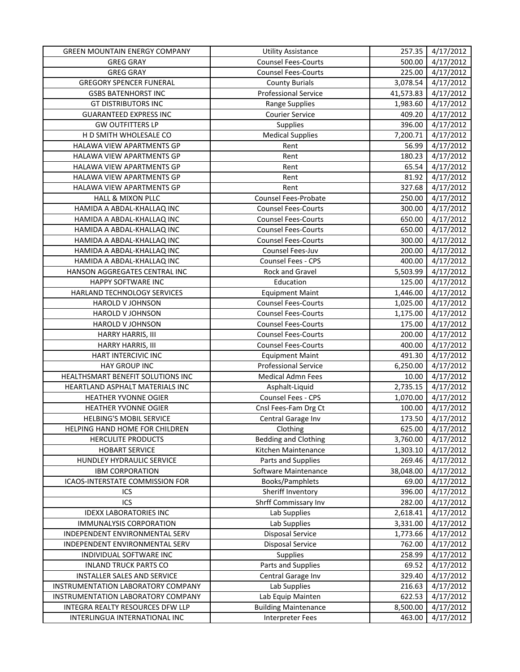| <b>GREEN MOUNTAIN ENERGY COMPANY</b> | <b>Utility Assistance</b>   | 257.35    | 4/17/2012 |
|--------------------------------------|-----------------------------|-----------|-----------|
| <b>GREG GRAY</b>                     | <b>Counsel Fees-Courts</b>  | 500.00    | 4/17/2012 |
| <b>GREG GRAY</b>                     | <b>Counsel Fees-Courts</b>  | 225.00    | 4/17/2012 |
| <b>GREGORY SPENCER FUNERAL</b>       | <b>County Burials</b>       | 3,078.54  | 4/17/2012 |
| <b>GSBS BATENHORST INC</b>           | <b>Professional Service</b> | 41,573.83 | 4/17/2012 |
| <b>GT DISTRIBUTORS INC</b>           | <b>Range Supplies</b>       | 1,983.60  | 4/17/2012 |
| <b>GUARANTEED EXPRESS INC</b>        | <b>Courier Service</b>      | 409.20    | 4/17/2012 |
| <b>GW OUTFITTERS LP</b>              | Supplies                    | 396.00    | 4/17/2012 |
| H D SMITH WHOLESALE CO               | <b>Medical Supplies</b>     | 7,200.71  | 4/17/2012 |
| HALAWA VIEW APARTMENTS GP            | Rent                        | 56.99     | 4/17/2012 |
| HALAWA VIEW APARTMENTS GP            | Rent                        | 180.23    | 4/17/2012 |
| HALAWA VIEW APARTMENTS GP            | Rent                        | 65.54     | 4/17/2012 |
| HALAWA VIEW APARTMENTS GP            | Rent                        | 81.92     | 4/17/2012 |
| HALAWA VIEW APARTMENTS GP            | Rent                        | 327.68    | 4/17/2012 |
| HALL & MIXON PLLC                    | Counsel Fees-Probate        | 250.00    | 4/17/2012 |
| HAMIDA A ABDAL-KHALLAQ INC           | <b>Counsel Fees-Courts</b>  | 300.00    | 4/17/2012 |
| HAMIDA A ABDAL-KHALLAQ INC           | <b>Counsel Fees-Courts</b>  | 650.00    | 4/17/2012 |
| HAMIDA A ABDAL-KHALLAQ INC           | <b>Counsel Fees-Courts</b>  | 650.00    | 4/17/2012 |
| HAMIDA A ABDAL-KHALLAQ INC           | <b>Counsel Fees-Courts</b>  | 300.00    | 4/17/2012 |
| HAMIDA A ABDAL-KHALLAQ INC           | Counsel Fees-Juv            | 200.00    | 4/17/2012 |
| HAMIDA A ABDAL-KHALLAQ INC           | Counsel Fees - CPS          | 400.00    | 4/17/2012 |
| HANSON AGGREGATES CENTRAL INC        | Rock and Gravel             | 5,503.99  | 4/17/2012 |
| HAPPY SOFTWARE INC                   | Education                   | 125.00    | 4/17/2012 |
| HARLAND TECHNOLOGY SERVICES          | <b>Equipment Maint</b>      | 1,446.00  | 4/17/2012 |
| HAROLD V JOHNSON                     | <b>Counsel Fees-Courts</b>  | 1,025.00  | 4/17/2012 |
| HAROLD V JOHNSON                     | <b>Counsel Fees-Courts</b>  | 1,175.00  | 4/17/2012 |
| HAROLD V JOHNSON                     | <b>Counsel Fees-Courts</b>  | 175.00    | 4/17/2012 |
| HARRY HARRIS, III                    | <b>Counsel Fees-Courts</b>  | 200.00    | 4/17/2012 |
| HARRY HARRIS, III                    | <b>Counsel Fees-Courts</b>  | 400.00    | 4/17/2012 |
| HART INTERCIVIC INC                  | <b>Equipment Maint</b>      | 491.30    | 4/17/2012 |
| HAY GROUP INC                        | <b>Professional Service</b> | 6,250.00  | 4/17/2012 |
| HEALTHSMART BENEFIT SOLUTIONS INC    | <b>Medical Admn Fees</b>    | 10.00     | 4/17/2012 |
| HEARTLAND ASPHALT MATERIALS INC      | Asphalt-Liquid              | 2,735.15  | 4/17/2012 |
| HEATHER YVONNE OGIER                 | Counsel Fees - CPS          | 1,070.00  | 4/17/2012 |
| HEATHER YVONNE OGIER                 | Cnsl Fees-Fam Drg Ct        | 100.00    | 4/17/2012 |
| <b>HELBING'S MOBIL SERVICE</b>       | Central Garage Inv          | 173.50    | 4/17/2012 |
| HELPING HAND HOME FOR CHILDREN       | Clothing                    | 625.00    | 4/17/2012 |
| HERCULITE PRODUCTS                   | <b>Bedding and Clothing</b> | 3,760.00  | 4/17/2012 |
| <b>HOBART SERVICE</b>                | Kitchen Maintenance         | 1,303.10  | 4/17/2012 |
| HUNDLEY HYDRAULIC SERVICE            | Parts and Supplies          | 269.46    | 4/17/2012 |
| <b>IBM CORPORATION</b>               | Software Maintenance        | 38,048.00 | 4/17/2012 |
| ICAOS-INTERSTATE COMMISSION FOR      | Books/Pamphlets             | 69.00     | 4/17/2012 |
| ICS                                  | Sheriff Inventory           | 396.00    | 4/17/2012 |
| ICS                                  | <b>Shrff Commissary Inv</b> | 282.00    | 4/17/2012 |
| <b>IDEXX LABORATORIES INC</b>        | Lab Supplies                | 2,618.41  | 4/17/2012 |
| <b>IMMUNALYSIS CORPORATION</b>       | Lab Supplies                | 3,331.00  | 4/17/2012 |
| INDEPENDENT ENVIRONMENTAL SERV       | <b>Disposal Service</b>     | 1,773.66  | 4/17/2012 |
| INDEPENDENT ENVIRONMENTAL SERV       | <b>Disposal Service</b>     | 762.00    | 4/17/2012 |
| INDIVIDUAL SOFTWARE INC              | <b>Supplies</b>             | 258.99    | 4/17/2012 |
| <b>INLAND TRUCK PARTS CO</b>         | Parts and Supplies          | 69.52     | 4/17/2012 |
| INSTALLER SALES AND SERVICE          | Central Garage Inv          | 329.40    | 4/17/2012 |
| INSTRUMENTATION LABORATORY COMPANY   | Lab Supplies                | 216.63    | 4/17/2012 |
| INSTRUMENTATION LABORATORY COMPANY   | Lab Equip Mainten           | 622.53    | 4/17/2012 |
| INTEGRA REALTY RESOURCES DFW LLP     | <b>Building Maintenance</b> | 8,500.00  | 4/17/2012 |
| INTERLINGUA INTERNATIONAL INC        | Interpreter Fees            | 463.00    | 4/17/2012 |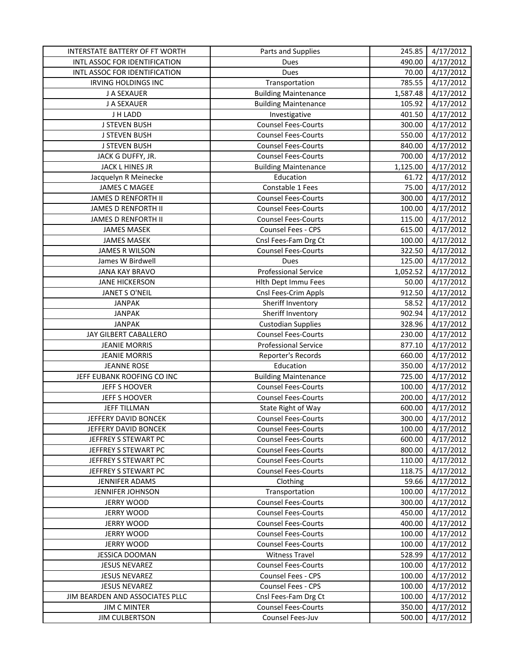| INTERSTATE BATTERY OF FT WORTH  | Parts and Supplies          | 245.85   | 4/17/2012             |
|---------------------------------|-----------------------------|----------|-----------------------|
| INTL ASSOC FOR IDENTIFICATION   | Dues                        | 490.00   | 4/17/2012             |
| INTL ASSOC FOR IDENTIFICATION   | Dues                        | 70.00    | 4/17/2012             |
| IRVING HOLDINGS INC             | Transportation              | 785.55   | 4/17/2012             |
| J A SEXAUER                     | <b>Building Maintenance</b> | 1,587.48 | 4/17/2012             |
| J A SEXAUER                     | <b>Building Maintenance</b> | 105.92   | 4/17/2012             |
| J H LADD                        | Investigative               | 401.50   | 4/17/2012             |
| <b>J STEVEN BUSH</b>            | <b>Counsel Fees-Courts</b>  | 300.00   | 4/17/2012             |
| <b>J STEVEN BUSH</b>            | <b>Counsel Fees-Courts</b>  | 550.00   | 4/17/2012             |
| <b>J STEVEN BUSH</b>            | <b>Counsel Fees-Courts</b>  | 840.00   | 4/17/2012             |
| JACK G DUFFY, JR.               | <b>Counsel Fees-Courts</b>  | 700.00   | 4/17/2012             |
| JACK L HINES JR                 | <b>Building Maintenance</b> | 1,125.00 | 4/17/2012             |
| Jacquelyn R Meinecke            | Education                   | 61.72    | 4/17/2012             |
| <b>JAMES C MAGEE</b>            | Constable 1 Fees            | 75.00    | 4/17/2012             |
| <b>JAMES D RENFORTH II</b>      | <b>Counsel Fees-Courts</b>  | 300.00   | 4/17/2012             |
| <b>JAMES D RENFORTH II</b>      | <b>Counsel Fees-Courts</b>  | 100.00   | 4/17/2012             |
| <b>JAMES D RENFORTH II</b>      | <b>Counsel Fees-Courts</b>  | 115.00   | 4/17/2012             |
| <b>JAMES MASEK</b>              | Counsel Fees - CPS          | 615.00   | 4/17/2012             |
| <b>JAMES MASEK</b>              | Cnsl Fees-Fam Drg Ct        | 100.00   | 4/17/2012             |
| JAMES R WILSON                  | <b>Counsel Fees-Courts</b>  | 322.50   | 4/17/2012             |
| James W Birdwell                | Dues                        | 125.00   | 4/17/2012             |
| <b>JANA KAY BRAVO</b>           | <b>Professional Service</b> | 1,052.52 | 4/17/2012             |
| <b>JANE HICKERSON</b>           | Hith Dept Immu Fees         | 50.00    | 4/17/2012             |
| <b>JANET S O'NEIL</b>           | Cnsl Fees-Crim Appls        | 912.50   | 4/17/2012             |
| <b>JANPAK</b>                   | Sheriff Inventory           | 58.52    | $\frac{1}{4/17/2012}$ |
| <b>JANPAK</b>                   | Sheriff Inventory           | 902.94   | 4/17/2012             |
| <b>JANPAK</b>                   | <b>Custodian Supplies</b>   | 328.96   | 4/17/2012             |
| JAY GILBERT CABALLERO           | <b>Counsel Fees-Courts</b>  | 230.00   | 4/17/2012             |
| <b>JEANIE MORRIS</b>            | <b>Professional Service</b> | 877.10   | 4/17/2012             |
| <b>JEANIE MORRIS</b>            | Reporter's Records          | 660.00   | 4/17/2012             |
| <b>JEANNE ROSE</b>              | Education                   | 350.00   | 4/17/2012             |
| JEFF EUBANK ROOFING CO INC      | <b>Building Maintenance</b> | 725.00   | 4/17/2012             |
| JEFF S HOOVER                   | <b>Counsel Fees-Courts</b>  | 100.00   | 4/17/2012             |
| JEFF S HOOVER                   | <b>Counsel Fees-Courts</b>  | 200.00   | 4/17/2012             |
| <b>JEFF TILLMAN</b>             | State Right of Way          | 600.00   | 4/17/2012             |
| JEFFERY DAVID BONCEK            | <b>Counsel Fees-Courts</b>  | 300.00   | 4/17/2012             |
| JEFFERY DAVID BONCEK            | <b>Counsel Fees-Courts</b>  | 100.00   | 4/17/2012             |
| JEFFREY S STEWART PC            | <b>Counsel Fees-Courts</b>  | 600.00   | 4/17/2012             |
| JEFFREY S STEWART PC            | <b>Counsel Fees-Courts</b>  | 800.00   | 4/17/2012             |
| JEFFREY S STEWART PC            | <b>Counsel Fees-Courts</b>  | 110.00   | 4/17/2012             |
| JEFFREY S STEWART PC            | <b>Counsel Fees-Courts</b>  | 118.75   | 4/17/2012             |
| JENNIFER ADAMS                  | Clothing                    | 59.66    | 4/17/2012             |
| JENNIFER JOHNSON                | Transportation              | 100.00   | 4/17/2012             |
| <b>JERRY WOOD</b>               | <b>Counsel Fees-Courts</b>  | 300.00   | 4/17/2012             |
| <b>JERRY WOOD</b>               | <b>Counsel Fees-Courts</b>  | 450.00   | 4/17/2012             |
| <b>JERRY WOOD</b>               | <b>Counsel Fees-Courts</b>  | 400.00   | 4/17/2012             |
| <b>JERRY WOOD</b>               | <b>Counsel Fees-Courts</b>  | 100.00   | 4/17/2012             |
| <b>JERRY WOOD</b>               | <b>Counsel Fees-Courts</b>  | 100.00   | 4/17/2012             |
| <b>JESSICA DOOMAN</b>           | <b>Witness Travel</b>       | 528.99   | 4/17/2012             |
| <b>JESUS NEVAREZ</b>            | <b>Counsel Fees-Courts</b>  | 100.00   | 4/17/2012             |
| <b>JESUS NEVAREZ</b>            | Counsel Fees - CPS          | 100.00   | 4/17/2012             |
| <b>JESUS NEVAREZ</b>            | Counsel Fees - CPS          | 100.00   | 4/17/2012             |
| JIM BEARDEN AND ASSOCIATES PLLC | Cnsl Fees-Fam Drg Ct        | 100.00   | 4/17/2012             |
| <b>JIM C MINTER</b>             | <b>Counsel Fees-Courts</b>  | 350.00   | 4/17/2012             |
| <b>JIM CULBERTSON</b>           | Counsel Fees-Juv            | 500.00   | 4/17/2012             |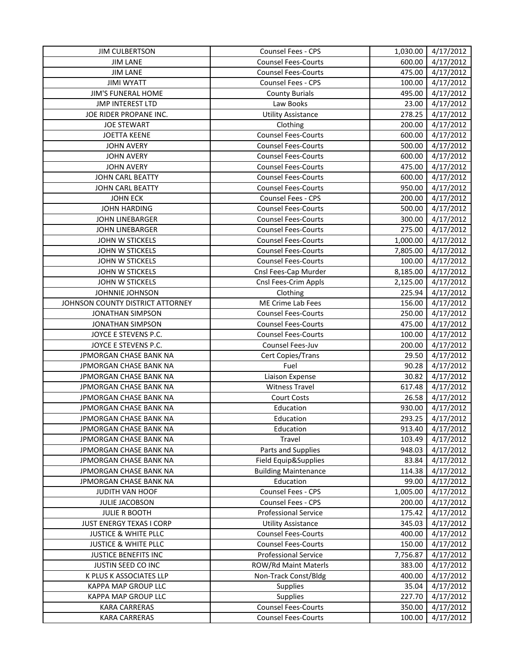| <b>JIM CULBERTSON</b>            | Counsel Fees - CPS          | 1,030.00 | 4/17/2012 |
|----------------------------------|-----------------------------|----------|-----------|
| <b>JIM LANE</b>                  | <b>Counsel Fees-Courts</b>  | 600.00   | 4/17/2012 |
| <b>JIM LANE</b>                  | <b>Counsel Fees-Courts</b>  | 475.00   | 4/17/2012 |
| <b>JIMI WYATT</b>                | Counsel Fees - CPS          | 100.00   | 4/17/2012 |
| JIM'S FUNERAL HOME               | <b>County Burials</b>       | 495.00   | 4/17/2012 |
| <b>JMP INTEREST LTD</b>          | Law Books                   | 23.00    | 4/17/2012 |
| JOE RIDER PROPANE INC.           | <b>Utility Assistance</b>   | 278.25   | 4/17/2012 |
| <b>JOE STEWART</b>               | Clothing                    | 200.00   | 4/17/2012 |
| <b>JOETTA KEENE</b>              | <b>Counsel Fees-Courts</b>  | 600.00   | 4/17/2012 |
| <b>JOHN AVERY</b>                | <b>Counsel Fees-Courts</b>  | 500.00   | 4/17/2012 |
| <b>JOHN AVERY</b>                | <b>Counsel Fees-Courts</b>  | 600.00   | 4/17/2012 |
| <b>JOHN AVERY</b>                | <b>Counsel Fees-Courts</b>  | 475.00   | 4/17/2012 |
| JOHN CARL BEATTY                 | <b>Counsel Fees-Courts</b>  | 600.00   | 4/17/2012 |
| JOHN CARL BEATTY                 | <b>Counsel Fees-Courts</b>  | 950.00   | 4/17/2012 |
| <b>JOHN ECK</b>                  | Counsel Fees - CPS          | 200.00   | 4/17/2012 |
| <b>JOHN HARDING</b>              | <b>Counsel Fees-Courts</b>  | 500.00   | 4/17/2012 |
| <b>JOHN LINEBARGER</b>           | <b>Counsel Fees-Courts</b>  | 300.00   | 4/17/2012 |
| <b>JOHN LINEBARGER</b>           | <b>Counsel Fees-Courts</b>  | 275.00   | 4/17/2012 |
| JOHN W STICKELS                  | <b>Counsel Fees-Courts</b>  | 1,000.00 | 4/17/2012 |
| JOHN W STICKELS                  | <b>Counsel Fees-Courts</b>  | 7,805.00 | 4/17/2012 |
| JOHN W STICKELS                  | <b>Counsel Fees-Courts</b>  | 100.00   | 4/17/2012 |
| JOHN W STICKELS                  | Cnsl Fees-Cap Murder        | 8,185.00 | 4/17/2012 |
| JOHN W STICKELS                  | Cnsl Fees-Crim Appls        | 2,125.00 | 4/17/2012 |
| JOHNNIE JOHNSON                  | Clothing                    | 225.94   | 4/17/2012 |
| JOHNSON COUNTY DISTRICT ATTORNEY | ME Crime Lab Fees           | 156.00   | 4/17/2012 |
| <b>JONATHAN SIMPSON</b>          | <b>Counsel Fees-Courts</b>  | 250.00   | 4/17/2012 |
| <b>JONATHAN SIMPSON</b>          | <b>Counsel Fees-Courts</b>  | 475.00   | 4/17/2012 |
| JOYCE E STEVENS P.C.             | <b>Counsel Fees-Courts</b>  | 100.00   | 4/17/2012 |
| JOYCE E STEVENS P.C.             | Counsel Fees-Juv            | 200.00   | 4/17/2012 |
| JPMORGAN CHASE BANK NA           | Cert Copies/Trans           | 29.50    | 4/17/2012 |
| JPMORGAN CHASE BANK NA           | Fuel                        | 90.28    | 4/17/2012 |
| JPMORGAN CHASE BANK NA           | Liaison Expense             | 30.82    | 4/17/2012 |
| JPMORGAN CHASE BANK NA           | <b>Witness Travel</b>       | 617.48   | 4/17/2012 |
| JPMORGAN CHASE BANK NA           | <b>Court Costs</b>          | 26.58    | 4/17/2012 |
| JPMORGAN CHASE BANK NA           | Education                   | 930.00   | 4/17/2012 |
| JPMORGAN CHASE BANK NA           | Education                   | 293.25   | 4/17/2012 |
| JPMORGAN CHASE BANK NA           | Education                   | 913.40   | 4/17/2012 |
| JPMORGAN CHASE BANK NA           | Travel                      | 103.49   | 4/17/2012 |
| JPMORGAN CHASE BANK NA           | Parts and Supplies          | 948.03   | 4/17/2012 |
| JPMORGAN CHASE BANK NA           | Field Equip&Supplies        | 83.84    | 4/17/2012 |
| JPMORGAN CHASE BANK NA           | <b>Building Maintenance</b> | 114.38   | 4/17/2012 |
| JPMORGAN CHASE BANK NA           | Education                   | 99.00    | 4/17/2012 |
| JUDITH VAN HOOF                  | Counsel Fees - CPS          | 1,005.00 | 4/17/2012 |
|                                  | Counsel Fees - CPS          |          | 4/17/2012 |
| JULIE JACOBSON                   | <b>Professional Service</b> | 200.00   |           |
| <b>JULIE R BOOTH</b>             |                             | 175.42   | 4/17/2012 |
| <b>JUST ENERGY TEXAS I CORP</b>  | <b>Utility Assistance</b>   | 345.03   | 4/17/2012 |
| <b>JUSTICE &amp; WHITE PLLC</b>  | <b>Counsel Fees-Courts</b>  | 400.00   | 4/17/2012 |
| <b>JUSTICE &amp; WHITE PLLC</b>  | <b>Counsel Fees-Courts</b>  | 150.00   | 4/17/2012 |
| JUSTICE BENEFITS INC             | <b>Professional Service</b> | 7,756.87 | 4/17/2012 |
| JUSTIN SEED CO INC               | ROW/Rd Maint Materls        | 383.00   | 4/17/2012 |
| K PLUS K ASSOCIATES LLP          | Non-Track Const/Bldg        | 400.00   | 4/17/2012 |
| KAPPA MAP GROUP LLC              | <b>Supplies</b>             | 35.04    | 4/17/2012 |
| KAPPA MAP GROUP LLC              | Supplies                    | 227.70   | 4/17/2012 |
| KARA CARRERAS                    | <b>Counsel Fees-Courts</b>  | 350.00   | 4/17/2012 |
| KARA CARRERAS                    | <b>Counsel Fees-Courts</b>  | 100.00   | 4/17/2012 |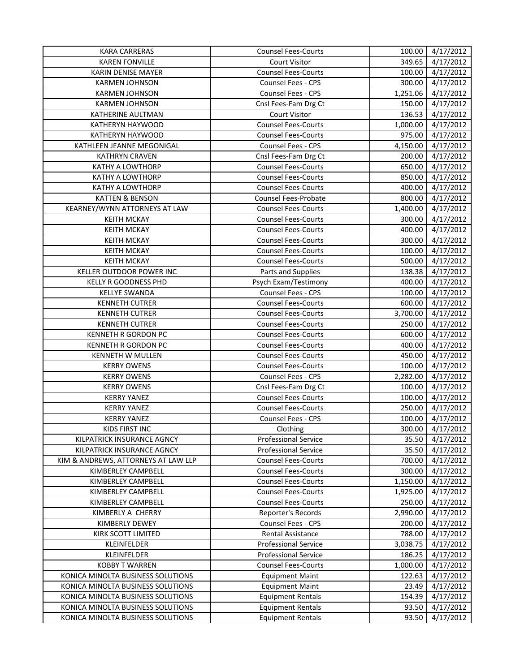| <b>KARA CARRERAS</b>                | <b>Counsel Fees-Courts</b>  | 100.00   | 4/17/2012 |
|-------------------------------------|-----------------------------|----------|-----------|
| <b>KAREN FONVILLE</b>               | <b>Court Visitor</b>        | 349.65   | 4/17/2012 |
| KARIN DENISE MAYER                  | <b>Counsel Fees-Courts</b>  | 100.00   | 4/17/2012 |
| <b>KARMEN JOHNSON</b>               | Counsel Fees - CPS          | 300.00   | 4/17/2012 |
| <b>KARMEN JOHNSON</b>               | Counsel Fees - CPS          | 1,251.06 | 4/17/2012 |
| <b>KARMEN JOHNSON</b>               | Cnsl Fees-Fam Drg Ct        | 150.00   | 4/17/2012 |
| KATHERINE AULTMAN                   | Court Visitor               | 136.53   | 4/17/2012 |
| KATHERYN HAYWOOD                    | <b>Counsel Fees-Courts</b>  | 1,000.00 | 4/17/2012 |
| KATHERYN HAYWOOD                    | <b>Counsel Fees-Courts</b>  | 975.00   | 4/17/2012 |
| KATHLEEN JEANNE MEGONIGAL           | Counsel Fees - CPS          | 4,150.00 | 4/17/2012 |
| <b>KATHRYN CRAVEN</b>               | Cnsl Fees-Fam Drg Ct        | 200.00   | 4/17/2012 |
| <b>KATHY A LOWTHORP</b>             | <b>Counsel Fees-Courts</b>  | 650.00   | 4/17/2012 |
| <b>KATHY A LOWTHORP</b>             | <b>Counsel Fees-Courts</b>  | 850.00   | 4/17/2012 |
| KATHY A LOWTHORP                    | <b>Counsel Fees-Courts</b>  | 400.00   | 4/17/2012 |
| KATTEN & BENSON                     | Counsel Fees-Probate        | 800.00   | 4/17/2012 |
| KEARNEY/WYNN ATTORNEYS AT LAW       | <b>Counsel Fees-Courts</b>  | 1,400.00 | 4/17/2012 |
| <b>KEITH MCKAY</b>                  | <b>Counsel Fees-Courts</b>  | 300.00   | 4/17/2012 |
| <b>KEITH MCKAY</b>                  | <b>Counsel Fees-Courts</b>  | 400.00   | 4/17/2012 |
| <b>KEITH MCKAY</b>                  | <b>Counsel Fees-Courts</b>  | 300.00   | 4/17/2012 |
| <b>KEITH MCKAY</b>                  | <b>Counsel Fees-Courts</b>  | 100.00   | 4/17/2012 |
| <b>KEITH MCKAY</b>                  | <b>Counsel Fees-Courts</b>  | 500.00   | 4/17/2012 |
| KELLER OUTDOOR POWER INC            | Parts and Supplies          | 138.38   | 4/17/2012 |
| <b>KELLY R GOODNESS PHD</b>         | Psych Exam/Testimony        | 400.00   | 4/17/2012 |
| <b>KELLYE SWANDA</b>                | Counsel Fees - CPS          | 100.00   | 4/17/2012 |
| <b>KENNETH CUTRER</b>               | <b>Counsel Fees-Courts</b>  | 600.00   | 4/17/2012 |
| <b>KENNETH CUTRER</b>               | <b>Counsel Fees-Courts</b>  | 3,700.00 | 4/17/2012 |
| <b>KENNETH CUTRER</b>               | <b>Counsel Fees-Courts</b>  | 250.00   | 4/17/2012 |
| KENNETH R GORDON PC                 | <b>Counsel Fees-Courts</b>  | 600.00   | 4/17/2012 |
| KENNETH R GORDON PC                 | <b>Counsel Fees-Courts</b>  | 400.00   | 4/17/2012 |
| KENNETH W MULLEN                    | <b>Counsel Fees-Courts</b>  | 450.00   | 4/17/2012 |
| <b>KERRY OWENS</b>                  | <b>Counsel Fees-Courts</b>  | 100.00   | 4/17/2012 |
| <b>KERRY OWENS</b>                  | Counsel Fees - CPS          | 2,282.00 | 4/17/2012 |
| <b>KERRY OWENS</b>                  | Cnsl Fees-Fam Drg Ct        | 100.00   | 4/17/2012 |
| <b>KERRY YANEZ</b>                  | <b>Counsel Fees-Courts</b>  | 100.00   | 4/17/2012 |
| <b>KERRY YANEZ</b>                  | <b>Counsel Fees-Courts</b>  | 250.00   | 4/17/2012 |
| <b>KERRY YANEZ</b>                  | Counsel Fees - CPS          | 100.00   | 4/17/2012 |
| KIDS FIRST INC                      | Clothing                    | 300.00   | 4/17/2012 |
| KILPATRICK INSURANCE AGNCY          | <b>Professional Service</b> | 35.50    | 4/17/2012 |
| KILPATRICK INSURANCE AGNCY          | <b>Professional Service</b> | 35.50    | 4/17/2012 |
| KIM & ANDREWS, ATTORNEYS AT LAW LLP | <b>Counsel Fees-Courts</b>  | 700.00   | 4/17/2012 |
| KIMBERLEY CAMPBELL                  | <b>Counsel Fees-Courts</b>  | 300.00   | 4/17/2012 |
| KIMBERLEY CAMPBELL                  | <b>Counsel Fees-Courts</b>  | 1,150.00 | 4/17/2012 |
| KIMBERLEY CAMPBELL                  | <b>Counsel Fees-Courts</b>  | 1,925.00 | 4/17/2012 |
| KIMBERLEY CAMPBELL                  | <b>Counsel Fees-Courts</b>  | 250.00   | 4/17/2012 |
| KIMBERLY A CHERRY                   | <b>Reporter's Records</b>   | 2,990.00 | 4/17/2012 |
| <b>KIMBERLY DEWEY</b>               | Counsel Fees - CPS          | 200.00   | 4/17/2012 |
| KIRK SCOTT LIMITED                  | Rental Assistance           | 788.00   | 4/17/2012 |
| KLEINFELDER                         | <b>Professional Service</b> | 3,038.75 | 4/17/2012 |
| KLEINFELDER                         | <b>Professional Service</b> | 186.25   | 4/17/2012 |
| <b>KOBBY T WARREN</b>               | <b>Counsel Fees-Courts</b>  | 1,000.00 | 4/17/2012 |
| KONICA MINOLTA BUSINESS SOLUTIONS   | <b>Equipment Maint</b>      | 122.63   | 4/17/2012 |
| KONICA MINOLTA BUSINESS SOLUTIONS   | <b>Equipment Maint</b>      | 23.49    | 4/17/2012 |
| KONICA MINOLTA BUSINESS SOLUTIONS   | <b>Equipment Rentals</b>    | 154.39   | 4/17/2012 |
| KONICA MINOLTA BUSINESS SOLUTIONS   | <b>Equipment Rentals</b>    | 93.50    | 4/17/2012 |
| KONICA MINOLTA BUSINESS SOLUTIONS   | <b>Equipment Rentals</b>    | 93.50    | 4/17/2012 |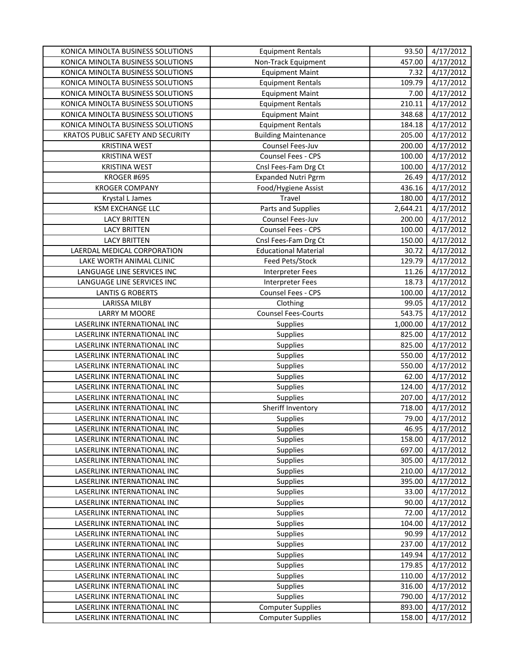| KONICA MINOLTA BUSINESS SOLUTIONS | <b>Equipment Rentals</b>    | 93.50    | 4/17/2012 |
|-----------------------------------|-----------------------------|----------|-----------|
| KONICA MINOLTA BUSINESS SOLUTIONS | Non-Track Equipment         | 457.00   | 4/17/2012 |
| KONICA MINOLTA BUSINESS SOLUTIONS | <b>Equipment Maint</b>      | 7.32     | 4/17/2012 |
| KONICA MINOLTA BUSINESS SOLUTIONS | <b>Equipment Rentals</b>    | 109.79   | 4/17/2012 |
| KONICA MINOLTA BUSINESS SOLUTIONS | <b>Equipment Maint</b>      | 7.00     | 4/17/2012 |
| KONICA MINOLTA BUSINESS SOLUTIONS | <b>Equipment Rentals</b>    | 210.11   | 4/17/2012 |
| KONICA MINOLTA BUSINESS SOLUTIONS | <b>Equipment Maint</b>      | 348.68   | 4/17/2012 |
| KONICA MINOLTA BUSINESS SOLUTIONS | <b>Equipment Rentals</b>    | 184.18   | 4/17/2012 |
| KRATOS PUBLIC SAFETY AND SECURITY | <b>Building Maintenance</b> | 205.00   | 4/17/2012 |
| <b>KRISTINA WEST</b>              | Counsel Fees-Juv            | 200.00   | 4/17/2012 |
| <b>KRISTINA WEST</b>              | Counsel Fees - CPS          | 100.00   | 4/17/2012 |
| <b>KRISTINA WEST</b>              | Cnsl Fees-Fam Drg Ct        | 100.00   | 4/17/2012 |
| KROGER #695                       | <b>Expanded Nutri Pgrm</b>  | 26.49    | 4/17/2012 |
| <b>KROGER COMPANY</b>             | Food/Hygiene Assist         | 436.16   | 4/17/2012 |
| Krystal L James                   | Travel                      | 180.00   | 4/17/2012 |
| <b>KSM EXCHANGE LLC</b>           | Parts and Supplies          | 2,644.21 | 4/17/2012 |
| <b>LACY BRITTEN</b>               | Counsel Fees-Juv            | 200.00   | 4/17/2012 |
| <b>LACY BRITTEN</b>               | Counsel Fees - CPS          | 100.00   | 4/17/2012 |
| <b>LACY BRITTEN</b>               | Cnsl Fees-Fam Drg Ct        | 150.00   | 4/17/2012 |
| LAERDAL MEDICAL CORPORATION       | <b>Educational Material</b> | 30.72    | 4/17/2012 |
| LAKE WORTH ANIMAL CLINIC          | Feed Pets/Stock             | 129.79   | 4/17/2012 |
| LANGUAGE LINE SERVICES INC        | Interpreter Fees            | 11.26    | 4/17/2012 |
| LANGUAGE LINE SERVICES INC        | <b>Interpreter Fees</b>     | 18.73    | 4/17/2012 |
| <b>LANTIS G ROBERTS</b>           | Counsel Fees - CPS          | 100.00   | 4/17/2012 |
| <b>LARISSA MILBY</b>              | Clothing                    | 99.05    | 4/17/2012 |
| LARRY M MOORE                     | <b>Counsel Fees-Courts</b>  | 543.75   | 4/17/2012 |
| LASERLINK INTERNATIONAL INC       | <b>Supplies</b>             | 1,000.00 | 4/17/2012 |
| LASERLINK INTERNATIONAL INC       | Supplies                    | 825.00   | 4/17/2012 |
| LASERLINK INTERNATIONAL INC       | Supplies                    | 825.00   | 4/17/2012 |
| LASERLINK INTERNATIONAL INC       | Supplies                    | 550.00   | 4/17/2012 |
| LASERLINK INTERNATIONAL INC       | Supplies                    | 550.00   | 4/17/2012 |
| LASERLINK INTERNATIONAL INC       | Supplies                    | 62.00    | 4/17/2012 |
| LASERLINK INTERNATIONAL INC       | Supplies                    | 124.00   | 4/17/2012 |
| LASERLINK INTERNATIONAL INC       | Supplies                    | 207.00   | 4/17/2012 |
| LASERLINK INTERNATIONAL INC       | Sheriff Inventory           | 718.00   | 4/17/2012 |
| LASERLINK INTERNATIONAL INC       | Supplies                    | 79.00    | 4/17/2012 |
| LASERLINK INTERNATIONAL INC       | <b>Supplies</b>             | 46.95    | 4/17/2012 |
| LASERLINK INTERNATIONAL INC       | <b>Supplies</b>             | 158.00   | 4/17/2012 |
| LASERLINK INTERNATIONAL INC       | Supplies                    | 697.00   | 4/17/2012 |
| LASERLINK INTERNATIONAL INC       | <b>Supplies</b>             | 305.00   | 4/17/2012 |
| LASERLINK INTERNATIONAL INC       | Supplies                    | 210.00   | 4/17/2012 |
| LASERLINK INTERNATIONAL INC       | <b>Supplies</b>             | 395.00   | 4/17/2012 |
| LASERLINK INTERNATIONAL INC       | <b>Supplies</b>             | 33.00    | 4/17/2012 |
| LASERLINK INTERNATIONAL INC       | <b>Supplies</b>             | 90.00    | 4/17/2012 |
| LASERLINK INTERNATIONAL INC       | <b>Supplies</b>             | 72.00    | 4/17/2012 |
| LASERLINK INTERNATIONAL INC       | Supplies                    | 104.00   | 4/17/2012 |
| LASERLINK INTERNATIONAL INC       | Supplies                    | 90.99    | 4/17/2012 |
| LASERLINK INTERNATIONAL INC       | Supplies                    | 237.00   | 4/17/2012 |
| LASERLINK INTERNATIONAL INC       | Supplies                    | 149.94   | 4/17/2012 |
| LASERLINK INTERNATIONAL INC       | Supplies                    | 179.85   | 4/17/2012 |
| LASERLINK INTERNATIONAL INC       | <b>Supplies</b>             | 110.00   | 4/17/2012 |
| LASERLINK INTERNATIONAL INC       | <b>Supplies</b>             | 316.00   | 4/17/2012 |
| LASERLINK INTERNATIONAL INC       | Supplies                    | 790.00   | 4/17/2012 |
| LASERLINK INTERNATIONAL INC       | <b>Computer Supplies</b>    | 893.00   | 4/17/2012 |
| LASERLINK INTERNATIONAL INC       | <b>Computer Supplies</b>    | 158.00   | 4/17/2012 |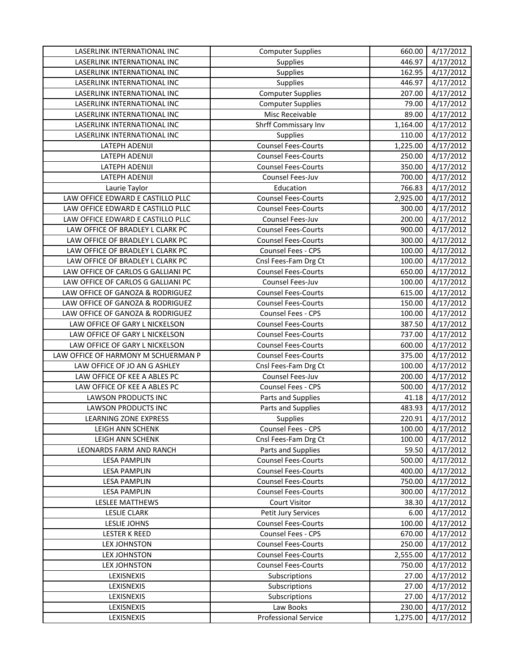| LASERLINK INTERNATIONAL INC         | <b>Computer Supplies</b>    | 660.00   | 4/17/2012 |
|-------------------------------------|-----------------------------|----------|-----------|
| LASERLINK INTERNATIONAL INC         | <b>Supplies</b>             | 446.97   | 4/17/2012 |
| LASERLINK INTERNATIONAL INC         | Supplies                    | 162.95   | 4/17/2012 |
| LASERLINK INTERNATIONAL INC         | Supplies                    | 446.97   | 4/17/2012 |
| LASERLINK INTERNATIONAL INC         | <b>Computer Supplies</b>    | 207.00   | 4/17/2012 |
| LASERLINK INTERNATIONAL INC         | <b>Computer Supplies</b>    | 79.00    | 4/17/2012 |
| LASERLINK INTERNATIONAL INC         | Misc Receivable             | 89.00    | 4/17/2012 |
| LASERLINK INTERNATIONAL INC         | Shrff Commissary Inv        | 1,164.00 | 4/17/2012 |
| LASERLINK INTERNATIONAL INC         | Supplies                    | 110.00   | 4/17/2012 |
| LATEPH ADENIJI                      | <b>Counsel Fees-Courts</b>  | 1,225.00 | 4/17/2012 |
| LATEPH ADENIJI                      | <b>Counsel Fees-Courts</b>  | 250.00   | 4/17/2012 |
| LATEPH ADENIJI                      | <b>Counsel Fees-Courts</b>  | 350.00   | 4/17/2012 |
| LATEPH ADENIJI                      | Counsel Fees-Juv            | 700.00   | 4/17/2012 |
| Laurie Taylor                       | Education                   | 766.83   | 4/17/2012 |
| LAW OFFICE EDWARD E CASTILLO PLLC   | <b>Counsel Fees-Courts</b>  | 2,925.00 | 4/17/2012 |
| LAW OFFICE EDWARD E CASTILLO PLLC   | <b>Counsel Fees-Courts</b>  | 300.00   | 4/17/2012 |
| LAW OFFICE EDWARD E CASTILLO PLLC   | Counsel Fees-Juv            | 200.00   | 4/17/2012 |
| LAW OFFICE OF BRADLEY L CLARK PC    | <b>Counsel Fees-Courts</b>  | 900.00   | 4/17/2012 |
| LAW OFFICE OF BRADLEY L CLARK PC    | <b>Counsel Fees-Courts</b>  | 300.00   | 4/17/2012 |
| LAW OFFICE OF BRADLEY L CLARK PC    | Counsel Fees - CPS          | 100.00   | 4/17/2012 |
| LAW OFFICE OF BRADLEY L CLARK PC    | Cnsl Fees-Fam Drg Ct        | 100.00   | 4/17/2012 |
| LAW OFFICE OF CARLOS G GALLIANI PC  | <b>Counsel Fees-Courts</b>  | 650.00   | 4/17/2012 |
| LAW OFFICE OF CARLOS G GALLIANI PC  | Counsel Fees-Juv            | 100.00   | 4/17/2012 |
| LAW OFFICE OF GANOZA & RODRIGUEZ    | <b>Counsel Fees-Courts</b>  | 615.00   | 4/17/2012 |
| LAW OFFICE OF GANOZA & RODRIGUEZ    | <b>Counsel Fees-Courts</b>  | 150.00   | 4/17/2012 |
| LAW OFFICE OF GANOZA & RODRIGUEZ    | Counsel Fees - CPS          | 100.00   | 4/17/2012 |
| LAW OFFICE OF GARY L NICKELSON      | <b>Counsel Fees-Courts</b>  | 387.50   | 4/17/2012 |
| LAW OFFICE OF GARY L NICKELSON      | <b>Counsel Fees-Courts</b>  | 737.00   | 4/17/2012 |
| LAW OFFICE OF GARY L NICKELSON      | <b>Counsel Fees-Courts</b>  | 600.00   | 4/17/2012 |
| LAW OFFICE OF HARMONY M SCHUERMAN P | <b>Counsel Fees-Courts</b>  | 375.00   | 4/17/2012 |
| LAW OFFICE OF JO AN G ASHLEY        | Cnsl Fees-Fam Drg Ct        | 100.00   | 4/17/2012 |
| LAW OFFICE OF KEE A ABLES PC        | Counsel Fees-Juv            | 200.00   | 4/17/2012 |
| LAW OFFICE OF KEE A ABLES PC        | Counsel Fees - CPS          | 500.00   | 4/17/2012 |
| LAWSON PRODUCTS INC                 | Parts and Supplies          | 41.18    | 4/17/2012 |
| <b>LAWSON PRODUCTS INC</b>          | Parts and Supplies          | 483.93   | 4/17/2012 |
| <b>LEARNING ZONE EXPRESS</b>        | Supplies                    | 220.91   | 4/17/2012 |
| LEIGH ANN SCHENK                    | Counsel Fees - CPS          | 100.00   | 4/17/2012 |
| LEIGH ANN SCHENK                    | Cnsl Fees-Fam Drg Ct        | 100.00   | 4/17/2012 |
| LEONARDS FARM AND RANCH             | Parts and Supplies          | 59.50    | 4/17/2012 |
| <b>LESA PAMPLIN</b>                 | <b>Counsel Fees-Courts</b>  | 500.00   | 4/17/2012 |
| <b>LESA PAMPLIN</b>                 | <b>Counsel Fees-Courts</b>  | 400.00   | 4/17/2012 |
| <b>LESA PAMPLIN</b>                 | <b>Counsel Fees-Courts</b>  | 750.00   | 4/17/2012 |
| <b>LESA PAMPLIN</b>                 | <b>Counsel Fees-Courts</b>  | 300.00   | 4/17/2012 |
| LESLEE MATTHEWS                     | Court Visitor               | 38.30    | 4/17/2012 |
| <b>LESLIE CLARK</b>                 | Petit Jury Services         | 6.00     | 4/17/2012 |
| LESLIE JOHNS                        | <b>Counsel Fees-Courts</b>  | 100.00   | 4/17/2012 |
| <b>LESTER K REED</b>                | Counsel Fees - CPS          | 670.00   | 4/17/2012 |
| <b>LEX JOHNSTON</b>                 | <b>Counsel Fees-Courts</b>  | 250.00   | 4/17/2012 |
| <b>LEX JOHNSTON</b>                 | <b>Counsel Fees-Courts</b>  | 2,555.00 | 4/17/2012 |
| <b>LEX JOHNSTON</b>                 | <b>Counsel Fees-Courts</b>  | 750.00   | 4/17/2012 |
| LEXISNEXIS                          | Subscriptions               | 27.00    | 4/17/2012 |
| LEXISNEXIS                          | Subscriptions               | 27.00    | 4/17/2012 |
| LEXISNEXIS                          | Subscriptions               | 27.00    | 4/17/2012 |
| LEXISNEXIS                          | Law Books                   | 230.00   | 4/17/2012 |
| LEXISNEXIS                          | <b>Professional Service</b> | 1,275.00 | 4/17/2012 |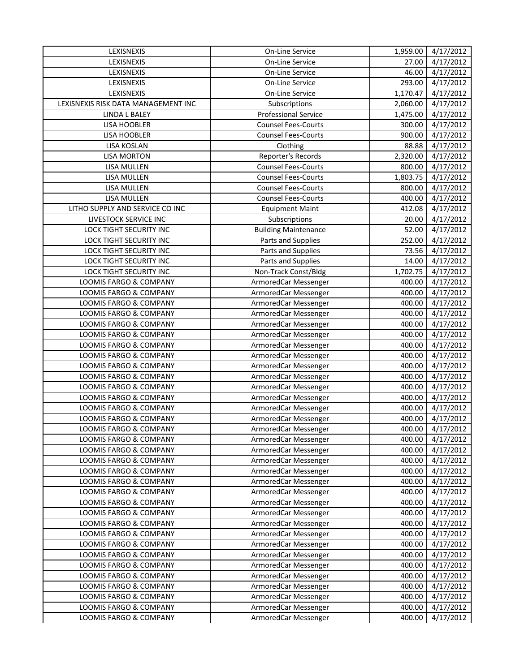| LEXISNEXIS                          | On-Line Service             | 1,959.00 | 4/17/2012              |
|-------------------------------------|-----------------------------|----------|------------------------|
| LEXISNEXIS                          | On-Line Service             | 27.00    | 4/17/2012              |
| LEXISNEXIS                          | On-Line Service             | 46.00    | 4/17/2012              |
| LEXISNEXIS                          | On-Line Service             | 293.00   | 4/17/2012              |
| LEXISNEXIS                          | On-Line Service             | 1,170.47 | 4/17/2012              |
| LEXISNEXIS RISK DATA MANAGEMENT INC | Subscriptions               | 2,060.00 | 4/17/2012              |
| LINDA L BALEY                       | <b>Professional Service</b> | 1,475.00 | 4/17/2012              |
| LISA HOOBLER                        | <b>Counsel Fees-Courts</b>  | 300.00   | 4/17/2012              |
| <b>LISA HOOBLER</b>                 | <b>Counsel Fees-Courts</b>  | 900.00   | 4/17/2012              |
| <b>LISA KOSLAN</b>                  | Clothing                    | 88.88    | 4/17/2012              |
| <b>LISA MORTON</b>                  | Reporter's Records          | 2,320.00 | 4/17/2012              |
| LISA MULLEN                         | <b>Counsel Fees-Courts</b>  | 800.00   | $\frac{1}{4}$ /17/2012 |
| LISA MULLEN                         | <b>Counsel Fees-Courts</b>  | 1,803.75 | 4/17/2012              |
| <b>LISA MULLEN</b>                  | <b>Counsel Fees-Courts</b>  | 800.00   | 4/17/2012              |
| LISA MULLEN                         | <b>Counsel Fees-Courts</b>  | 400.00   | 4/17/2012              |
| LITHO SUPPLY AND SERVICE CO INC     | <b>Equipment Maint</b>      | 412.08   | 4/17/2012              |
| LIVESTOCK SERVICE INC               | Subscriptions               | 20.00    | 4/17/2012              |
| LOCK TIGHT SECURITY INC             | <b>Building Maintenance</b> | 52.00    | 4/17/2012              |
| LOCK TIGHT SECURITY INC             | Parts and Supplies          | 252.00   | 4/17/2012              |
| <b>LOCK TIGHT SECURITY INC</b>      | Parts and Supplies          | 73.56    | 4/17/2012              |
| LOCK TIGHT SECURITY INC             | Parts and Supplies          | 14.00    | 4/17/2012              |
| <b>LOCK TIGHT SECURITY INC</b>      | Non-Track Const/Bldg        | 1,702.75 | 4/17/2012              |
| LOOMIS FARGO & COMPANY              | ArmoredCar Messenger        | 400.00   | 4/17/2012              |
| LOOMIS FARGO & COMPANY              | ArmoredCar Messenger        | 400.00   | 4/17/2012              |
| LOOMIS FARGO & COMPANY              | ArmoredCar Messenger        | 400.00   | 4/17/2012              |
| LOOMIS FARGO & COMPANY              | ArmoredCar Messenger        | 400.00   | 4/17/2012              |
| LOOMIS FARGO & COMPANY              | ArmoredCar Messenger        | 400.00   | 4/17/2012              |
| LOOMIS FARGO & COMPANY              | ArmoredCar Messenger        | 400.00   | 4/17/2012              |
| LOOMIS FARGO & COMPANY              | ArmoredCar Messenger        | 400.00   | 4/17/2012              |
| LOOMIS FARGO & COMPANY              | ArmoredCar Messenger        | 400.00   | 4/17/2012              |
| LOOMIS FARGO & COMPANY              | ArmoredCar Messenger        | 400.00   | 4/17/2012              |
| LOOMIS FARGO & COMPANY              | ArmoredCar Messenger        | 400.00   | 4/17/2012              |
| LOOMIS FARGO & COMPANY              | ArmoredCar Messenger        | 400.00   | 4/17/2012              |
| LOOMIS FARGO & COMPANY              | ArmoredCar Messenger        | 400.00   | 4/17/2012              |
| LOOMIS FARGO & COMPANY              | ArmoredCar Messenger        | 400.00   | 4/17/2012              |
| LOOMIS FARGO & COMPANY              | ArmoredCar Messenger        | 400.00   | 4/17/2012              |
| <b>LOOMIS FARGO &amp; COMPANY</b>   | ArmoredCar Messenger        | 400.00   | 4/17/2012              |
| LOOMIS FARGO & COMPANY              | ArmoredCar Messenger        | 400.00   | 4/17/2012              |
| LOOMIS FARGO & COMPANY              | ArmoredCar Messenger        | 400.00   | 4/17/2012              |
| LOOMIS FARGO & COMPANY              | ArmoredCar Messenger        | 400.00   | 4/17/2012              |
| LOOMIS FARGO & COMPANY              | ArmoredCar Messenger        | 400.00   | 4/17/2012              |
| LOOMIS FARGO & COMPANY              | ArmoredCar Messenger        | 400.00   | 4/17/2012              |
| LOOMIS FARGO & COMPANY              | ArmoredCar Messenger        | 400.00   | 4/17/2012              |
| LOOMIS FARGO & COMPANY              | ArmoredCar Messenger        | 400.00   | 4/17/2012              |
| LOOMIS FARGO & COMPANY              | ArmoredCar Messenger        | 400.00   | 4/17/2012              |
| LOOMIS FARGO & COMPANY              | ArmoredCar Messenger        | 400.00   | 4/17/2012              |
| LOOMIS FARGO & COMPANY              | ArmoredCar Messenger        | 400.00   | 4/17/2012              |
| LOOMIS FARGO & COMPANY              | ArmoredCar Messenger        | 400.00   | 4/17/2012              |
| LOOMIS FARGO & COMPANY              | ArmoredCar Messenger        | 400.00   | 4/17/2012              |
| LOOMIS FARGO & COMPANY              | ArmoredCar Messenger        | 400.00   | 4/17/2012              |
| LOOMIS FARGO & COMPANY              | ArmoredCar Messenger        | 400.00   | 4/17/2012              |
| LOOMIS FARGO & COMPANY              | ArmoredCar Messenger        | 400.00   | 4/17/2012              |
| LOOMIS FARGO & COMPANY              | ArmoredCar Messenger        | 400.00   | 4/17/2012              |
| LOOMIS FARGO & COMPANY              | ArmoredCar Messenger        | 400.00   | 4/17/2012              |
| LOOMIS FARGO & COMPANY              | ArmoredCar Messenger        | 400.00   | 4/17/2012              |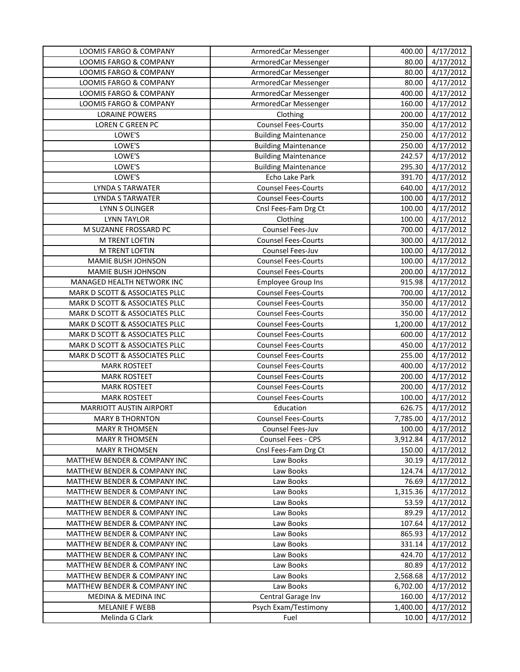| LOOMIS FARGO & COMPANY                  | ArmoredCar Messenger        | 400.00   | 4/17/2012 |
|-----------------------------------------|-----------------------------|----------|-----------|
| <b>LOOMIS FARGO &amp; COMPANY</b>       | ArmoredCar Messenger        | 80.00    | 4/17/2012 |
| LOOMIS FARGO & COMPANY                  | ArmoredCar Messenger        | 80.00    | 4/17/2012 |
| LOOMIS FARGO & COMPANY                  | ArmoredCar Messenger        | 80.00    | 4/17/2012 |
| LOOMIS FARGO & COMPANY                  | ArmoredCar Messenger        | 400.00   | 4/17/2012 |
| LOOMIS FARGO & COMPANY                  | ArmoredCar Messenger        | 160.00   | 4/17/2012 |
| <b>LORAINE POWERS</b>                   | Clothing                    | 200.00   | 4/17/2012 |
| LOREN C GREEN PC                        | <b>Counsel Fees-Courts</b>  | 350.00   | 4/17/2012 |
| LOWE'S                                  | <b>Building Maintenance</b> | 250.00   | 4/17/2012 |
| LOWE'S                                  | <b>Building Maintenance</b> | 250.00   | 4/17/2012 |
| LOWE'S                                  | <b>Building Maintenance</b> | 242.57   | 4/17/2012 |
| LOWE'S                                  | <b>Building Maintenance</b> | 295.30   | 4/17/2012 |
| LOWE'S                                  | Echo Lake Park              | 391.70   | 4/17/2012 |
| <b>LYNDA S TARWATER</b>                 | <b>Counsel Fees-Courts</b>  | 640.00   | 4/17/2012 |
| LYNDA S TARWATER                        | <b>Counsel Fees-Courts</b>  | 100.00   | 4/17/2012 |
| LYNN S OLINGER                          | Cnsl Fees-Fam Drg Ct        | 100.00   | 4/17/2012 |
| <b>LYNN TAYLOR</b>                      | Clothing                    | 100.00   | 4/17/2012 |
| M SUZANNE FROSSARD PC                   | Counsel Fees-Juv            | 700.00   | 4/17/2012 |
| M TRENT LOFTIN                          | <b>Counsel Fees-Courts</b>  | 300.00   | 4/17/2012 |
| M TRENT LOFTIN                          | Counsel Fees-Juv            | 100.00   | 4/17/2012 |
| MAMIE BUSH JOHNSON                      | <b>Counsel Fees-Courts</b>  | 100.00   | 4/17/2012 |
| MAMIE BUSH JOHNSON                      | <b>Counsel Fees-Courts</b>  | 200.00   | 4/17/2012 |
| MANAGED HEALTH NETWORK INC              | <b>Employee Group Ins</b>   | 915.98   | 4/17/2012 |
| MARK D SCOTT & ASSOCIATES PLLC          | <b>Counsel Fees-Courts</b>  | 700.00   | 4/17/2012 |
| MARK D SCOTT & ASSOCIATES PLLC          | <b>Counsel Fees-Courts</b>  | 350.00   | 4/17/2012 |
| MARK D SCOTT & ASSOCIATES PLLC          | <b>Counsel Fees-Courts</b>  | 350.00   | 4/17/2012 |
| MARK D SCOTT & ASSOCIATES PLLC          | <b>Counsel Fees-Courts</b>  | 1,200.00 | 4/17/2012 |
| MARK D SCOTT & ASSOCIATES PLLC          | <b>Counsel Fees-Courts</b>  | 600.00   | 4/17/2012 |
| MARK D SCOTT & ASSOCIATES PLLC          | <b>Counsel Fees-Courts</b>  | 450.00   | 4/17/2012 |
| MARK D SCOTT & ASSOCIATES PLLC          | <b>Counsel Fees-Courts</b>  | 255.00   | 4/17/2012 |
| <b>MARK ROSTEET</b>                     | <b>Counsel Fees-Courts</b>  | 400.00   | 4/17/2012 |
| <b>MARK ROSTEET</b>                     | <b>Counsel Fees-Courts</b>  | 200.00   | 4/17/2012 |
| <b>MARK ROSTEET</b>                     | <b>Counsel Fees-Courts</b>  | 200.00   | 4/17/2012 |
| <b>MARK ROSTEET</b>                     | <b>Counsel Fees-Courts</b>  | 100.00   | 4/17/2012 |
| MARRIOTT AUSTIN AIRPORT                 | Education                   | 626.75   | 4/17/2012 |
| <b>MARY B THORNTON</b>                  | <b>Counsel Fees-Courts</b>  | 7,785.00 | 4/17/2012 |
| <b>MARY R THOMSEN</b>                   | Counsel Fees-Juv            | 100.00   | 4/17/2012 |
| <b>MARY R THOMSEN</b>                   | Counsel Fees - CPS          | 3,912.84 | 4/17/2012 |
| <b>MARY R THOMSEN</b>                   | Cnsl Fees-Fam Drg Ct        | 150.00   | 4/17/2012 |
| MATTHEW BENDER & COMPANY INC            | Law Books                   | 30.19    | 4/17/2012 |
| MATTHEW BENDER & COMPANY INC            | Law Books                   | 124.74   | 4/17/2012 |
| MATTHEW BENDER & COMPANY INC            | Law Books                   | 76.69    | 4/17/2012 |
| MATTHEW BENDER & COMPANY INC            | Law Books                   | 1,315.36 | 4/17/2012 |
| <b>MATTHEW BENDER &amp; COMPANY INC</b> | Law Books                   | 53.59    | 4/17/2012 |
| MATTHEW BENDER & COMPANY INC            | Law Books                   | 89.29    | 4/17/2012 |
| MATTHEW BENDER & COMPANY INC            | Law Books                   | 107.64   | 4/17/2012 |
| MATTHEW BENDER & COMPANY INC            | Law Books                   | 865.93   | 4/17/2012 |
| <b>MATTHEW BENDER &amp; COMPANY INC</b> | Law Books                   | 331.14   | 4/17/2012 |
| MATTHEW BENDER & COMPANY INC            | Law Books                   | 424.70   | 4/17/2012 |
| MATTHEW BENDER & COMPANY INC            | Law Books                   | 80.89    | 4/17/2012 |
| <b>MATTHEW BENDER &amp; COMPANY INC</b> | Law Books                   | 2,568.68 | 4/17/2012 |
| <b>MATTHEW BENDER &amp; COMPANY INC</b> | Law Books                   | 6,702.00 | 4/17/2012 |
| <b>MEDINA &amp; MEDINA INC</b>          | Central Garage Inv          | 160.00   | 4/17/2012 |
| <b>MELANIE F WEBB</b>                   | Psych Exam/Testimony        | 1,400.00 | 4/17/2012 |
| Melinda G Clark                         | Fuel                        | 10.00    | 4/17/2012 |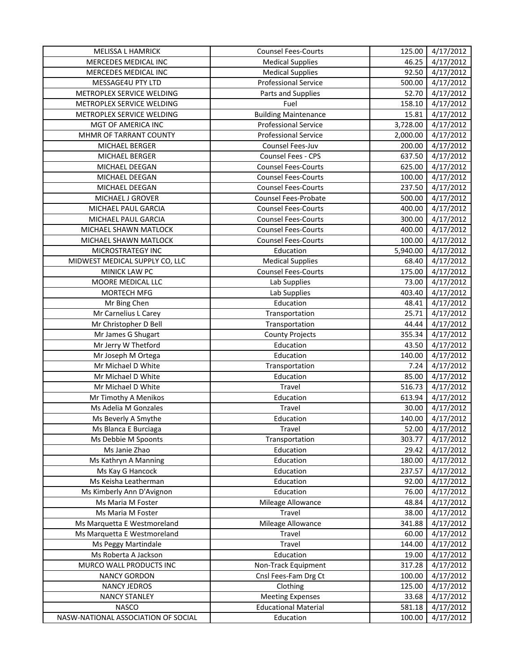| <b>MELISSA L HAMRICK</b>            | <b>Counsel Fees-Courts</b>  | 125.00   | 4/17/2012              |
|-------------------------------------|-----------------------------|----------|------------------------|
| MERCEDES MEDICAL INC                | <b>Medical Supplies</b>     | 46.25    | 4/17/2012              |
| MERCEDES MEDICAL INC                | <b>Medical Supplies</b>     | 92.50    | 4/17/2012              |
| MESSAGE4U PTY LTD                   | <b>Professional Service</b> | 500.00   | 4/17/2012              |
| METROPLEX SERVICE WELDING           | Parts and Supplies          | 52.70    | 4/17/2012              |
| METROPLEX SERVICE WELDING           | Fuel                        | 158.10   | 4/17/2012              |
| METROPLEX SERVICE WELDING           | <b>Building Maintenance</b> | 15.81    | 4/17/2012              |
| MGT OF AMERICA INC                  | <b>Professional Service</b> | 3,728.00 | 4/17/2012              |
| MHMR OF TARRANT COUNTY              | <b>Professional Service</b> | 2,000.00 | 4/17/2012              |
| MICHAEL BERGER                      | Counsel Fees-Juv            | 200.00   | 4/17/2012              |
| MICHAEL BERGER                      | Counsel Fees - CPS          | 637.50   | 4/17/2012              |
| MICHAEL DEEGAN                      | <b>Counsel Fees-Courts</b>  | 625.00   | 4/17/2012              |
| MICHAEL DEEGAN                      | <b>Counsel Fees-Courts</b>  | 100.00   | 4/17/2012              |
| MICHAEL DEEGAN                      | <b>Counsel Fees-Courts</b>  | 237.50   | 4/17/2012              |
| MICHAEL J GROVER                    | Counsel Fees-Probate        | 500.00   | 4/17/2012              |
| MICHAEL PAUL GARCIA                 | <b>Counsel Fees-Courts</b>  | 400.00   | 4/17/2012              |
| MICHAEL PAUL GARCIA                 | <b>Counsel Fees-Courts</b>  | 300.00   | 4/17/2012              |
| MICHAEL SHAWN MATLOCK               | <b>Counsel Fees-Courts</b>  | 400.00   | 4/17/2012              |
| MICHAEL SHAWN MATLOCK               | <b>Counsel Fees-Courts</b>  | 100.00   | 4/17/2012              |
| <b>MICROSTRATEGY INC</b>            | Education                   | 5,940.00 | 4/17/2012              |
| MIDWEST MEDICAL SUPPLY CO, LLC      | <b>Medical Supplies</b>     | 68.40    | 4/17/2012              |
| MINICK LAW PC                       | <b>Counsel Fees-Courts</b>  | 175.00   | 4/17/2012              |
| MOORE MEDICAL LLC                   | Lab Supplies                | 73.00    | 4/17/2012              |
| MORTECH MFG                         | Lab Supplies                | 403.40   | 4/17/2012              |
| Mr Bing Chen                        | Education                   | 48.41    | 4/17/2012              |
| Mr Carnelius L Carey                | Transportation              | 25.71    | 4/17/2012              |
| Mr Christopher D Bell               | Transportation              | 44.44    | 4/17/2012              |
| Mr James G Shugart                  | <b>County Projects</b>      | 355.34   | 4/17/2012              |
| Mr Jerry W Thetford                 | Education                   | 43.50    | 4/17/2012              |
| Mr Joseph M Ortega                  | Education                   | 140.00   | 4/17/2012              |
| Mr Michael D White                  | Transportation              | 7.24     | 4/17/2012              |
| Mr Michael D White                  | Education                   | 85.00    | 4/17/2012              |
| Mr Michael D White                  | Travel                      | 516.73   | 4/17/2012              |
| Mr Timothy A Menikos                | Education                   | 613.94   | 4/17/2012              |
| Ms Adelia M Gonzales                | Travel                      | 30.00    | 4/17/2012              |
| Ms Beverly A Smythe                 | Education                   | 140.00   | 4/17/2012              |
| Ms Blanca E Burciaga                | Travel                      | 52.00    | 4/17/2012              |
| Ms Debbie M Spoonts                 | Transportation              | 303.77   | 4/17/2012              |
| Ms Janie Zhao                       | Education                   | 29.42    | 4/17/2012              |
| Ms Kathryn A Manning                | Education                   | 180.00   | 4/17/2012              |
| Ms Kay G Hancock                    | Education                   | 237.57   | 4/17/2012              |
| Ms Keisha Leatherman                | Education                   | 92.00    | 4/17/2012              |
| Ms Kimberly Ann D'Avignon           | Education                   | 76.00    | 4/17/2012              |
| Ms Maria M Foster                   | Mileage Allowance           | 48.84    | 4/17/2012              |
| Ms Maria M Foster                   | Travel                      | 38.00    | 4/17/2012              |
| Ms Marquetta E Westmoreland         | Mileage Allowance           | 341.88   | $\frac{1}{4}$ /17/2012 |
| Ms Marquetta E Westmoreland         | Travel                      | 60.00    | 4/17/2012              |
| Ms Peggy Martindale                 | Travel                      | 144.00   | 4/17/2012              |
| Ms Roberta A Jackson                | Education                   | 19.00    | 4/17/2012              |
| MURCO WALL PRODUCTS INC             | Non-Track Equipment         | 317.28   | 4/17/2012              |
| <b>NANCY GORDON</b>                 | Cnsl Fees-Fam Drg Ct        | 100.00   | 4/17/2012              |
| <b>NANCY JEDROS</b>                 | Clothing                    | 125.00   | 4/17/2012              |
| <b>NANCY STANLEY</b>                | <b>Meeting Expenses</b>     | 33.68    | 4/17/2012              |
| <b>NASCO</b>                        | <b>Educational Material</b> | 581.18   | 4/17/2012              |
| NASW-NATIONAL ASSOCIATION OF SOCIAL | Education                   | 100.00   | 4/17/2012              |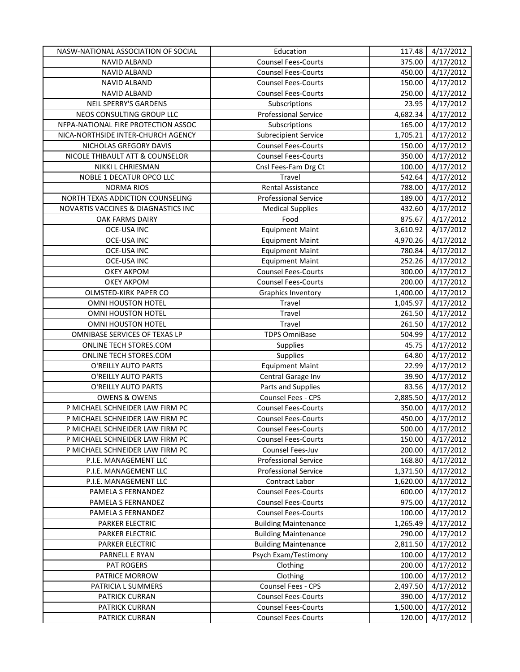| NASW-NATIONAL ASSOCIATION OF SOCIAL | Education                   | 117.48   | 4/17/2012              |
|-------------------------------------|-----------------------------|----------|------------------------|
| <b>NAVID ALBAND</b>                 | <b>Counsel Fees-Courts</b>  | 375.00   | 4/17/2012              |
| <b>NAVID ALBAND</b>                 | <b>Counsel Fees-Courts</b>  | 450.00   | 4/17/2012              |
| <b>NAVID ALBAND</b>                 | <b>Counsel Fees-Courts</b>  | 150.00   | 4/17/2012              |
| NAVID ALBAND                        | <b>Counsel Fees-Courts</b>  | 250.00   | 4/17/2012              |
| <b>NEIL SPERRY'S GARDENS</b>        | Subscriptions               | 23.95    | 4/17/2012              |
| NEOS CONSULTING GROUP LLC           | <b>Professional Service</b> | 4,682.34 | 4/17/2012              |
| NFPA-NATIONAL FIRE PROTECTION ASSOC | Subscriptions               | 165.00   | 4/17/2012              |
| NICA-NORTHSIDE INTER-CHURCH AGENCY  | <b>Subrecipient Service</b> | 1,705.21 | 4/17/2012              |
| NICHOLAS GREGORY DAVIS              | <b>Counsel Fees-Courts</b>  | 150.00   | 4/17/2012              |
| NICOLE THIBAULT ATT & COUNSELOR     | <b>Counsel Fees-Courts</b>  | 350.00   | 4/17/2012              |
| NIKKI L CHRIESMAN                   | Cnsl Fees-Fam Drg Ct        | 100.00   | 4/17/2012              |
| NOBLE 1 DECATUR OPCO LLC            | Travel                      | 542.64   | 4/17/2012              |
| <b>NORMA RIOS</b>                   | Rental Assistance           | 788.00   | 4/17/2012              |
| NORTH TEXAS ADDICTION COUNSELING    | <b>Professional Service</b> | 189.00   | 4/17/2012              |
| NOVARTIS VACCINES & DIAGNASTICS INC | <b>Medical Supplies</b>     | 432.60   | 4/17/2012              |
| OAK FARMS DAIRY                     | Food                        | 875.67   | 4/17/2012              |
| <b>OCE-USA INC</b>                  | <b>Equipment Maint</b>      | 3,610.92 | 4/17/2012              |
| OCE-USA INC                         | <b>Equipment Maint</b>      | 4,970.26 | 4/17/2012              |
| <b>OCE-USA INC</b>                  | <b>Equipment Maint</b>      | 780.84   | 4/17/2012              |
| <b>OCE-USA INC</b>                  | <b>Equipment Maint</b>      | 252.26   | 4/17/2012              |
| <b>OKEY AKPOM</b>                   | <b>Counsel Fees-Courts</b>  | 300.00   | 4/17/2012              |
| <b>OKEY AKPOM</b>                   | <b>Counsel Fees-Courts</b>  | 200.00   | 4/17/2012              |
| OLMSTED-KIRK PAPER CO               | Graphics Inventory          | 1,400.00 | 4/17/2012              |
| OMNI HOUSTON HOTEL                  | Travel                      | 1,045.97 | 4/17/2012              |
| OMNI HOUSTON HOTEL                  | Travel                      | 261.50   | 4/17/2012              |
| OMNI HOUSTON HOTEL                  | Travel                      | 261.50   | 4/17/2012              |
| OMNIBASE SERVICES OF TEXAS LP       | <b>TDPS OmniBase</b>        | 504.99   | 4/17/2012              |
| ONLINE TECH STORES.COM              | Supplies                    | 45.75    | 4/17/2012              |
| ONLINE TECH STORES.COM              | Supplies                    | 64.80    | 4/17/2012              |
| O'REILLY AUTO PARTS                 | <b>Equipment Maint</b>      | 22.99    | 4/17/2012              |
| O'REILLY AUTO PARTS                 | Central Garage Inv          | 39.90    | 4/17/2012              |
| O'REILLY AUTO PARTS                 | Parts and Supplies          | 83.56    | 4/17/2012              |
| <b>OWENS &amp; OWENS</b>            | Counsel Fees - CPS          | 2,885.50 | 4/17/2012              |
| P MICHAEL SCHNEIDER LAW FIRM PC     | <b>Counsel Fees-Courts</b>  | 350.00   | 4/17/2012              |
| P MICHAEL SCHNEIDER LAW FIRM PC     | <b>Counsel Fees-Courts</b>  | 450.00   | 4/17/2012              |
| P MICHAEL SCHNEIDER LAW FIRM PC     | <b>Counsel Fees-Courts</b>  | 500.00   | 4/17/2012              |
| P MICHAEL SCHNEIDER LAW FIRM PC     | <b>Counsel Fees-Courts</b>  | 150.00   | 4/17/2012              |
| P MICHAEL SCHNEIDER LAW FIRM PC     | Counsel Fees-Juv            | 200.00   | 4/17/2012              |
| P.I.E. MANAGEMENT LLC               | <b>Professional Service</b> | 168.80   | 4/17/2012              |
| P.I.E. MANAGEMENT LLC               | <b>Professional Service</b> | 1,371.50 | 4/17/2012              |
| P.I.E. MANAGEMENT LLC               | Contract Labor              | 1,620.00 | 4/17/2012              |
| PAMELA S FERNANDEZ                  | <b>Counsel Fees-Courts</b>  | 600.00   | 4/17/2012              |
| PAMELA S FERNANDEZ                  | <b>Counsel Fees-Courts</b>  | 975.00   | $\frac{1}{4}$ /17/2012 |
| PAMELA S FERNANDEZ                  | <b>Counsel Fees-Courts</b>  | 100.00   | 4/17/2012              |
| PARKER ELECTRIC                     | <b>Building Maintenance</b> | 1,265.49 | 4/17/2012              |
| PARKER ELECTRIC                     | <b>Building Maintenance</b> | 290.00   | 4/17/2012              |
| PARKER ELECTRIC                     | <b>Building Maintenance</b> | 2,811.50 | 4/17/2012              |
| PARNELL E RYAN                      | Psych Exam/Testimony        | 100.00   | 4/17/2012              |
| PAT ROGERS                          | Clothing                    | 200.00   | 4/17/2012              |
| PATRICE MORROW                      | Clothing                    | 100.00   | 4/17/2012              |
| PATRICIA L SUMMERS                  | Counsel Fees - CPS          | 2,497.50 | 4/17/2012              |
| PATRICK CURRAN                      | <b>Counsel Fees-Courts</b>  | 390.00   | 4/17/2012              |
| PATRICK CURRAN                      | <b>Counsel Fees-Courts</b>  | 1,500.00 | 4/17/2012              |
| PATRICK CURRAN                      | <b>Counsel Fees-Courts</b>  | 120.00   | 4/17/2012              |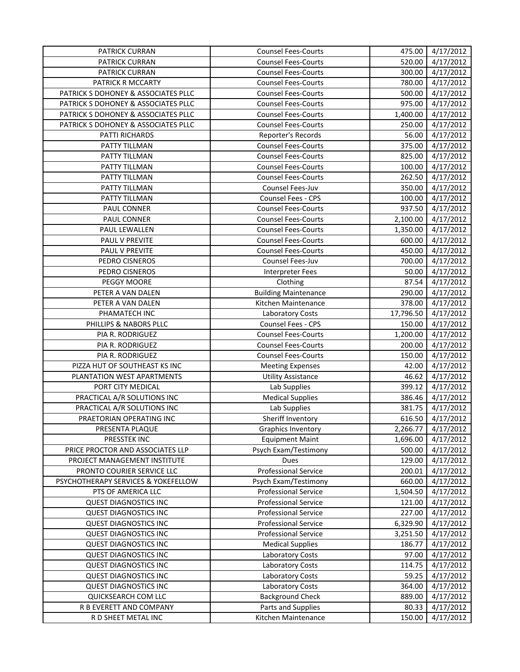| PATRICK CURRAN                      | <b>Counsel Fees-Courts</b>  | 475.00    | 4/17/2012             |
|-------------------------------------|-----------------------------|-----------|-----------------------|
| PATRICK CURRAN                      | <b>Counsel Fees-Courts</b>  | 520.00    | 4/17/2012             |
| PATRICK CURRAN                      | <b>Counsel Fees-Courts</b>  | 300.00    | 4/17/2012             |
| PATRICK R MCCARTY                   | <b>Counsel Fees-Courts</b>  | 780.00    | 4/17/2012             |
| PATRICK S DOHONEY & ASSOCIATES PLLC | <b>Counsel Fees-Courts</b>  | 500.00    | 4/17/2012             |
| PATRICK S DOHONEY & ASSOCIATES PLLC | <b>Counsel Fees-Courts</b>  | 975.00    | 4/17/2012             |
| PATRICK S DOHONEY & ASSOCIATES PLLC | <b>Counsel Fees-Courts</b>  | 1,400.00  | $\frac{1}{4}$ 17/2012 |
| PATRICK S DOHONEY & ASSOCIATES PLLC | <b>Counsel Fees-Courts</b>  | 250.00    | 4/17/2012             |
| PATTI RICHARDS                      | Reporter's Records          | 56.00     | 4/17/2012             |
| PATTY TILLMAN                       | <b>Counsel Fees-Courts</b>  | 375.00    | 4/17/2012             |
| PATTY TILLMAN                       | <b>Counsel Fees-Courts</b>  | 825.00    | 4/17/2012             |
| PATTY TILLMAN                       | <b>Counsel Fees-Courts</b>  | 100.00    | 4/17/2012             |
| PATTY TILLMAN                       | <b>Counsel Fees-Courts</b>  | 262.50    | 4/17/2012             |
| PATTY TILLMAN                       | Counsel Fees-Juv            | 350.00    | 4/17/2012             |
| PATTY TILLMAN                       | Counsel Fees - CPS          | 100.00    | 4/17/2012             |
| PAUL CONNER                         | <b>Counsel Fees-Courts</b>  | 937.50    | 4/17/2012             |
| PAUL CONNER                         | <b>Counsel Fees-Courts</b>  | 2,100.00  | 4/17/2012             |
| PAUL LEWALLEN                       | <b>Counsel Fees-Courts</b>  | 1,350.00  | 4/17/2012             |
| PAUL V PREVITE                      | <b>Counsel Fees-Courts</b>  | 600.00    | 4/17/2012             |
| PAUL V PREVITE                      | <b>Counsel Fees-Courts</b>  | 450.00    | 4/17/2012             |
| PEDRO CISNEROS                      | Counsel Fees-Juv            | 700.00    | 4/17/2012             |
| PEDRO CISNEROS                      | <b>Interpreter Fees</b>     | 50.00     | 4/17/2012             |
| PEGGY MOORE                         | Clothing                    | 87.54     | 4/17/2012             |
| PETER A VAN DALEN                   | <b>Building Maintenance</b> | 290.00    | 4/17/2012             |
| PETER A VAN DALEN                   | Kitchen Maintenance         | 378.00    | 4/17/2012             |
| PHAMATECH INC                       | Laboratory Costs            | 17,796.50 | 4/17/2012             |
| PHILLIPS & NABORS PLLC              | Counsel Fees - CPS          | 150.00    | 4/17/2012             |
| PIA R. RODRIGUEZ                    | <b>Counsel Fees-Courts</b>  | 1,200.00  | 4/17/2012             |
| PIA R. RODRIGUEZ                    | <b>Counsel Fees-Courts</b>  | 200.00    | 4/17/2012             |
| PIA R. RODRIGUEZ                    | <b>Counsel Fees-Courts</b>  | 150.00    | 4/17/2012             |
| PIZZA HUT OF SOUTHEAST KS INC       | <b>Meeting Expenses</b>     | 42.00     | 4/17/2012             |
| PLANTATION WEST APARTMENTS          | <b>Utility Assistance</b>   | 46.62     | 4/17/2012             |
| PORT CITY MEDICAL                   | Lab Supplies                | 399.12    | 4/17/2012             |
| PRACTICAL A/R SOLUTIONS INC         | <b>Medical Supplies</b>     | 386.46    | 4/17/2012             |
| PRACTICAL A/R SOLUTIONS INC         | Lab Supplies                | 381.75    | 4/17/2012             |
| PRAETORIAN OPERATING INC            | Sheriff Inventory           | 616.50    | 4/17/2012             |
| PRESENTA PLAQUE                     | <b>Graphics Inventory</b>   | 2,266.77  | 4/17/2012             |
| PRESSTEK INC                        | <b>Equipment Maint</b>      | 1,696.00  | 4/17/2012             |
| PRICE PROCTOR AND ASSOCIATES LLP    | Psych Exam/Testimony        | 500.00    | 4/17/2012             |
| PROJECT MANAGEMENT INSTITUTE        | <b>Dues</b>                 | 129.00    | 4/17/2012             |
| PRONTO COURIER SERVICE LLC          | <b>Professional Service</b> | 200.01    | 4/17/2012             |
| PSYCHOTHERAPY SERVICES & YOKEFELLOW | Psych Exam/Testimony        | 660.00    | 4/17/2012             |
| PTS OF AMERICA LLC                  | <b>Professional Service</b> | 1,504.50  | 4/17/2012             |
| <b>QUEST DIAGNOSTICS INC</b>        | <b>Professional Service</b> | 121.00    | 4/17/2012             |
| <b>QUEST DIAGNOSTICS INC</b>        | <b>Professional Service</b> | 227.00    | 4/17/2012             |
| <b>QUEST DIAGNOSTICS INC</b>        | <b>Professional Service</b> | 6,329.90  | 4/17/2012             |
| <b>QUEST DIAGNOSTICS INC</b>        | <b>Professional Service</b> | 3,251.50  | 4/17/2012             |
| <b>QUEST DIAGNOSTICS INC</b>        | <b>Medical Supplies</b>     | 186.77    | 4/17/2012             |
| <b>QUEST DIAGNOSTICS INC</b>        | Laboratory Costs            | 97.00     | 4/17/2012             |
| <b>QUEST DIAGNOSTICS INC</b>        | Laboratory Costs            | 114.75    | 4/17/2012             |
| <b>QUEST DIAGNOSTICS INC</b>        | Laboratory Costs            | 59.25     | 4/17/2012             |
| <b>QUEST DIAGNOSTICS INC</b>        | Laboratory Costs            | 364.00    | 4/17/2012             |
| QUICKSEARCH COM LLC                 | <b>Background Check</b>     | 889.00    | 4/17/2012             |
| R B EVERETT AND COMPANY             | Parts and Supplies          | 80.33     | 4/17/2012             |
| R D SHEET METAL INC                 | Kitchen Maintenance         | 150.00    | 4/17/2012             |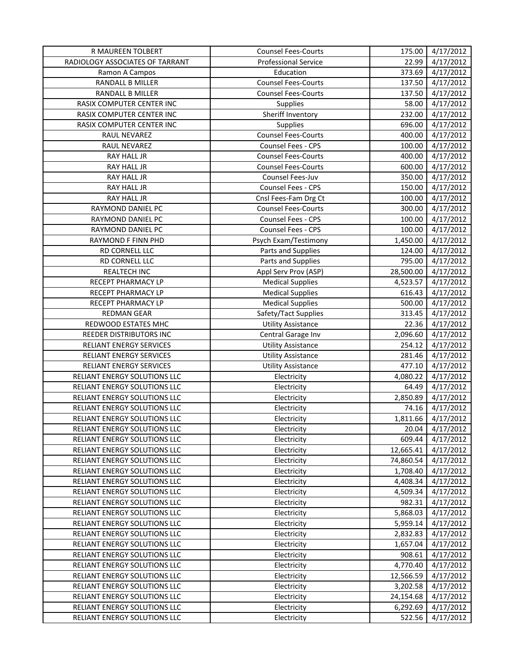| <b>R MAUREEN TOLBERT</b>        | <b>Counsel Fees-Courts</b>  | 175.00    | 4/17/2012 |
|---------------------------------|-----------------------------|-----------|-----------|
| RADIOLOGY ASSOCIATES OF TARRANT | <b>Professional Service</b> | 22.99     | 4/17/2012 |
| Ramon A Campos                  | Education                   | 373.69    | 4/17/2012 |
| RANDALL B MILLER                | <b>Counsel Fees-Courts</b>  | 137.50    | 4/17/2012 |
| RANDALL B MILLER                | <b>Counsel Fees-Courts</b>  | 137.50    | 4/17/2012 |
| RASIX COMPUTER CENTER INC       | Supplies                    | 58.00     | 4/17/2012 |
| RASIX COMPUTER CENTER INC       | Sheriff Inventory           | 232.00    | 4/17/2012 |
| RASIX COMPUTER CENTER INC       | Supplies                    | 696.00    | 4/17/2012 |
| RAUL NEVAREZ                    | <b>Counsel Fees-Courts</b>  | 400.00    | 4/17/2012 |
| RAUL NEVAREZ                    | Counsel Fees - CPS          | 100.00    | 4/17/2012 |
| RAY HALL JR                     | <b>Counsel Fees-Courts</b>  | 400.00    | 4/17/2012 |
| RAY HALL JR                     | <b>Counsel Fees-Courts</b>  | 600.00    | 4/17/2012 |
| RAY HALL JR                     | Counsel Fees-Juv            | 350.00    | 4/17/2012 |
| RAY HALL JR                     | Counsel Fees - CPS          | 150.00    | 4/17/2012 |
| RAY HALL JR                     | Cnsl Fees-Fam Drg Ct        | 100.00    | 4/17/2012 |
| RAYMOND DANIEL PC               | <b>Counsel Fees-Courts</b>  | 300.00    | 4/17/2012 |
| RAYMOND DANIEL PC               | Counsel Fees - CPS          | 100.00    | 4/17/2012 |
| RAYMOND DANIEL PC               | Counsel Fees - CPS          | 100.00    | 4/17/2012 |
| RAYMOND F FINN PHD              | Psych Exam/Testimony        | 1,450.00  | 4/17/2012 |
| RD CORNELL LLC                  | Parts and Supplies          | 124.00    | 4/17/2012 |
| RD CORNELL LLC                  | Parts and Supplies          | 795.00    | 4/17/2012 |
| REALTECH INC                    | Appl Serv Prov (ASP)        | 28,500.00 | 4/17/2012 |
| RECEPT PHARMACY LP              | <b>Medical Supplies</b>     | 4,523.57  | 4/17/2012 |
| RECEPT PHARMACY LP              | <b>Medical Supplies</b>     | 616.43    | 4/17/2012 |
| RECEPT PHARMACY LP              | <b>Medical Supplies</b>     | 500.00    | 4/17/2012 |
| <b>REDMAN GEAR</b>              | Safety/Tact Supplies        | 313.45    | 4/17/2012 |
| REDWOOD ESTATES MHC             | <b>Utility Assistance</b>   | 22.36     | 4/17/2012 |
| REEDER DISTRIBUTORS INC         | Central Garage Inv          | 2,096.60  | 4/17/2012 |
| RELIANT ENERGY SERVICES         | <b>Utility Assistance</b>   | 254.12    | 4/17/2012 |
| RELIANT ENERGY SERVICES         | <b>Utility Assistance</b>   | 281.46    | 4/17/2012 |
| RELIANT ENERGY SERVICES         | <b>Utility Assistance</b>   | 477.10    | 4/17/2012 |
| RELIANT ENERGY SOLUTIONS LLC    | Electricity                 | 4,080.22  | 4/17/2012 |
| RELIANT ENERGY SOLUTIONS LLC    | Electricity                 | 64.49     | 4/17/2012 |
| RELIANT ENERGY SOLUTIONS LLC    | Electricity                 | 2,850.89  | 4/17/2012 |
| RELIANT ENERGY SOLUTIONS LLC    | Electricity                 | 74.16     | 4/17/2012 |
| RELIANT ENERGY SOLUTIONS LLC    | Electricity                 | 1,811.66  | 4/17/2012 |
| RELIANT ENERGY SOLUTIONS LLC    | Electricity                 | 20.04     | 4/17/2012 |
| RELIANT ENERGY SOLUTIONS LLC    | Electricity                 | 609.44    | 4/17/2012 |
| RELIANT ENERGY SOLUTIONS LLC    | Electricity                 | 12,665.41 | 4/17/2012 |
| RELIANT ENERGY SOLUTIONS LLC    | Electricity                 | 74,860.54 | 4/17/2012 |
| RELIANT ENERGY SOLUTIONS LLC    | Electricity                 | 1,708.40  | 4/17/2012 |
| RELIANT ENERGY SOLUTIONS LLC    | Electricity                 | 4,408.34  | 4/17/2012 |
| RELIANT ENERGY SOLUTIONS LLC    | Electricity                 | 4,509.34  | 4/17/2012 |
| RELIANT ENERGY SOLUTIONS LLC    | Electricity                 | 982.31    | 4/17/2012 |
| RELIANT ENERGY SOLUTIONS LLC    | Electricity                 | 5,868.03  | 4/17/2012 |
| RELIANT ENERGY SOLUTIONS LLC    | Electricity                 | 5,959.14  | 4/17/2012 |
| RELIANT ENERGY SOLUTIONS LLC    | Electricity                 | 2,832.83  | 4/17/2012 |
| RELIANT ENERGY SOLUTIONS LLC    | Electricity                 | 1,657.04  | 4/17/2012 |
| RELIANT ENERGY SOLUTIONS LLC    | Electricity                 | 908.61    | 4/17/2012 |
| RELIANT ENERGY SOLUTIONS LLC    | Electricity                 | 4,770.40  | 4/17/2012 |
| RELIANT ENERGY SOLUTIONS LLC    | Electricity                 | 12,566.59 | 4/17/2012 |
| RELIANT ENERGY SOLUTIONS LLC    | Electricity                 | 3,202.58  | 4/17/2012 |
| RELIANT ENERGY SOLUTIONS LLC    | Electricity                 | 24,154.68 | 4/17/2012 |
| RELIANT ENERGY SOLUTIONS LLC    | Electricity                 | 6,292.69  | 4/17/2012 |
| RELIANT ENERGY SOLUTIONS LLC    | Electricity                 | 522.56    | 4/17/2012 |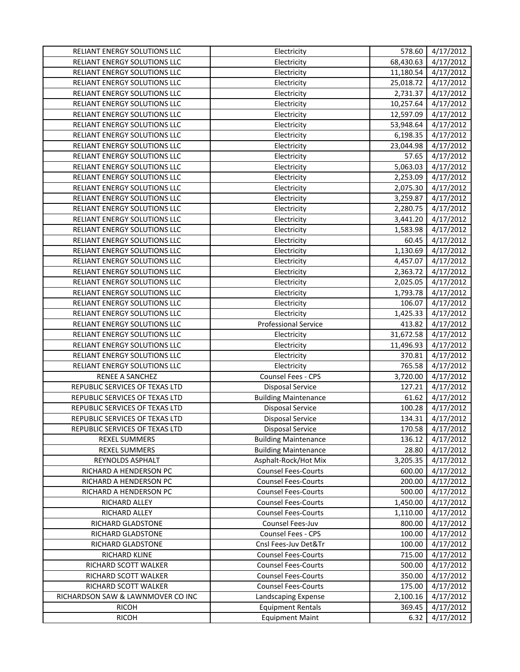| RELIANT ENERGY SOLUTIONS LLC      | Electricity                 | 578.60    | 4/17/2012 |
|-----------------------------------|-----------------------------|-----------|-----------|
| RELIANT ENERGY SOLUTIONS LLC      | Electricity                 | 68,430.63 | 4/17/2012 |
| RELIANT ENERGY SOLUTIONS LLC      | Electricity                 | 11,180.54 | 4/17/2012 |
| RELIANT ENERGY SOLUTIONS LLC      | Electricity                 | 25,018.72 | 4/17/2012 |
| RELIANT ENERGY SOLUTIONS LLC      | Electricity                 | 2,731.37  | 4/17/2012 |
| RELIANT ENERGY SOLUTIONS LLC      | Electricity                 | 10,257.64 | 4/17/2012 |
| RELIANT ENERGY SOLUTIONS LLC      | Electricity                 | 12,597.09 | 4/17/2012 |
| RELIANT ENERGY SOLUTIONS LLC      | Electricity                 | 53,948.64 | 4/17/2012 |
| RELIANT ENERGY SOLUTIONS LLC      | Electricity                 | 6,198.35  | 4/17/2012 |
| RELIANT ENERGY SOLUTIONS LLC      | Electricity                 | 23,044.98 | 4/17/2012 |
| RELIANT ENERGY SOLUTIONS LLC      | Electricity                 | 57.65     | 4/17/2012 |
| RELIANT ENERGY SOLUTIONS LLC      | Electricity                 | 5,063.03  | 4/17/2012 |
| RELIANT ENERGY SOLUTIONS LLC      | Electricity                 | 2,253.09  | 4/17/2012 |
| RELIANT ENERGY SOLUTIONS LLC      | Electricity                 | 2,075.30  | 4/17/2012 |
| RELIANT ENERGY SOLUTIONS LLC      | Electricity                 | 3,259.87  | 4/17/2012 |
| RELIANT ENERGY SOLUTIONS LLC      | Electricity                 | 2,280.75  | 4/17/2012 |
| RELIANT ENERGY SOLUTIONS LLC      | Electricity                 | 3,441.20  | 4/17/2012 |
| RELIANT ENERGY SOLUTIONS LLC      | Electricity                 | 1,583.98  | 4/17/2012 |
| RELIANT ENERGY SOLUTIONS LLC      | Electricity                 | 60.45     | 4/17/2012 |
| RELIANT ENERGY SOLUTIONS LLC      | Electricity                 | 1,130.69  | 4/17/2012 |
| RELIANT ENERGY SOLUTIONS LLC      | Electricity                 | 4,457.07  | 4/17/2012 |
| RELIANT ENERGY SOLUTIONS LLC      | Electricity                 | 2,363.72  | 4/17/2012 |
| RELIANT ENERGY SOLUTIONS LLC      | Electricity                 | 2,025.05  | 4/17/2012 |
| RELIANT ENERGY SOLUTIONS LLC      | Electricity                 | 1,793.78  | 4/17/2012 |
| RELIANT ENERGY SOLUTIONS LLC      | Electricity                 | 106.07    | 4/17/2012 |
| RELIANT ENERGY SOLUTIONS LLC      | Electricity                 | 1,425.33  | 4/17/2012 |
| RELIANT ENERGY SOLUTIONS LLC      | <b>Professional Service</b> | 413.82    | 4/17/2012 |
| RELIANT ENERGY SOLUTIONS LLC      | Electricity                 | 31,672.58 | 4/17/2012 |
| RELIANT ENERGY SOLUTIONS LLC      | Electricity                 | 11,496.93 | 4/17/2012 |
| RELIANT ENERGY SOLUTIONS LLC      | Electricity                 | 370.81    | 4/17/2012 |
| RELIANT ENERGY SOLUTIONS LLC      | Electricity                 | 765.58    | 4/17/2012 |
| RENEE A SANCHEZ                   | Counsel Fees - CPS          | 3,720.00  | 4/17/2012 |
| REPUBLIC SERVICES OF TEXAS LTD    | <b>Disposal Service</b>     | 127.21    | 4/17/2012 |
| REPUBLIC SERVICES OF TEXAS LTD    | <b>Building Maintenance</b> | 61.62     | 4/17/2012 |
| REPUBLIC SERVICES OF TEXAS LTD    | <b>Disposal Service</b>     | 100.28    | 4/17/2012 |
| REPUBLIC SERVICES OF TEXAS LTD    | <b>Disposal Service</b>     | 134.31    | 4/17/2012 |
| REPUBLIC SERVICES OF TEXAS LTD    | Disposal Service            | 170.58    | 4/17/2012 |
| REXEL SUMMERS                     | <b>Building Maintenance</b> | 136.12    | 4/17/2012 |
| REXEL SUMMERS                     | <b>Building Maintenance</b> | 28.80     | 4/17/2012 |
| REYNOLDS ASPHALT                  | Asphalt-Rock/Hot Mix        | 3,205.35  | 4/17/2012 |
| RICHARD A HENDERSON PC            | <b>Counsel Fees-Courts</b>  | 600.00    | 4/17/2012 |
| RICHARD A HENDERSON PC            | <b>Counsel Fees-Courts</b>  | 200.00    | 4/17/2012 |
| RICHARD A HENDERSON PC            | <b>Counsel Fees-Courts</b>  | 500.00    | 4/17/2012 |
| RICHARD ALLEY                     | <b>Counsel Fees-Courts</b>  | 1,450.00  | 4/17/2012 |
| RICHARD ALLEY                     | <b>Counsel Fees-Courts</b>  | 1,110.00  | 4/17/2012 |
| <b>RICHARD GLADSTONE</b>          | Counsel Fees-Juv            | 800.00    | 4/17/2012 |
| RICHARD GLADSTONE                 | Counsel Fees - CPS          | 100.00    | 4/17/2012 |
| RICHARD GLADSTONE                 | Cnsl Fees-Juv Det&Tr        | 100.00    | 4/17/2012 |
| RICHARD KLINE                     | <b>Counsel Fees-Courts</b>  | 715.00    | 4/17/2012 |
| RICHARD SCOTT WALKER              | <b>Counsel Fees-Courts</b>  | 500.00    | 4/17/2012 |
| RICHARD SCOTT WALKER              | <b>Counsel Fees-Courts</b>  | 350.00    | 4/17/2012 |
| RICHARD SCOTT WALKER              | <b>Counsel Fees-Courts</b>  | 175.00    | 4/17/2012 |
| RICHARDSON SAW & LAWNMOVER CO INC | Landscaping Expense         | 2,100.16  | 4/17/2012 |
| <b>RICOH</b>                      | <b>Equipment Rentals</b>    | 369.45    | 4/17/2012 |
| <b>RICOH</b>                      | <b>Equipment Maint</b>      | 6.32      | 4/17/2012 |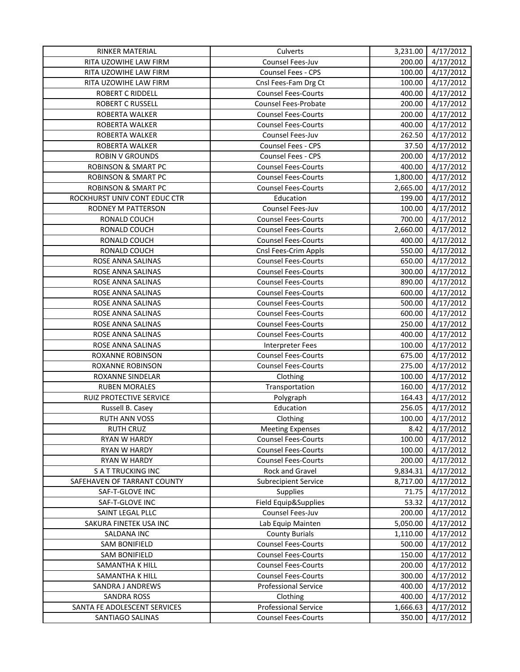| RINKER MATERIAL                | Culverts                    | 3,231.00 | 4/17/2012 |
|--------------------------------|-----------------------------|----------|-----------|
| RITA UZOWIHE LAW FIRM          | Counsel Fees-Juv            | 200.00   | 4/17/2012 |
| RITA UZOWIHE LAW FIRM          | Counsel Fees - CPS          | 100.00   | 4/17/2012 |
| RITA UZOWIHE LAW FIRM          | Cnsl Fees-Fam Drg Ct        | 100.00   | 4/17/2012 |
| <b>ROBERT C RIDDELL</b>        | <b>Counsel Fees-Courts</b>  | 400.00   | 4/17/2012 |
| <b>ROBERT C RUSSELL</b>        | Counsel Fees-Probate        | 200.00   | 4/17/2012 |
| ROBERTA WALKER                 | <b>Counsel Fees-Courts</b>  | 200.00   | 4/17/2012 |
| ROBERTA WALKER                 | <b>Counsel Fees-Courts</b>  | 400.00   | 4/17/2012 |
| ROBERTA WALKER                 | Counsel Fees-Juv            | 262.50   | 4/17/2012 |
| ROBERTA WALKER                 | Counsel Fees - CPS          | 37.50    | 4/17/2012 |
| <b>ROBIN V GROUNDS</b>         | Counsel Fees - CPS          | 200.00   | 4/17/2012 |
| <b>ROBINSON &amp; SMART PC</b> | <b>Counsel Fees-Courts</b>  | 400.00   | 4/17/2012 |
| <b>ROBINSON &amp; SMART PC</b> | <b>Counsel Fees-Courts</b>  | 1,800.00 | 4/17/2012 |
| <b>ROBINSON &amp; SMART PC</b> | <b>Counsel Fees-Courts</b>  | 2,665.00 | 4/17/2012 |
| ROCKHURST UNIV CONT EDUC CTR   | Education                   | 199.00   | 4/17/2012 |
| RODNEY M PATTERSON             | Counsel Fees-Juv            | 100.00   | 4/17/2012 |
| RONALD COUCH                   | <b>Counsel Fees-Courts</b>  | 700.00   | 4/17/2012 |
| RONALD COUCH                   | <b>Counsel Fees-Courts</b>  | 2,660.00 | 4/17/2012 |
| RONALD COUCH                   | <b>Counsel Fees-Courts</b>  | 400.00   | 4/17/2012 |
| RONALD COUCH                   | Cnsl Fees-Crim Appls        | 550.00   | 4/17/2012 |
| ROSE ANNA SALINAS              | <b>Counsel Fees-Courts</b>  | 650.00   | 4/17/2012 |
| ROSE ANNA SALINAS              | <b>Counsel Fees-Courts</b>  | 300.00   | 4/17/2012 |
| ROSE ANNA SALINAS              | <b>Counsel Fees-Courts</b>  | 890.00   | 4/17/2012 |
| ROSE ANNA SALINAS              | <b>Counsel Fees-Courts</b>  | 600.00   | 4/17/2012 |
| ROSE ANNA SALINAS              | <b>Counsel Fees-Courts</b>  | 500.00   | 4/17/2012 |
| ROSE ANNA SALINAS              | <b>Counsel Fees-Courts</b>  | 600.00   | 4/17/2012 |
| ROSE ANNA SALINAS              | <b>Counsel Fees-Courts</b>  | 250.00   | 4/17/2012 |
| ROSE ANNA SALINAS              | <b>Counsel Fees-Courts</b>  | 400.00   | 4/17/2012 |
| ROSE ANNA SALINAS              | Interpreter Fees            | 100.00   | 4/17/2012 |
| ROXANNE ROBINSON               | <b>Counsel Fees-Courts</b>  | 675.00   | 4/17/2012 |
| ROXANNE ROBINSON               | <b>Counsel Fees-Courts</b>  | 275.00   | 4/17/2012 |
| ROXANNE SINDELAR               | Clothing                    | 100.00   | 4/17/2012 |
| <b>RUBEN MORALES</b>           | Transportation              | 160.00   | 4/17/2012 |
| RUIZ PROTECTIVE SERVICE        | Polygraph                   | 164.43   | 4/17/2012 |
| Russell B. Casey               | Education                   | 256.05   | 4/17/2012 |
| <b>RUTH ANN VOSS</b>           | Clothing                    | 100.00   | 4/17/2012 |
| <b>RUTH CRUZ</b>               | <b>Meeting Expenses</b>     | 8.42     | 4/17/2012 |
| <b>RYAN W HARDY</b>            | <b>Counsel Fees-Courts</b>  | 100.00   | 4/17/2012 |
| RYAN W HARDY                   | <b>Counsel Fees-Courts</b>  | 100.00   | 4/17/2012 |
| RYAN W HARDY                   | <b>Counsel Fees-Courts</b>  | 200.00   | 4/17/2012 |
| <b>SATTRUCKING INC</b>         | Rock and Gravel             | 9,834.31 | 4/17/2012 |
| SAFEHAVEN OF TARRANT COUNTY    | <b>Subrecipient Service</b> | 8,717.00 | 4/17/2012 |
| SAF-T-GLOVE INC                | Supplies                    | 71.75    | 4/17/2012 |
| SAF-T-GLOVE INC                | Field Equip&Supplies        | 53.32    | 4/17/2012 |
| SAINT LEGAL PLLC               | Counsel Fees-Juv            | 200.00   | 4/17/2012 |
| SAKURA FINETEK USA INC         | Lab Equip Mainten           | 5,050.00 | 4/17/2012 |
| SALDANA INC                    | <b>County Burials</b>       | 1,110.00 | 4/17/2012 |
| <b>SAM BONIFIELD</b>           | <b>Counsel Fees-Courts</b>  | 500.00   | 4/17/2012 |
| <b>SAM BONIFIELD</b>           | <b>Counsel Fees-Courts</b>  | 150.00   | 4/17/2012 |
| SAMANTHA K HILL                | <b>Counsel Fees-Courts</b>  | 200.00   | 4/17/2012 |
| SAMANTHA K HILL                | <b>Counsel Fees-Courts</b>  | 300.00   | 4/17/2012 |
| SANDRA J ANDREWS               | <b>Professional Service</b> | 400.00   | 4/17/2012 |
| <b>SANDRA ROSS</b>             | Clothing                    | 400.00   | 4/17/2012 |
| SANTA FE ADOLESCENT SERVICES   | <b>Professional Service</b> | 1,666.63 | 4/17/2012 |
| SANTIAGO SALINAS               | <b>Counsel Fees-Courts</b>  | 350.00   | 4/17/2012 |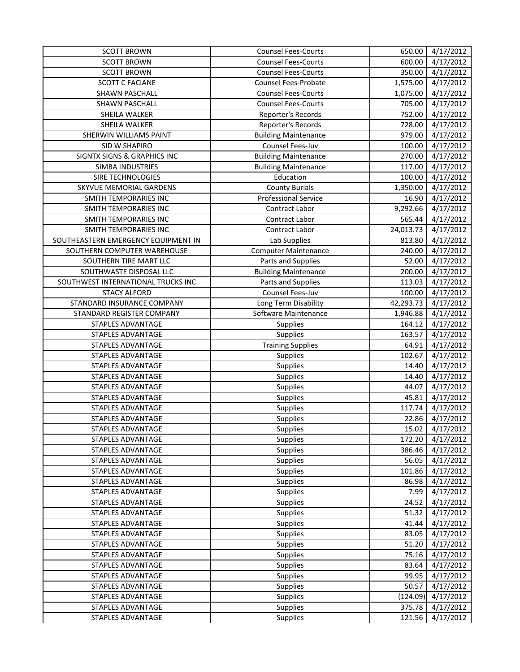| <b>SCOTT BROWN</b>                  | <b>Counsel Fees-Courts</b>  | 650.00    | 4/17/2012 |
|-------------------------------------|-----------------------------|-----------|-----------|
| <b>SCOTT BROWN</b>                  | <b>Counsel Fees-Courts</b>  | 600.00    | 4/17/2012 |
| <b>SCOTT BROWN</b>                  | <b>Counsel Fees-Courts</b>  | 350.00    | 4/17/2012 |
| <b>SCOTT C FACIANE</b>              | Counsel Fees-Probate        | 1,575.00  | 4/17/2012 |
| SHAWN PASCHALL                      | <b>Counsel Fees-Courts</b>  | 1,075.00  | 4/17/2012 |
| SHAWN PASCHALL                      | <b>Counsel Fees-Courts</b>  | 705.00    | 4/17/2012 |
| SHEILA WALKER                       | Reporter's Records          | 752.00    | 4/17/2012 |
| SHEILA WALKER                       | Reporter's Records          | 728.00    | 4/17/2012 |
| SHERWIN WILLIAMS PAINT              | <b>Building Maintenance</b> | 979.00    | 4/17/2012 |
| SID W SHAPIRO                       | Counsel Fees-Juv            | 100.00    | 4/17/2012 |
| SIGNTX SIGNS & GRAPHICS INC         | <b>Building Maintenance</b> | 270.00    | 4/17/2012 |
| <b>SIMBA INDUSTRIES</b>             | <b>Building Maintenance</b> | 117.00    | 4/17/2012 |
| SIRE TECHNOLOGIES                   | Education                   | 100.00    | 4/17/2012 |
| SKYVUE MEMORIAL GARDENS             | <b>County Burials</b>       | 1,350.00  | 4/17/2012 |
| SMITH TEMPORARIES INC               | <b>Professional Service</b> | 16.90     | 4/17/2012 |
| SMITH TEMPORARIES INC               | Contract Labor              | 9,292.66  | 4/17/2012 |
| SMITH TEMPORARIES INC               | <b>Contract Labor</b>       | 565.44    | 4/17/2012 |
| SMITH TEMPORARIES INC               | <b>Contract Labor</b>       | 24,013.73 | 4/17/2012 |
| SOUTHEASTERN EMERGENCY EQUIPMENT IN | Lab Supplies                | 813.80    | 4/17/2012 |
| SOUTHERN COMPUTER WAREHOUSE         | <b>Computer Maintenance</b> | 240.00    | 4/17/2012 |
| SOUTHERN TIRE MART LLC              | Parts and Supplies          | 52.00     | 4/17/2012 |
| SOUTHWASTE DISPOSAL LLC             | <b>Building Maintenance</b> | 200.00    | 4/17/2012 |
| SOUTHWEST INTERNATIONAL TRUCKS INC  | Parts and Supplies          | 113.03    | 4/17/2012 |
| <b>STACY ALFORD</b>                 | Counsel Fees-Juv            | 100.00    | 4/17/2012 |
| STANDARD INSURANCE COMPANY          | Long Term Disability        | 42,293.73 | 4/17/2012 |
| STANDARD REGISTER COMPANY           | Software Maintenance        | 1,946.88  | 4/17/2012 |
| STAPLES ADVANTAGE                   | Supplies                    | 164.12    | 4/17/2012 |
| STAPLES ADVANTAGE                   | Supplies                    | 163.57    | 4/17/2012 |
| STAPLES ADVANTAGE                   | <b>Training Supplies</b>    | 64.91     | 4/17/2012 |
| STAPLES ADVANTAGE                   | <b>Supplies</b>             | 102.67    | 4/17/2012 |
| STAPLES ADVANTAGE                   | Supplies                    | 14.40     | 4/17/2012 |
| STAPLES ADVANTAGE                   | Supplies                    | 14.40     | 4/17/2012 |
| STAPLES ADVANTAGE                   | Supplies                    | 44.07     | 4/17/2012 |
| STAPLES ADVANTAGE                   | Supplies                    | 45.81     | 4/17/2012 |
| STAPLES ADVANTAGE                   | Supplies                    | 117.74    | 4/17/2012 |
| STAPLES ADVANTAGE                   | Supplies                    | 22.86     | 4/17/2012 |
| STAPLES ADVANTAGE                   | Supplies                    | 15.02     | 4/17/2012 |
| STAPLES ADVANTAGE                   | Supplies                    | 172.20    | 4/17/2012 |
| STAPLES ADVANTAGE                   | Supplies                    | 386.46    | 4/17/2012 |
| STAPLES ADVANTAGE                   | Supplies                    | 56.05     | 4/17/2012 |
| STAPLES ADVANTAGE                   | Supplies                    | 101.86    | 4/17/2012 |
| STAPLES ADVANTAGE                   | Supplies                    | 86.98     | 4/17/2012 |
| STAPLES ADVANTAGE                   | Supplies                    | 7.99      | 4/17/2012 |
| STAPLES ADVANTAGE                   | Supplies                    | 24.52     | 4/17/2012 |
| STAPLES ADVANTAGE                   | Supplies                    | 51.32     | 4/17/2012 |
| STAPLES ADVANTAGE                   | Supplies                    | 41.44     | 4/17/2012 |
| STAPLES ADVANTAGE                   | Supplies                    | 83.05     | 4/17/2012 |
| STAPLES ADVANTAGE                   | Supplies                    | 51.20     | 4/17/2012 |
| STAPLES ADVANTAGE                   | Supplies                    | 75.16     | 4/17/2012 |
| STAPLES ADVANTAGE                   | Supplies                    | 83.64     | 4/17/2012 |
| STAPLES ADVANTAGE                   | Supplies                    | 99.95     | 4/17/2012 |
| STAPLES ADVANTAGE                   | Supplies                    | 50.57     | 4/17/2012 |
| STAPLES ADVANTAGE                   | Supplies                    | (124.09)  | 4/17/2012 |
| STAPLES ADVANTAGE                   | Supplies                    | 375.78    | 4/17/2012 |
| STAPLES ADVANTAGE                   | Supplies                    | 121.56    | 4/17/2012 |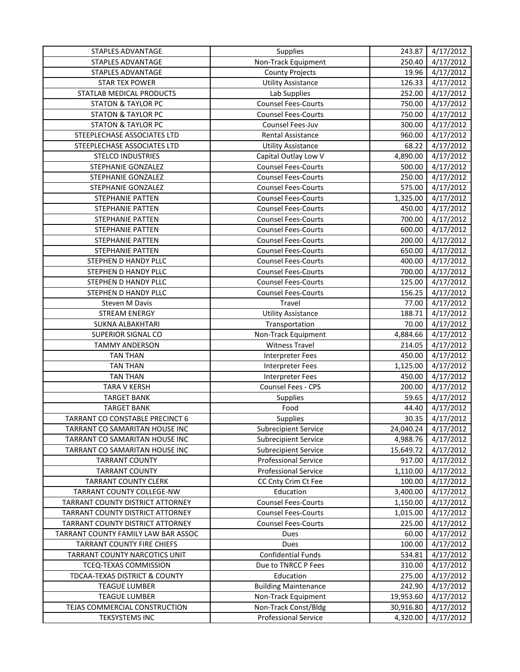| <b>STAPLES ADVANTAGE</b>            | Supplies                    | 243.87    | 4/17/2012 |
|-------------------------------------|-----------------------------|-----------|-----------|
| STAPLES ADVANTAGE                   | Non-Track Equipment         | 250.40    | 4/17/2012 |
| STAPLES ADVANTAGE                   | <b>County Projects</b>      | 19.96     | 4/17/2012 |
| <b>STAR TEX POWER</b>               | <b>Utility Assistance</b>   | 126.33    | 4/17/2012 |
| STATLAB MEDICAL PRODUCTS            | Lab Supplies                | 252.00    | 4/17/2012 |
| <b>STATON &amp; TAYLOR PC</b>       | <b>Counsel Fees-Courts</b>  | 750.00    | 4/17/2012 |
| <b>STATON &amp; TAYLOR PC</b>       | <b>Counsel Fees-Courts</b>  | 750.00    | 4/17/2012 |
| <b>STATON &amp; TAYLOR PC</b>       | Counsel Fees-Juv            | 300.00    | 4/17/2012 |
| STEEPLECHASE ASSOCIATES LTD         | Rental Assistance           | 960.00    | 4/17/2012 |
| STEEPLECHASE ASSOCIATES LTD         | <b>Utility Assistance</b>   | 68.22     | 4/17/2012 |
| <b>STELCO INDUSTRIES</b>            | Capital Outlay Low V        | 4,890.00  | 4/17/2012 |
| STEPHANIE GONZALEZ                  | <b>Counsel Fees-Courts</b>  | 500.00    | 4/17/2012 |
| STEPHANIE GONZALEZ                  | <b>Counsel Fees-Courts</b>  | 250.00    | 4/17/2012 |
| STEPHANIE GONZALEZ                  | <b>Counsel Fees-Courts</b>  | 575.00    | 4/17/2012 |
| STEPHANIE PATTEN                    | <b>Counsel Fees-Courts</b>  | 1,325.00  | 4/17/2012 |
| <b>STEPHANIE PATTEN</b>             | <b>Counsel Fees-Courts</b>  | 450.00    | 4/17/2012 |
| <b>STEPHANIE PATTEN</b>             | <b>Counsel Fees-Courts</b>  | 700.00    | 4/17/2012 |
| STEPHANIE PATTEN                    | <b>Counsel Fees-Courts</b>  | 600.00    | 4/17/2012 |
| STEPHANIE PATTEN                    | <b>Counsel Fees-Courts</b>  | 200.00    | 4/17/2012 |
| STEPHANIE PATTEN                    | <b>Counsel Fees-Courts</b>  | 650.00    | 4/17/2012 |
| STEPHEN D HANDY PLLC                | <b>Counsel Fees-Courts</b>  | 400.00    | 4/17/2012 |
| STEPHEN D HANDY PLLC                | <b>Counsel Fees-Courts</b>  | 700.00    | 4/17/2012 |
| STEPHEN D HANDY PLLC                | <b>Counsel Fees-Courts</b>  | 125.00    | 4/17/2012 |
| STEPHEN D HANDY PLLC                | <b>Counsel Fees-Courts</b>  | 156.25    | 4/17/2012 |
| Steven M Davis                      | Travel                      | 77.00     | 4/17/2012 |
| <b>STREAM ENERGY</b>                | <b>Utility Assistance</b>   | 188.71    | 4/17/2012 |
| SUKNA ALBAKHTARI                    | Transportation              | 70.00     | 4/17/2012 |
| <b>SUPERIOR SIGNAL CO</b>           | Non-Track Equipment         | 4,884.66  | 4/17/2012 |
| <b>TAMMY ANDERSON</b>               | <b>Witness Travel</b>       | 214.05    | 4/17/2012 |
| <b>TAN THAN</b>                     | <b>Interpreter Fees</b>     | 450.00    | 4/17/2012 |
| <b>TAN THAN</b>                     | <b>Interpreter Fees</b>     | 1,125.00  | 4/17/2012 |
| <b>TAN THAN</b>                     | <b>Interpreter Fees</b>     | 450.00    | 4/17/2012 |
| TARA V KERSH                        | Counsel Fees - CPS          | 200.00    | 4/17/2012 |
| <b>TARGET BANK</b>                  | Supplies                    | 59.65     | 4/17/2012 |
| <b>TARGET BANK</b>                  | Food                        | 44.40     | 4/17/2012 |
| TARRANT CO CONSTABLE PRECINCT 6     | Supplies                    | 30.35     | 4/17/2012 |
| TARRANT CO SAMARITAN HOUSE INC      | Subrecipient Service        | 24,040.24 | 4/17/2012 |
| TARRANT CO SAMARITAN HOUSE INC      | <b>Subrecipient Service</b> | 4,988.76  | 4/17/2012 |
| TARRANT CO SAMARITAN HOUSE INC      | <b>Subrecipient Service</b> | 15,649.72 | 4/17/2012 |
| <b>TARRANT COUNTY</b>               | <b>Professional Service</b> | 917.00    | 4/17/2012 |
| <b>TARRANT COUNTY</b>               | <b>Professional Service</b> | 1,110.00  | 4/17/2012 |
| <b>TARRANT COUNTY CLERK</b>         | CC Cnty Crim Ct Fee         | 100.00    | 4/17/2012 |
| TARRANT COUNTY COLLEGE-NW           | Education                   | 3,400.00  | 4/17/2012 |
| TARRANT COUNTY DISTRICT ATTORNEY    | <b>Counsel Fees-Courts</b>  | 1,150.00  | 4/17/2012 |
| TARRANT COUNTY DISTRICT ATTORNEY    | <b>Counsel Fees-Courts</b>  | 1,015.00  | 4/17/2012 |
| TARRANT COUNTY DISTRICT ATTORNEY    | <b>Counsel Fees-Courts</b>  | 225.00    | 4/17/2012 |
| TARRANT COUNTY FAMILY LAW BAR ASSOC | Dues                        | 60.00     | 4/17/2012 |
| TARRANT COUNTY FIRE CHIEFS          | Dues                        | 100.00    | 4/17/2012 |
| TARRANT COUNTY NARCOTICS UNIT       | <b>Confidential Funds</b>   | 534.81    | 4/17/2012 |
| TCEQ-TEXAS COMMISSION               | Due to TNRCC P Fees         | 310.00    | 4/17/2012 |
| TDCAA-TEXAS DISTRICT & COUNTY       | Education                   | 275.00    | 4/17/2012 |
| <b>TEAGUE LUMBER</b>                | <b>Building Maintenance</b> | 242.90    | 4/17/2012 |
| <b>TEAGUE LUMBER</b>                | Non-Track Equipment         | 19,953.60 | 4/17/2012 |
| TEJAS COMMERCIAL CONSTRUCTION       | Non-Track Const/Bldg        | 30,916.80 | 4/17/2012 |
| <b>TEKSYSTEMS INC</b>               | <b>Professional Service</b> | 4,320.00  | 4/17/2012 |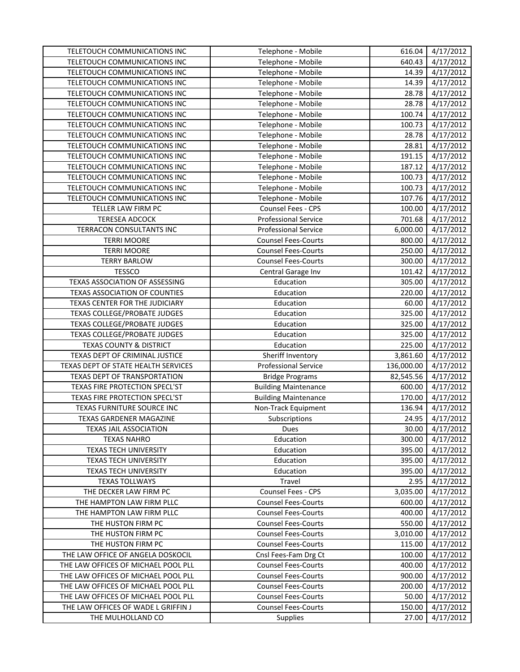| TELETOUCH COMMUNICATIONS INC         | Telephone - Mobile          | 616.04          | 4/17/2012              |
|--------------------------------------|-----------------------------|-----------------|------------------------|
| TELETOUCH COMMUNICATIONS INC         | Telephone - Mobile          | 640.43          | 4/17/2012              |
| TELETOUCH COMMUNICATIONS INC         | Telephone - Mobile          | 14.39           | 4/17/2012              |
| TELETOUCH COMMUNICATIONS INC         | Telephone - Mobile          | 14.39           | 4/17/2012              |
| TELETOUCH COMMUNICATIONS INC         | Telephone - Mobile          | 28.78           | 4/17/2012              |
| TELETOUCH COMMUNICATIONS INC         | Telephone - Mobile          | 28.78           | 4/17/2012              |
| TELETOUCH COMMUNICATIONS INC         | Telephone - Mobile          | 100.74          | 4/17/2012              |
| TELETOUCH COMMUNICATIONS INC         | Telephone - Mobile          | 100.73          | 4/17/2012              |
| TELETOUCH COMMUNICATIONS INC         | Telephone - Mobile          | 28.78           | 4/17/2012              |
| TELETOUCH COMMUNICATIONS INC         | Telephone - Mobile          | 28.81           | 4/17/2012              |
| TELETOUCH COMMUNICATIONS INC         | Telephone - Mobile          | 191.15          | 4/17/2012              |
| TELETOUCH COMMUNICATIONS INC         | Telephone - Mobile          | 187.12          | 4/17/2012              |
| TELETOUCH COMMUNICATIONS INC         | Telephone - Mobile          | 100.73          | 4/17/2012              |
| TELETOUCH COMMUNICATIONS INC         | Telephone - Mobile          | 100.73          | 4/17/2012              |
| TELETOUCH COMMUNICATIONS INC         | Telephone - Mobile          | 107.76          | $\frac{4}{17}/2012$    |
| TELLER LAW FIRM PC                   | Counsel Fees - CPS          | 100.00          | 4/17/2012              |
| <b>TERESEA ADCOCK</b>                | <b>Professional Service</b> | 701.68          | 4/17/2012              |
| TERRACON CONSULTANTS INC             | <b>Professional Service</b> | 6,000.00        | 4/17/2012              |
| <b>TERRI MOORE</b>                   | <b>Counsel Fees-Courts</b>  | 800.00          | 4/17/2012              |
| <b>TERRI MOORE</b>                   | <b>Counsel Fees-Courts</b>  | 250.00          | 4/17/2012              |
| <b>TERRY BARLOW</b>                  | <b>Counsel Fees-Courts</b>  | 300.00          | 4/17/2012              |
| <b>TESSCO</b>                        | Central Garage Inv          | 101.42          | 4/17/2012              |
| TEXAS ASSOCIATION OF ASSESSING       | Education                   | 305.00          | 4/17/2012              |
| <b>TEXAS ASSOCIATION OF COUNTIES</b> | Education                   | 220.00          | 4/17/2012              |
| TEXAS CENTER FOR THE JUDICIARY       | Education                   | 60.00           | 4/17/2012              |
| TEXAS COLLEGE/PROBATE JUDGES         | Education                   | 325.00          | 4/17/2012              |
| TEXAS COLLEGE/PROBATE JUDGES         | Education                   | 325.00          | 4/17/2012              |
| TEXAS COLLEGE/PROBATE JUDGES         | Education                   | 325.00          | 4/17/2012              |
| <b>TEXAS COUNTY &amp; DISTRICT</b>   | Education                   | 225.00          | 4/17/2012              |
| TEXAS DEPT OF CRIMINAL JUSTICE       | Sheriff Inventory           | 3,861.60        | 4/17/2012              |
| TEXAS DEPT OF STATE HEALTH SERVICES  | <b>Professional Service</b> | 136,000.00      | 4/17/2012              |
| TEXAS DEPT OF TRANSPORTATION         | <b>Bridge Programs</b>      | 82,545.56       | 4/17/2012              |
| TEXAS FIRE PROTECTION SPECL'ST       | <b>Building Maintenance</b> | 600.00          | 4/17/2012              |
| TEXAS FIRE PROTECTION SPECL'ST       | <b>Building Maintenance</b> | 170.00          | 4/17/2012              |
| TEXAS FURNITURE SOURCE INC           | Non-Track Equipment         | 136.94          | 4/17/2012              |
| TEXAS GARDENER MAGAZINE              | Subscriptions               | 24.95           | 4/17/2012              |
| <b>TEXAS JAIL ASSOCIATION</b>        | Dues                        | 30.00           | 4/17/2012              |
| <b>TEXAS NAHRO</b>                   | Education                   | 300.00          | 4/17/2012              |
| TEXAS TECH UNIVERSITY                | Education                   | 395.00          | 4/17/2012              |
| <b>TEXAS TECH UNIVERSITY</b>         | Education                   | 395.00          | 4/17/2012              |
| <b>TEXAS TECH UNIVERSITY</b>         | Education                   | 395.00          | 4/17/2012              |
| <b>TEXAS TOLLWAYS</b>                | Travel                      | 2.95            | 4/17/2012              |
| THE DECKER LAW FIRM PC               | <b>Counsel Fees - CPS</b>   | 3,035.00        | 4/17/2012              |
| THE HAMPTON LAW FIRM PLLC            | <b>Counsel Fees-Courts</b>  | 600.00          | 4/17/2012              |
| THE HAMPTON LAW FIRM PLLC            | <b>Counsel Fees-Courts</b>  | 400.00          | 4/17/2012              |
| THE HUSTON FIRM PC                   | <b>Counsel Fees-Courts</b>  | 550.00          | 4/17/2012              |
| THE HUSTON FIRM PC                   | <b>Counsel Fees-Courts</b>  | 3,010.00        | 4/17/2012              |
| THE HUSTON FIRM PC                   | <b>Counsel Fees-Courts</b>  | 115.00          | 4/17/2012              |
| THE LAW OFFICE OF ANGELA DOSKOCIL    | Cnsl Fees-Fam Drg Ct        | 100.00          | 4/17/2012              |
| THE LAW OFFICES OF MICHAEL POOL PLL  | <b>Counsel Fees-Courts</b>  | 400.00          | 4/17/2012              |
| THE LAW OFFICES OF MICHAEL POOL PLL  | <b>Counsel Fees-Courts</b>  | 900.00          | 4/17/2012              |
| THE LAW OFFICES OF MICHAEL POOL PLL  | <b>Counsel Fees-Courts</b>  | 200.00          | 4/17/2012              |
| THE LAW OFFICES OF MICHAEL POOL PLL  | <b>Counsel Fees-Courts</b>  | 50.00           | 4/17/2012              |
| THE LAW OFFICES OF WADE L GRIFFIN J  | <b>Counsel Fees-Courts</b>  | 150.00<br>27.00 | 4/17/2012<br>4/17/2012 |
| THE MULHOLLAND CO                    | Supplies                    |                 |                        |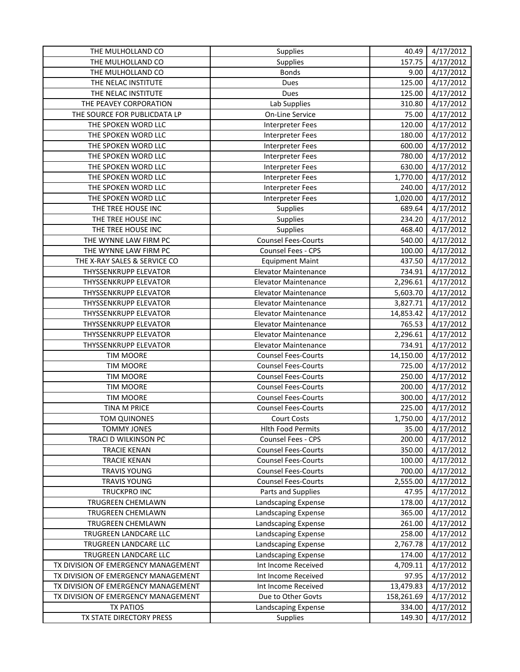| THE MULHOLLAND CO                   | Supplies                    | 40.49      | 4/17/2012              |
|-------------------------------------|-----------------------------|------------|------------------------|
| THE MULHOLLAND CO                   | <b>Supplies</b>             | 157.75     | 4/17/2012              |
| THE MULHOLLAND CO                   | <b>Bonds</b>                | 9.00       | 4/17/2012              |
| THE NELAC INSTITUTE                 | Dues                        | 125.00     | 4/17/2012              |
| THE NELAC INSTITUTE                 | Dues                        | 125.00     | 4/17/2012              |
| THE PEAVEY CORPORATION              | Lab Supplies                | 310.80     | 4/17/2012              |
| THE SOURCE FOR PUBLICDATA LP        | On-Line Service             | 75.00      | 4/17/2012              |
| THE SPOKEN WORD LLC                 | <b>Interpreter Fees</b>     | 120.00     | 4/17/2012              |
| THE SPOKEN WORD LLC                 | <b>Interpreter Fees</b>     | 180.00     | 4/17/2012              |
| THE SPOKEN WORD LLC                 | <b>Interpreter Fees</b>     | 600.00     | 4/17/2012              |
| THE SPOKEN WORD LLC                 | Interpreter Fees            | 780.00     | 4/17/2012              |
| THE SPOKEN WORD LLC                 | Interpreter Fees            | 630.00     | 4/17/2012              |
| THE SPOKEN WORD LLC                 | <b>Interpreter Fees</b>     | 1,770.00   | 4/17/2012              |
| THE SPOKEN WORD LLC                 | <b>Interpreter Fees</b>     | 240.00     | 4/17/2012              |
| THE SPOKEN WORD LLC                 | <b>Interpreter Fees</b>     | 1,020.00   | 4/17/2012              |
| THE TREE HOUSE INC                  | <b>Supplies</b>             | 689.64     | 4/17/2012              |
| THE TREE HOUSE INC                  | Supplies                    | 234.20     | 4/17/2012              |
| THE TREE HOUSE INC                  | <b>Supplies</b>             | 468.40     | 4/17/2012              |
| THE WYNNE LAW FIRM PC               | <b>Counsel Fees-Courts</b>  | 540.00     | 4/17/2012              |
| THE WYNNE LAW FIRM PC               | Counsel Fees - CPS          | 100.00     | 4/17/2012              |
| THE X-RAY SALES & SERVICE CO        | <b>Equipment Maint</b>      | 437.50     | 4/17/2012              |
| <b>THYSSENKRUPP ELEVATOR</b>        | <b>Elevator Maintenance</b> | 734.91     | 4/17/2012              |
| THYSSENKRUPP ELEVATOR               | <b>Elevator Maintenance</b> | 2,296.61   | 4/17/2012              |
| <b>THYSSENKRUPP ELEVATOR</b>        | <b>Elevator Maintenance</b> | 5,603.70   | 4/17/2012              |
| THYSSENKRUPP ELEVATOR               | <b>Elevator Maintenance</b> | 3,827.71   | 4/17/2012              |
| THYSSENKRUPP ELEVATOR               | <b>Elevator Maintenance</b> | 14,853.42  | 4/17/2012              |
| THYSSENKRUPP ELEVATOR               | <b>Elevator Maintenance</b> | 765.53     | 4/17/2012              |
| THYSSENKRUPP ELEVATOR               | <b>Elevator Maintenance</b> | 2,296.61   | 4/17/2012              |
| <b>THYSSENKRUPP ELEVATOR</b>        | <b>Elevator Maintenance</b> | 734.91     | 4/17/2012              |
| <b>TIM MOORE</b>                    | <b>Counsel Fees-Courts</b>  | 14,150.00  | 4/17/2012              |
| <b>TIM MOORE</b>                    | <b>Counsel Fees-Courts</b>  | 725.00     | 4/17/2012              |
| <b>TIM MOORE</b>                    | <b>Counsel Fees-Courts</b>  | 250.00     | 4/17/2012              |
| <b>TIM MOORE</b>                    | <b>Counsel Fees-Courts</b>  | 200.00     | 4/17/2012              |
| <b>TIM MOORE</b>                    | <b>Counsel Fees-Courts</b>  | 300.00     | 4/17/2012              |
| TINA M PRICE                        | <b>Counsel Fees-Courts</b>  | 225.00     | 4/17/2012              |
| <b>TOM QUINONES</b>                 | <b>Court Costs</b>          | 1,750.00   | 4/17/2012              |
| TOMMY JONES                         | <b>Hith Food Permits</b>    | 35.00      | 4/17/2012              |
| TRACI D WILKINSON PC                | Counsel Fees - CPS          | 200.00     | 4/17/2012              |
| <b>TRACIE KENAN</b>                 | <b>Counsel Fees-Courts</b>  | 350.00     | 4/17/2012              |
| <b>TRACIE KENAN</b>                 | <b>Counsel Fees-Courts</b>  | 100.00     | 4/17/2012              |
| <b>TRAVIS YOUNG</b>                 | <b>Counsel Fees-Courts</b>  | 700.00     | 4/17/2012              |
| <b>TRAVIS YOUNG</b>                 | <b>Counsel Fees-Courts</b>  | 2,555.00   | 4/17/2012              |
| TRUCKPRO INC                        | Parts and Supplies          | 47.95      | 4/17/2012              |
| TRUGREEN CHEMLAWN                   | Landscaping Expense         | 178.00     | 4/17/2012              |
| TRUGREEN CHEMLAWN                   | Landscaping Expense         | 365.00     | 4/17/2012              |
| TRUGREEN CHEMLAWN                   | Landscaping Expense         | 261.00     | 4/17/2012              |
| TRUGREEN LANDCARE LLC               | Landscaping Expense         | 258.00     | $\frac{1}{4}$ /17/2012 |
| TRUGREEN LANDCARE LLC               | Landscaping Expense         | 2,767.78   | 4/17/2012              |
| TRUGREEN LANDCARE LLC               | Landscaping Expense         | 174.00     | 4/17/2012              |
| TX DIVISION OF EMERGENCY MANAGEMENT | Int Income Received         | 4,709.11   | 4/17/2012              |
| TX DIVISION OF EMERGENCY MANAGEMENT | Int Income Received         | 97.95      | 4/17/2012              |
| TX DIVISION OF EMERGENCY MANAGEMENT | Int Income Received         | 13,479.83  | 4/17/2012              |
| TX DIVISION OF EMERGENCY MANAGEMENT | Due to Other Govts          | 158,261.69 | 4/17/2012              |
| <b>TX PATIOS</b>                    | Landscaping Expense         | 334.00     | 4/17/2012              |
| TX STATE DIRECTORY PRESS            | Supplies                    | 149.30     | 4/17/2012              |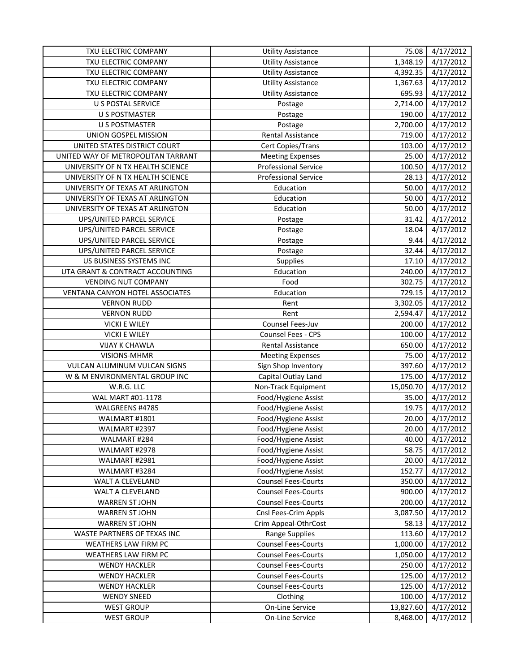| TXU ELECTRIC COMPANY               | <b>Utility Assistance</b>   | 75.08     | 4/17/2012 |
|------------------------------------|-----------------------------|-----------|-----------|
| TXU ELECTRIC COMPANY               | <b>Utility Assistance</b>   | 1,348.19  | 4/17/2012 |
| TXU ELECTRIC COMPANY               | <b>Utility Assistance</b>   | 4,392.35  | 4/17/2012 |
| TXU ELECTRIC COMPANY               | <b>Utility Assistance</b>   | 1,367.63  | 4/17/2012 |
| TXU ELECTRIC COMPANY               | <b>Utility Assistance</b>   | 695.93    | 4/17/2012 |
| U S POSTAL SERVICE                 | Postage                     | 2,714.00  | 4/17/2012 |
| <b>U S POSTMASTER</b>              | Postage                     | 190.00    | 4/17/2012 |
| <b>U S POSTMASTER</b>              | Postage                     | 2,700.00  | 4/17/2012 |
| UNION GOSPEL MISSION               | Rental Assistance           | 719.00    | 4/17/2012 |
| UNITED STATES DISTRICT COURT       | Cert Copies/Trans           | 103.00    | 4/17/2012 |
| UNITED WAY OF METROPOLITAN TARRANT | <b>Meeting Expenses</b>     | 25.00     | 4/17/2012 |
| UNIVERSITY OF N TX HEALTH SCIENCE  | <b>Professional Service</b> | 100.50    | 4/17/2012 |
| UNIVERSITY OF N TX HEALTH SCIENCE  | <b>Professional Service</b> | 28.13     | 4/17/2012 |
| UNIVERSITY OF TEXAS AT ARLINGTON   | Education                   | 50.00     | 4/17/2012 |
| UNIVERSITY OF TEXAS AT ARLINGTON   | Education                   | 50.00     | 4/17/2012 |
| UNIVERSITY OF TEXAS AT ARLINGTON   | Education                   | 50.00     | 4/17/2012 |
| UPS/UNITED PARCEL SERVICE          | Postage                     | 31.42     | 4/17/2012 |
| UPS/UNITED PARCEL SERVICE          | Postage                     | 18.04     | 4/17/2012 |
| UPS/UNITED PARCEL SERVICE          | Postage                     | 9.44      | 4/17/2012 |
| UPS/UNITED PARCEL SERVICE          | Postage                     | 32.44     | 4/17/2012 |
| US BUSINESS SYSTEMS INC            | Supplies                    | 17.10     | 4/17/2012 |
| UTA GRANT & CONTRACT ACCOUNTING    | Education                   | 240.00    | 4/17/2012 |
| <b>VENDING NUT COMPANY</b>         | Food                        | 302.75    | 4/17/2012 |
| VENTANA CANYON HOTEL ASSOCIATES    | Education                   | 729.15    | 4/17/2012 |
| <b>VERNON RUDD</b>                 | Rent                        | 3,302.05  | 4/17/2012 |
| <b>VERNON RUDD</b>                 | Rent                        | 2,594.47  | 4/17/2012 |
| <b>VICKI E WILEY</b>               | Counsel Fees-Juv            | 200.00    | 4/17/2012 |
| <b>VICKI E WILEY</b>               | Counsel Fees - CPS          | 100.00    | 4/17/2012 |
| <b>VIJAY K CHAWLA</b>              | Rental Assistance           | 650.00    | 4/17/2012 |
| VISIONS-MHMR                       | <b>Meeting Expenses</b>     | 75.00     | 4/17/2012 |
| VULCAN ALUMINUM VULCAN SIGNS       | Sign Shop Inventory         | 397.60    | 4/17/2012 |
| W & M ENVIRONMENTAL GROUP INC      | Capital Outlay Land         | 175.00    | 4/17/2012 |
| W.R.G. LLC                         | Non-Track Equipment         | 15,050.70 | 4/17/2012 |
| WAL MART #01-1178                  | Food/Hygiene Assist         | 35.00     | 4/17/2012 |
| WALGREENS #4785                    | Food/Hygiene Assist         | 19.75     | 4/17/2012 |
| WALMART #1801                      | Food/Hygiene Assist         | 20.00     | 4/17/2012 |
| WALMART #2397                      | Food/Hygiene Assist         | 20.00     | 4/17/2012 |
| WALMART #284                       | Food/Hygiene Assist         | 40.00     | 4/17/2012 |
| WALMART #2978                      | Food/Hygiene Assist         | 58.75     | 4/17/2012 |
| WALMART #2981                      | Food/Hygiene Assist         | 20.00     | 4/17/2012 |
| WALMART #3284                      | Food/Hygiene Assist         | 152.77    | 4/17/2012 |
| WALT A CLEVELAND                   | <b>Counsel Fees-Courts</b>  | 350.00    | 4/17/2012 |
| WALT A CLEVELAND                   | <b>Counsel Fees-Courts</b>  | 900.00    | 4/17/2012 |
| <b>WARREN ST JOHN</b>              | <b>Counsel Fees-Courts</b>  | 200.00    | 4/17/2012 |
| <b>WARREN ST JOHN</b>              | Cnsl Fees-Crim Appls        | 3,087.50  | 4/17/2012 |
| <b>WARREN ST JOHN</b>              | Crim Appeal-OthrCost        | 58.13     | 4/17/2012 |
| WASTE PARTNERS OF TEXAS INC        | Range Supplies              | 113.60    | 4/17/2012 |
| WEATHERS LAW FIRM PC               | <b>Counsel Fees-Courts</b>  | 1,000.00  | 4/17/2012 |
| WEATHERS LAW FIRM PC               | <b>Counsel Fees-Courts</b>  | 1,050.00  | 4/17/2012 |
| <b>WENDY HACKLER</b>               | <b>Counsel Fees-Courts</b>  | 250.00    | 4/17/2012 |
| <b>WENDY HACKLER</b>               | <b>Counsel Fees-Courts</b>  | 125.00    | 4/17/2012 |
| <b>WENDY HACKLER</b>               | <b>Counsel Fees-Courts</b>  | 125.00    | 4/17/2012 |
| <b>WENDY SNEED</b>                 | Clothing                    | 100.00    | 4/17/2012 |
| <b>WEST GROUP</b>                  | <b>On-Line Service</b>      | 13,827.60 | 4/17/2012 |
| <b>WEST GROUP</b>                  | On-Line Service             | 8,468.00  | 4/17/2012 |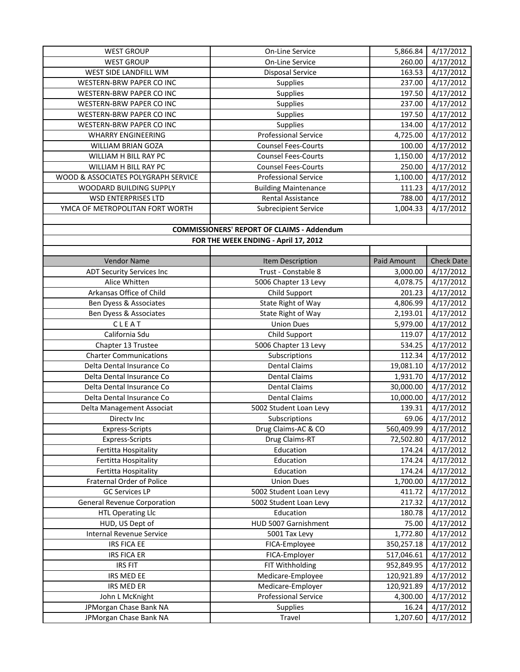| <b>WEST GROUP</b>                   | On-Line Service                                   | 5,866.84           | 4/17/2012              |
|-------------------------------------|---------------------------------------------------|--------------------|------------------------|
| <b>WEST GROUP</b>                   | On-Line Service                                   | 260.00             | 4/17/2012              |
| WEST SIDE LANDFILL WM               | <b>Disposal Service</b>                           | 163.53             | 4/17/2012              |
| WESTERN-BRW PAPER CO INC            | <b>Supplies</b>                                   | 237.00             | 4/17/2012              |
| WESTERN-BRW PAPER CO INC            | Supplies                                          | 197.50             | 4/17/2012              |
| WESTERN-BRW PAPER CO INC            | Supplies                                          | 237.00             | 4/17/2012              |
| WESTERN-BRW PAPER CO INC            | Supplies                                          | 197.50             | 4/17/2012              |
| WESTERN-BRW PAPER CO INC            | Supplies                                          | 134.00             | 4/17/2012              |
| <b>WHARRY ENGINEERING</b>           | <b>Professional Service</b>                       | 4,725.00           | 4/17/2012              |
| WILLIAM BRIAN GOZA                  | <b>Counsel Fees-Courts</b>                        | 100.00             | 4/17/2012              |
| WILLIAM H BILL RAY PC               | <b>Counsel Fees-Courts</b>                        | 1,150.00           | 4/17/2012              |
| WILLIAM H BILL RAY PC               | <b>Counsel Fees-Courts</b>                        | 250.00             | 4/17/2012              |
| WOOD & ASSOCIATES POLYGRAPH SERVICE | <b>Professional Service</b>                       | 1,100.00           | 4/17/2012              |
| WOODARD BUILDING SUPPLY             | <b>Building Maintenance</b>                       | 111.23             | 4/17/2012              |
| <b>WSD ENTERPRISES LTD</b>          | <b>Rental Assistance</b>                          | 788.00             | 4/17/2012              |
| YMCA OF METROPOLITAN FORT WORTH     | <b>Subrecipient Service</b>                       | 1,004.33           | 4/17/2012              |
|                                     |                                                   |                    |                        |
|                                     | <b>COMMISSIONERS' REPORT OF CLAIMS - Addendum</b> |                    |                        |
|                                     | FOR THE WEEK ENDING - April 17, 2012              |                    |                        |
|                                     |                                                   |                    |                        |
| Vendor Name                         | Item Description                                  | <b>Paid Amount</b> | <b>Check Date</b>      |
| <b>ADT Security Services Inc</b>    | Trust - Constable 8                               | 3,000.00           | 4/17/2012              |
| Alice Whitten                       | 5006 Chapter 13 Levy                              | 4,078.75           | 4/17/2012              |
| Arkansas Office of Child            | Child Support                                     | 201.23             | 4/17/2012              |
| Ben Dyess & Associates              | State Right of Way                                | 4,806.99           | 4/17/2012              |
| Ben Dyess & Associates              | State Right of Way                                | 2,193.01           | 4/17/2012              |
| CLEAT                               | <b>Union Dues</b>                                 | 5,979.00           | 4/17/2012              |
| California Sdu                      | Child Support                                     | 119.07             | $\frac{1}{4}$ /17/2012 |
| Chapter 13 Trustee                  | 5006 Chapter 13 Levy                              | 534.25             | 4/17/2012              |
| <b>Charter Communications</b>       | Subscriptions                                     | 112.34             | 4/17/2012              |
| Delta Dental Insurance Co           | <b>Dental Claims</b>                              | 19,081.10          | 4/17/2012              |
| Delta Dental Insurance Co           | <b>Dental Claims</b>                              | 1,931.70           | 4/17/2012              |
| Delta Dental Insurance Co           | <b>Dental Claims</b>                              | 30,000.00          | 4/17/2012              |
| Delta Dental Insurance Co           | <b>Dental Claims</b>                              | 10,000.00          | 4/17/2012              |
| Delta Management Associat           | 5002 Student Loan Levy                            | 139.31             | 4/17/2012              |
| Directv Inc                         | Subscriptions                                     | 69.06              | 4/17/2012              |
| <b>Express-Scripts</b>              | Drug Claims-AC & CO                               | 560,409.99         | 4/17/2012              |
| Express-Scripts                     | Drug Claims-RT                                    | 72,502.80          | 4/17/2012              |
| Fertitta Hospitality                | Education                                         | 174.24             | 4/17/2012              |
| Fertitta Hospitality                | Education                                         | 174.24             | 4/17/2012              |
| Fertitta Hospitality                | Education                                         | 174.24             | 4/17/2012              |
| Fraternal Order of Police           | <b>Union Dues</b>                                 | 1,700.00           | 4/17/2012              |
| <b>GC Services LP</b>               | 5002 Student Loan Levy                            | 411.72             | 4/17/2012              |
| General Revenue Corporation         | 5002 Student Loan Levy                            | 217.32             | 4/17/2012              |
| <b>HTL Operating Llc</b>            | Education                                         | 180.78             | 4/17/2012              |
| HUD, US Dept of                     | HUD 5007 Garnishment                              | 75.00              | 4/17/2012              |
| Internal Revenue Service            | 5001 Tax Levy                                     | 1,772.80           | 4/17/2012              |
| <b>IRS FICA EE</b>                  | FICA-Employee                                     | 350,257.18         | 4/17/2012              |
| <b>IRS FICA ER</b>                  | FICA-Employer                                     | 517,046.61         | 4/17/2012              |
| <b>IRS FIT</b>                      | FIT Withholding                                   | 952,849.95         | 4/17/2012              |
| IRS MED EE                          | Medicare-Employee                                 | 120,921.89         | 4/17/2012              |
|                                     |                                                   |                    |                        |
| IRS MED ER                          | Medicare-Employer                                 | 120,921.89         | 4/17/2012              |
| John L McKnight                     | <b>Professional Service</b>                       | 4,300.00           | 4/17/2012              |
| JPMorgan Chase Bank NA              | <b>Supplies</b>                                   | 16.24              | 4/17/2012              |
| JPMorgan Chase Bank NA              | Travel                                            | 1,207.60           | 4/17/2012              |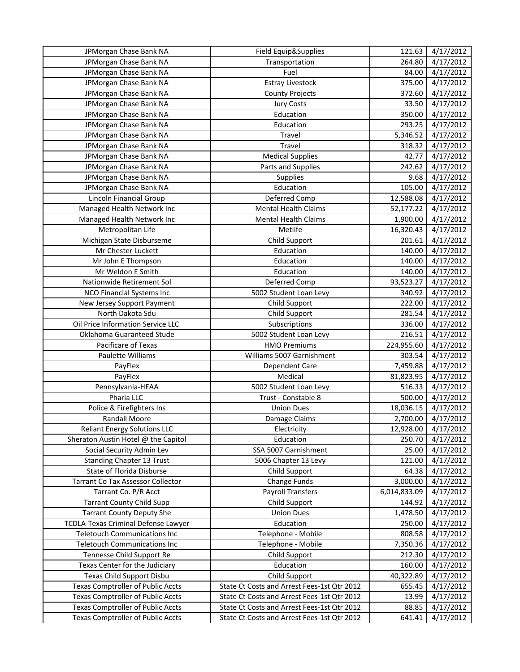| JPMorgan Chase Bank NA                   | Field Equip&Supplies                        | 121.63       | 4/17/2012 |
|------------------------------------------|---------------------------------------------|--------------|-----------|
| JPMorgan Chase Bank NA                   | Transportation                              | 264.80       | 4/17/2012 |
| JPMorgan Chase Bank NA                   | Fuel                                        | 84.00        | 4/17/2012 |
| JPMorgan Chase Bank NA                   | <b>Estray Livestock</b>                     | 375.00       | 4/17/2012 |
| JPMorgan Chase Bank NA                   | <b>County Projects</b>                      | 372.60       | 4/17/2012 |
| JPMorgan Chase Bank NA                   | <b>Jury Costs</b>                           | 33.50        | 4/17/2012 |
| JPMorgan Chase Bank NA                   | Education                                   | 350.00       | 4/17/2012 |
| JPMorgan Chase Bank NA                   | Education                                   | 293.25       | 4/17/2012 |
| JPMorgan Chase Bank NA                   | Travel                                      | 5,346.52     | 4/17/2012 |
| JPMorgan Chase Bank NA                   | Travel                                      | 318.32       | 4/17/2012 |
| JPMorgan Chase Bank NA                   | <b>Medical Supplies</b>                     | 42.77        | 4/17/2012 |
| JPMorgan Chase Bank NA                   | Parts and Supplies                          | 242.62       | 4/17/2012 |
| JPMorgan Chase Bank NA                   | Supplies                                    | 9.68         | 4/17/2012 |
| JPMorgan Chase Bank NA                   | Education                                   | 105.00       | 4/17/2012 |
| <b>Lincoln Financial Group</b>           | Deferred Comp                               | 12,588.08    | 4/17/2012 |
| Managed Health Network Inc               | <b>Mental Health Claims</b>                 | 52,177.22    | 4/17/2012 |
| Managed Health Network Inc               | <b>Mental Health Claims</b>                 | 1,900.00     | 4/17/2012 |
| Metropolitan Life                        | Metlife                                     | 16,320.43    | 4/17/2012 |
| Michigan State Disburseme                | Child Support                               | 201.61       | 4/17/2012 |
| Mr Chester Luckett                       | Education                                   | 140.00       | 4/17/2012 |
| Mr John E Thompson                       | Education                                   | 140.00       | 4/17/2012 |
| Mr Weldon E Smith                        | Education                                   | 140.00       | 4/17/2012 |
| Nationwide Retirement Sol                | Deferred Comp                               | 93,523.27    | 4/17/2012 |
| <b>NCO Financial Systems Inc</b>         | 5002 Student Loan Levy                      | 340.92       | 4/17/2012 |
| New Jersey Support Payment               | Child Support                               | 222.00       | 4/17/2012 |
| North Dakota Sdu                         | Child Support                               | 281.54       | 4/17/2012 |
| Oil Price Information Service LLC        | Subscriptions                               | 336.00       | 4/17/2012 |
| Oklahoma Guaranteed Stude                | 5002 Student Loan Levy                      | 216.51       | 4/17/2012 |
| Pacificare of Texas                      | <b>HMO Premiums</b>                         | 224,955.60   | 4/17/2012 |
| Paulette Williams                        | Williams 5007 Garnishment                   | 303.54       | 4/17/2012 |
| PayFlex                                  | Dependent Care                              | 7,459.88     | 4/17/2012 |
| PayFlex                                  | Medical                                     | 81,823.95    | 4/17/2012 |
| Pennsylvania-HEAA                        | 5002 Student Loan Levy                      | 516.33       | 4/17/2012 |
| Pharia LLC                               | Trust - Constable 8                         | 500.00       | 4/17/2012 |
| Police & Firefighters Ins                | <b>Union Dues</b>                           | 18,036.15    | 4/17/2012 |
| <b>Randall Moore</b>                     | Damage Claims                               | 2,700.00     | 4/17/2012 |
| <b>Reliant Energy Solutions LLC</b>      | Electricity                                 | 12,928.00    | 4/17/2012 |
| Sheraton Austin Hotel @ the Capitol      | Education                                   | 250.70       | 4/17/2012 |
| Social Security Admin Lev                | SSA 5007 Garnishment                        | 25.00        | 4/17/2012 |
| <b>Standing Chapter 13 Trust</b>         | 5006 Chapter 13 Levy                        | 121.00       | 4/17/2012 |
| State of Florida Disburse                | Child Support                               | 64.38        | 4/17/2012 |
| Tarrant Co Tax Assessor Collector        | Change Funds                                | 3,000.00     | 4/17/2012 |
| Tarrant Co. P/R Acct                     | <b>Payroll Transfers</b>                    | 6,014,833.09 | 4/17/2012 |
| <b>Tarrant County Child Supp</b>         | Child Support                               | 144.92       | 4/17/2012 |
| <b>Tarrant County Deputy She</b>         | <b>Union Dues</b>                           | 1,478.50     | 4/17/2012 |
| TCDLA-Texas Criminal Defense Lawyer      | Education                                   | 250.00       | 4/17/2012 |
| <b>Teletouch Communications Inc</b>      | Telephone - Mobile                          | 808.58       | 4/17/2012 |
| <b>Teletouch Communications Inc</b>      | Telephone - Mobile                          | 7,350.36     | 4/17/2012 |
| Tennesse Child Support Re                | Child Support                               | 212.30       | 4/17/2012 |
| Texas Center for the Judiciary           | Education                                   | 160.00       | 4/17/2012 |
| Texas Child Support Disbu                | Child Support                               | 40,322.89    | 4/17/2012 |
| <b>Texas Comptroller of Public Accts</b> | State Ct Costs and Arrest Fees-1st Qtr 2012 | 655.45       | 4/17/2012 |
| <b>Texas Comptroller of Public Accts</b> | State Ct Costs and Arrest Fees-1st Qtr 2012 | 13.99        | 4/17/2012 |
| Texas Comptroller of Public Accts        | State Ct Costs and Arrest Fees-1st Qtr 2012 | 88.85        | 4/17/2012 |
| <b>Texas Comptroller of Public Accts</b> | State Ct Costs and Arrest Fees-1st Qtr 2012 | 641.41       | 4/17/2012 |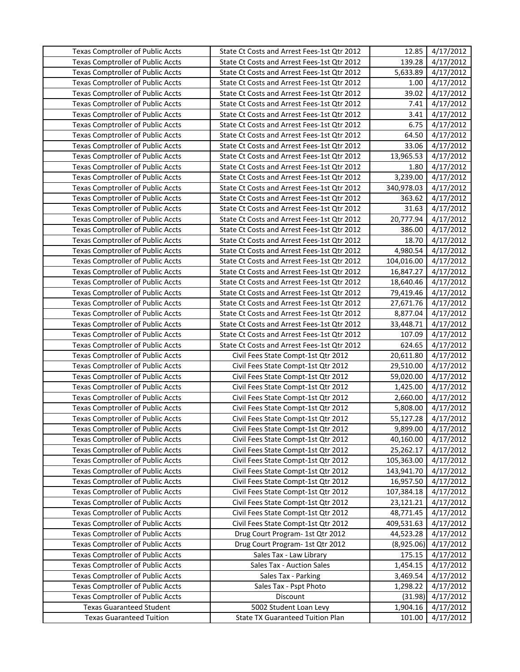| <b>Texas Comptroller of Public Accts</b> | State Ct Costs and Arrest Fees-1st Qtr 2012 | 12.85      | 4/17/2012 |
|------------------------------------------|---------------------------------------------|------------|-----------|
| <b>Texas Comptroller of Public Accts</b> | State Ct Costs and Arrest Fees-1st Qtr 2012 | 139.28     | 4/17/2012 |
| <b>Texas Comptroller of Public Accts</b> | State Ct Costs and Arrest Fees-1st Qtr 2012 | 5,633.89   | 4/17/2012 |
| <b>Texas Comptroller of Public Accts</b> | State Ct Costs and Arrest Fees-1st Qtr 2012 | 1.00       | 4/17/2012 |
| <b>Texas Comptroller of Public Accts</b> | State Ct Costs and Arrest Fees-1st Qtr 2012 | 39.02      | 4/17/2012 |
| <b>Texas Comptroller of Public Accts</b> | State Ct Costs and Arrest Fees-1st Qtr 2012 | 7.41       | 4/17/2012 |
| <b>Texas Comptroller of Public Accts</b> | State Ct Costs and Arrest Fees-1st Qtr 2012 | 3.41       | 4/17/2012 |
| <b>Texas Comptroller of Public Accts</b> | State Ct Costs and Arrest Fees-1st Qtr 2012 | 6.75       | 4/17/2012 |
| <b>Texas Comptroller of Public Accts</b> | State Ct Costs and Arrest Fees-1st Qtr 2012 | 64.50      | 4/17/2012 |
| <b>Texas Comptroller of Public Accts</b> | State Ct Costs and Arrest Fees-1st Qtr 2012 | 33.06      | 4/17/2012 |
| <b>Texas Comptroller of Public Accts</b> | State Ct Costs and Arrest Fees-1st Qtr 2012 | 13,965.53  | 4/17/2012 |
| <b>Texas Comptroller of Public Accts</b> | State Ct Costs and Arrest Fees-1st Qtr 2012 | 1.80       | 4/17/2012 |
| <b>Texas Comptroller of Public Accts</b> | State Ct Costs and Arrest Fees-1st Qtr 2012 | 3,239.00   | 4/17/2012 |
| <b>Texas Comptroller of Public Accts</b> | State Ct Costs and Arrest Fees-1st Qtr 2012 | 340,978.03 | 4/17/2012 |
| <b>Texas Comptroller of Public Accts</b> | State Ct Costs and Arrest Fees-1st Qtr 2012 | 363.62     | 4/17/2012 |
| <b>Texas Comptroller of Public Accts</b> | State Ct Costs and Arrest Fees-1st Qtr 2012 | 31.63      | 4/17/2012 |
| <b>Texas Comptroller of Public Accts</b> | State Ct Costs and Arrest Fees-1st Qtr 2012 | 20,777.94  | 4/17/2012 |
| <b>Texas Comptroller of Public Accts</b> | State Ct Costs and Arrest Fees-1st Qtr 2012 | 386.00     | 4/17/2012 |
| <b>Texas Comptroller of Public Accts</b> | State Ct Costs and Arrest Fees-1st Qtr 2012 | 18.70      | 4/17/2012 |
| <b>Texas Comptroller of Public Accts</b> | State Ct Costs and Arrest Fees-1st Qtr 2012 | 4,980.54   | 4/17/2012 |
| <b>Texas Comptroller of Public Accts</b> | State Ct Costs and Arrest Fees-1st Qtr 2012 | 104,016.00 | 4/17/2012 |
| <b>Texas Comptroller of Public Accts</b> | State Ct Costs and Arrest Fees-1st Qtr 2012 | 16,847.27  | 4/17/2012 |
| <b>Texas Comptroller of Public Accts</b> | State Ct Costs and Arrest Fees-1st Qtr 2012 | 18,640.46  | 4/17/2012 |
| <b>Texas Comptroller of Public Accts</b> | State Ct Costs and Arrest Fees-1st Qtr 2012 | 79,419.46  | 4/17/2012 |
| <b>Texas Comptroller of Public Accts</b> | State Ct Costs and Arrest Fees-1st Qtr 2012 | 27,671.76  | 4/17/2012 |
| Texas Comptroller of Public Accts        | State Ct Costs and Arrest Fees-1st Qtr 2012 | 8,877.04   | 4/17/2012 |
| <b>Texas Comptroller of Public Accts</b> | State Ct Costs and Arrest Fees-1st Qtr 2012 | 33,448.71  | 4/17/2012 |
| <b>Texas Comptroller of Public Accts</b> | State Ct Costs and Arrest Fees-1st Qtr 2012 | 107.09     | 4/17/2012 |
| <b>Texas Comptroller of Public Accts</b> | State Ct Costs and Arrest Fees-1st Qtr 2012 | 624.65     | 4/17/2012 |
| <b>Texas Comptroller of Public Accts</b> | Civil Fees State Compt-1st Qtr 2012         | 20,611.80  | 4/17/2012 |
| <b>Texas Comptroller of Public Accts</b> | Civil Fees State Compt-1st Qtr 2012         | 29,510.00  | 4/17/2012 |
| <b>Texas Comptroller of Public Accts</b> | Civil Fees State Compt-1st Qtr 2012         | 59,020.00  | 4/17/2012 |
| <b>Texas Comptroller of Public Accts</b> | Civil Fees State Compt-1st Qtr 2012         | 1,425.00   | 4/17/2012 |
| <b>Texas Comptroller of Public Accts</b> | Civil Fees State Compt-1st Qtr 2012         | 2,660.00   | 4/17/2012 |
| <b>Texas Comptroller of Public Accts</b> | Civil Fees State Compt-1st Qtr 2012         | 5,808.00   | 4/17/2012 |
| <b>Texas Comptroller of Public Accts</b> | Civil Fees State Compt-1st Qtr 2012         | 55,127.28  | 4/17/2012 |
| <b>Texas Comptroller of Public Accts</b> | Civil Fees State Compt-1st Qtr 2012         | 9,899.00   | 4/17/2012 |
| <b>Texas Comptroller of Public Accts</b> | Civil Fees State Compt-1st Qtr 2012         | 40,160.00  | 4/17/2012 |
| <b>Texas Comptroller of Public Accts</b> | Civil Fees State Compt-1st Qtr 2012         | 25,262.17  | 4/17/2012 |
| <b>Texas Comptroller of Public Accts</b> | Civil Fees State Compt-1st Qtr 2012         | 105,363.00 | 4/17/2012 |
| <b>Texas Comptroller of Public Accts</b> | Civil Fees State Compt-1st Qtr 2012         | 143,941.70 | 4/17/2012 |
| <b>Texas Comptroller of Public Accts</b> | Civil Fees State Compt-1st Qtr 2012         | 16,957.50  | 4/17/2012 |
| <b>Texas Comptroller of Public Accts</b> | Civil Fees State Compt-1st Qtr 2012         | 107,384.18 | 4/17/2012 |
| <b>Texas Comptroller of Public Accts</b> | Civil Fees State Compt-1st Qtr 2012         | 23,121.21  | 4/17/2012 |
| <b>Texas Comptroller of Public Accts</b> | Civil Fees State Compt-1st Qtr 2012         | 48,771.45  | 4/17/2012 |
| <b>Texas Comptroller of Public Accts</b> | Civil Fees State Compt-1st Qtr 2012         | 409,531.63 | 4/17/2012 |
| <b>Texas Comptroller of Public Accts</b> | Drug Court Program- 1st Qtr 2012            | 44,523.28  | 4/17/2012 |
| <b>Texas Comptroller of Public Accts</b> | Drug Court Program- 1st Qtr 2012            | (8,925.06) | 4/17/2012 |
| <b>Texas Comptroller of Public Accts</b> | Sales Tax - Law Library                     | 175.15     | 4/17/2012 |
| <b>Texas Comptroller of Public Accts</b> | Sales Tax - Auction Sales                   | 1,454.15   | 4/17/2012 |
| <b>Texas Comptroller of Public Accts</b> | Sales Tax - Parking                         | 3,469.54   | 4/17/2012 |
| <b>Texas Comptroller of Public Accts</b> | Sales Tax - Pspt Photo                      | 1,298.22   | 4/17/2012 |
| <b>Texas Comptroller of Public Accts</b> | Discount                                    | (31.98)    | 4/17/2012 |
| <b>Texas Guaranteed Student</b>          | 5002 Student Loan Levy                      | 1,904.16   | 4/17/2012 |
| <b>Texas Guaranteed Tuition</b>          | <b>State TX Guaranteed Tuition Plan</b>     | 101.00     | 4/17/2012 |